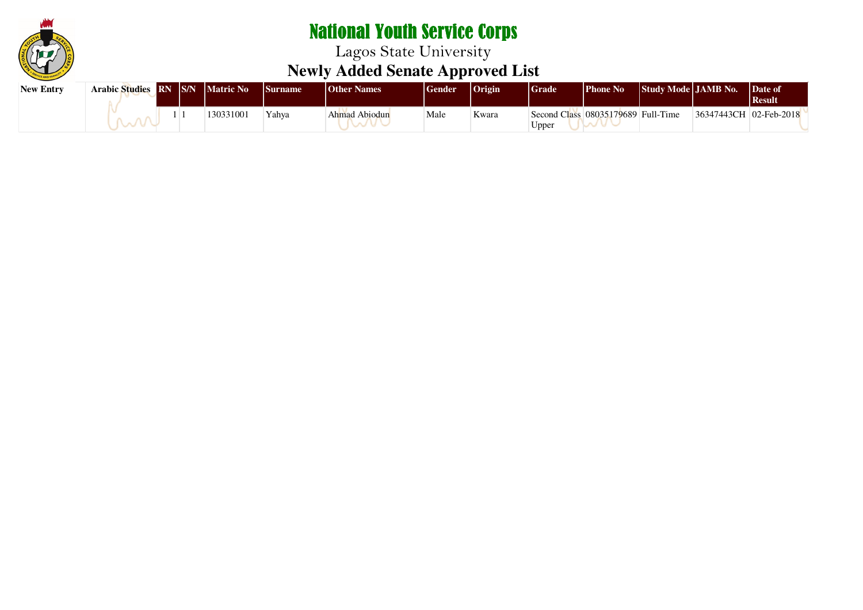

| <b>New Entry</b> | Arabic Studies RN S/N Matric No |  |           | <i>Surname</i> | <b>Other Names</b> | Gender | <b>Origin</b> | <b>Grade</b>                                | <b>Phone No</b> | Study Mode JAMB No. |                        | Date of<br>  Result |
|------------------|---------------------------------|--|-----------|----------------|--------------------|--------|---------------|---------------------------------------------|-----------------|---------------------|------------------------|---------------------|
|                  |                                 |  | 130331001 | Yahva          | Ahmad Abiodun      | Male   | Kwara         | Second Class 08035179689 Full-Time<br>Upper |                 |                     | 36347443CH 02-Feb-2018 |                     |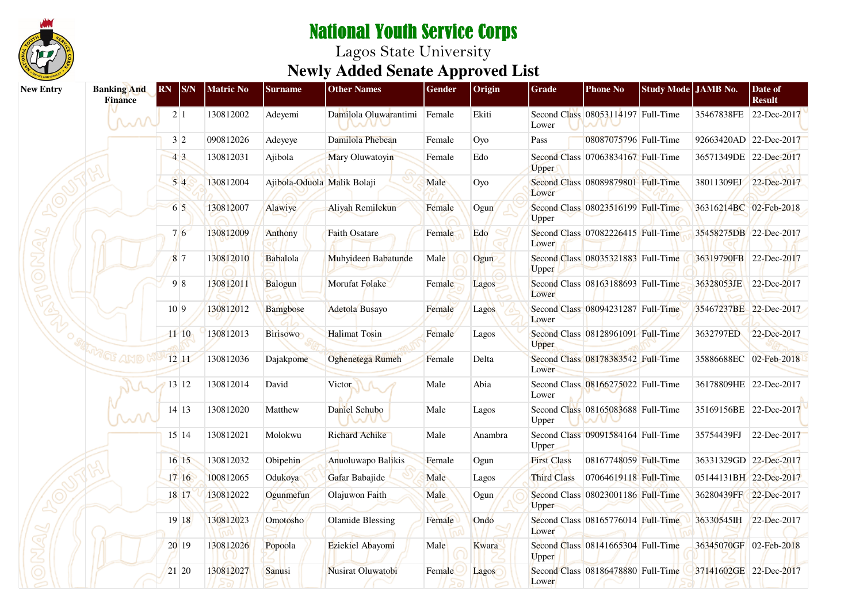

| <b>New Entry</b> | <b>Banking And</b><br><b>Finance</b> | <b>RN</b><br>$ {\rm S/N} $ | <b>Matric No</b> | <b>Surname</b>              | <b>Other Names</b>           | <b>Gender</b> | Origin  | <b>Grade</b>       | <b>Phone No</b>                    | Study Mode JAMB No. |                        | Date of<br><b>Result</b> |
|------------------|--------------------------------------|----------------------------|------------------|-----------------------------|------------------------------|---------------|---------|--------------------|------------------------------------|---------------------|------------------------|--------------------------|
|                  | mi                                   | 2 1                        | 130812002        | Adeyemi                     | Damilola Oluwarantimi Female |               | Ekiti   | Lower              | Second Class 08053114197 Full-Time |                     | 35467838FE             | 22-Dec-2017              |
|                  |                                      | 3 2                        | 090812026        | Adeyeye                     | Damilola Phebean             | Female        | Oyo     | Pass               | 08087075796 Full-Time              |                     | 92663420AD 22-Dec-2017 |                          |
|                  |                                      | 43                         | 130812031        | Ajibola                     | Mary Oluwatoyin              | Female        | Edo     | <b>Upper</b>       | Second Class 07063834167 Full-Time |                     |                        | 36571349DE 22-Dec-2017   |
|                  |                                      | 54                         | 130812004        | Ajibola-Oduola Malik Bolaji |                              | Male          | Oyo     | Lower              | Second Class 08089879801 Full-Time |                     | 38011309EJ             | 22-Dec-2017              |
|                  |                                      | 6 5                        | 130812007        | Alawiye                     | Aliyah Remilekun             | Female        | Ogun    | Upper              | Second Class 08023516199 Full-Time |                     | 36316214BC 02-Feb-2018 |                          |
|                  |                                      | 76                         | 130812009        | Anthony                     | <b>Faith Osatare</b>         | Female        | Edo     | Lower              | Second Class 07082226415 Full-Time |                     | 35458275DB 22-Dec-2017 |                          |
|                  |                                      | 87                         | 130812010        | Babalola                    | Muhyideen Babatunde          | Male          | Ogun    | Upper              | Second Class 08035321883 Full-Time |                     | 36319790FB 22-Dec-2017 |                          |
|                  |                                      | 98                         | 130812011        | <b>Balogun</b>              | Morufat Folake               | Female        | Lagos   | Lower              | Second Class 08163188693 Full-Time |                     | 36328053JE             | 22-Dec-2017              |
|                  |                                      | 10 9                       | 130812012        | <b>Bamgbose</b>             | <b>Adetola Busayo</b>        | Female        | Lagos   | Lower              | Second Class 08094231287 Full-Time |                     | 35467237BE 22-Dec-2017 |                          |
|                  |                                      | $11 - 10$                  | 130812013        | <b>Birisowo</b>             | <b>Halimat Tosin</b>         | Female        | Lagos   | Upper              | Second Class 08128961091 Full-Time |                     | 3632797ED              | 22-Dec-2017              |
|                  | MELE AMO                             | 1211                       | 130812036        | Dajakpome                   | <b>Oghenetega Rumeh</b>      | Female        | Delta   | Lower              | Second Class 08178383542 Full-Time |                     | 35886688EC 02-Feb-2018 |                          |
|                  |                                      | 13 12                      | 130812014        | David                       | Victor N                     | Male          | Abia    | Lower              | Second Class 08166275022 Full-Time |                     | 36178809HE 22-Dec-2017 |                          |
|                  | w                                    | 14 13                      | 130812020        | Matthew                     | Daniel Sehubo                | Male          | Lagos   | Upper              | Second Class 08165083688 Full-Time |                     | 35169156BE 22-Dec-2017 |                          |
|                  |                                      | 15 14                      | 130812021        | Molokwu                     | <b>Richard Achike</b>        | Male          | Anambra | <b>Upper</b>       | Second Class 09091584164 Full-Time |                     | 35754439FJ             | 22-Dec-2017              |
|                  |                                      | 1615                       | 130812032        | Obipehin                    | Anuoluwapo Balikis           | Female        | Ogun    | <b>First Class</b> | 08167748059 Full-Time              |                     | 36331329GD 22-Dec-2017 |                          |
|                  |                                      | 1716                       | 100812065        | Odukoya                     | Gafar Babajide               | Male          | Lagos   | <b>Third Class</b> | 07064619118 Full-Time              |                     | 05144131BH 22-Dec-2017 |                          |
|                  |                                      | 18 17                      | 130812022        | Ogunmefun                   | Olajuwon Faith               | Male          | Ogun    | Upper              | Second Class 08023001186 Full-Time |                     |                        | 36280439FF 22-Dec-2017   |
|                  |                                      | 19 18                      | 130812023        | Omotosho                    | <b>Olamide Blessing</b>      | Female        | Ondo    | Lower              | Second Class 08165776014 Full-Time |                     | 36330545IH 22-Dec-2017 |                          |
|                  |                                      | 20 19                      | 130812026        | Popoola                     | Eziekiel Abayomi             | Male          | Kwara   | Upper              | Second Class 08141665304 Full-Time |                     | 36345070GF 02-Feb-2018 |                          |
|                  |                                      | 21 20                      | 130812027        | Sanusi                      | Nusirat Oluwatobi            | Female        | Lagos   | Lower              | Second Class 08186478880 Full-Time |                     | 37141602GE 22-Dec-2017 |                          |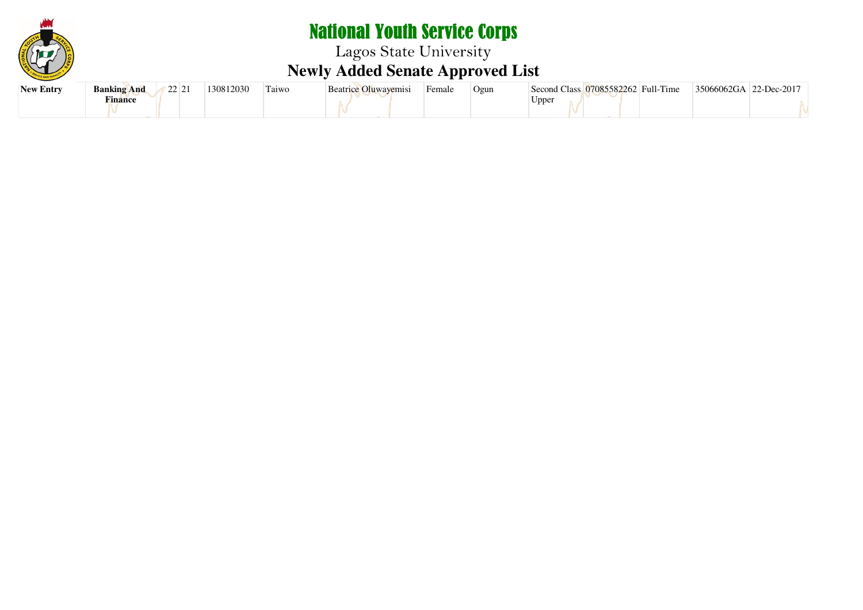

Lagos State University **Newly Added Senate Approved List**

| <b>New Entry</b> | 22121<br><b>Banking And</b><br>$\overline{L}$ $\overline{L}$ $\overline{L}$ 1 | 130812030 | Taiwo | Beatrice Oluwayemisi | Female | Ogun | Second Class 07085582262 Full-Time | 35066062GA<br>$22$ -Dec-2017 |
|------------------|-------------------------------------------------------------------------------|-----------|-------|----------------------|--------|------|------------------------------------|------------------------------|
|                  | $\blacksquare$<br><b>Tinance</b>                                              |           |       |                      |        |      | Uppei                              |                              |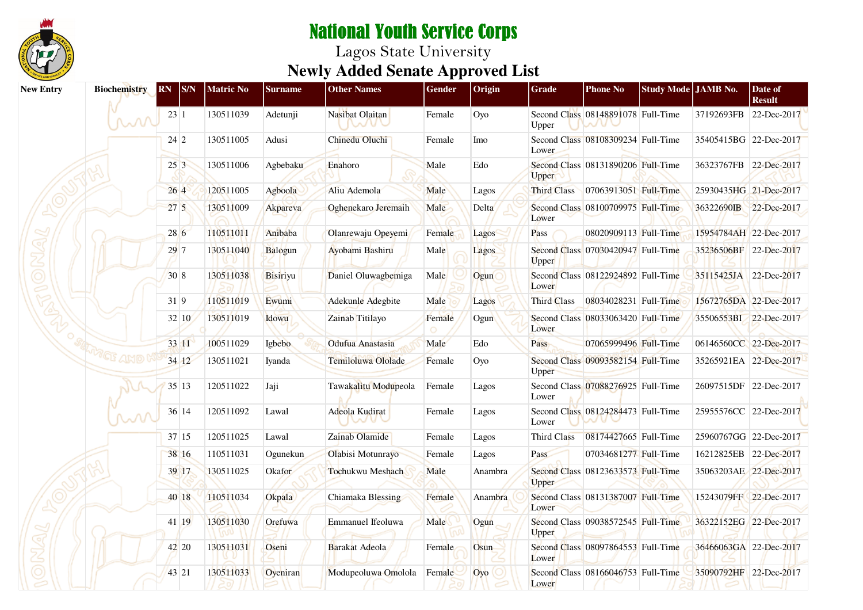

| <b>New Entry</b> | <b>Biochemistry</b>                  | RN S/N          | Matric No | <b>Surname</b> | <b>Other Names</b>      | Gender | Origin  | Grade              | <b>Phone No</b>                    | Study Mode JAMB No. |                        | Date of<br><b>Result</b> |
|------------------|--------------------------------------|-----------------|-----------|----------------|-------------------------|--------|---------|--------------------|------------------------------------|---------------------|------------------------|--------------------------|
|                  | M                                    | 23 1            | 130511039 | Adetunji       | Nasibat Olaitan<br>nave | Female | Oyo     | Upper              | Second Class 08148891078 Full-Time |                     | 37192693FB             | 22-Dec-2017              |
|                  |                                      | 24 2            | 130511005 | Adusi          | Chinedu Oluchi          | Female | Imo     | Lower              | Second Class 08108309234 Full-Time |                     |                        | 35405415BG 22-Dec-2017   |
|                  |                                      | 253             | 130511006 | Agbebaku       | Enahoro                 | Male   | Edo     | Upper              | Second Class 08131890206 Full-Time |                     |                        | 36323767FB 22-Dec-2017   |
|                  |                                      | 264             | 120511005 | Agboola        | Aliu Ademola            | Male   | Lagos   | <b>Third Class</b> | 07063913051 Full-Time              |                     |                        | 25930435HG 21-Dec-2017   |
|                  |                                      | 27 <sub>5</sub> | 130511009 | Akpareva       | Oghenekaro Jeremaih     | Male   | Delta   | Lower              | Second Class 08100709975 Full-Time |                     |                        | 36322690IB 22-Dec-2017   |
|                  |                                      | 28 6            | 110511011 | Anibaba        | Olanrewaju Opeyemi      | Female | Lagos   | Pass               | 08020909113 Full-Time              |                     | 15954784AH 22-Dec-2017 |                          |
|                  |                                      | 297             | 130511040 | Balogun        | Ayobami Bashiru         | Male   | Lagos   | Upper              | Second Class 07030420947 Full-Time |                     | 35236506BF 22-Dec-2017 |                          |
|                  |                                      | 30 8            | 130511038 | Bisiriyu       | Daniel Oluwagbemiga     | Male   | Ogun    | Lower              | Second Class 08122924892 Full-Time |                     |                        | 35115425JA 22-Dec-2017   |
|                  |                                      | 319             | 110511019 | Ewumi          | Adekunle Adegbite       | Male   | Lagos   | <b>Third Class</b> | 08034028231 Full-Time              |                     |                        | 15672765DA 22-Dec-2017   |
|                  |                                      | 32 10           | 130511019 | Idowu          | Zainab Titilayo         | Female | Ogun    | Lower              | Second Class 08033063420 Full-Time |                     |                        | 35506553BI 22-Dec-2017   |
|                  |                                      | 33 11           | 100511029 | Igbebo         | Odufua Anastasia        | Male   | Edo     | Pass               | 07065999496 Full-Time              |                     |                        | 06146560CC 22-Dec-2017   |
|                  | $\sqrt[n]{\mathbb{C}\mathbb{S}}$ and | 34 12           | 130511021 | Iyanda         | Temiloluwa Ololade      | Female | Oyo     | Upper              | Second Class 09093582154 Full-Time |                     |                        | 35265921EA 22-Dec-2017   |
|                  |                                      | 35 13           | 120511022 | Jaji           | Tawakalitu Modupeola    | Female | Lagos   | Lower              | Second Class 07088276925 Full-Time |                     |                        | 26097515DF 22-Dec-2017   |
|                  |                                      | 36 14           | 120511092 | Lawal          | Adeola Kudirat<br>wur   | Female | Lagos   | Lower              | Second Class 08124284473 Full-Time |                     |                        | 25955576CC 22-Dec-2017   |
|                  |                                      | 37 15           | 120511025 | Lawal          | Zainab Olamide          | Female | Lagos   | <b>Third Class</b> | 08174427665 Full-Time              |                     |                        | 25960767GG 22-Dec-2017   |
|                  |                                      | 38 16           | 110511031 | Ogunekun       | Olabisi Motunrayo       | Female | Lagos   | <b>Pass</b>        | 07034681277 Full-Time              |                     |                        | 16212825EB 22-Dec-2017   |
|                  |                                      | 39 17           | 130511025 | Okafor         | Tochukwu Meshach        | Male   | Anambra | Upper              | Second Class 08123633573 Full-Time |                     |                        | 35063203AE 22-Dec-2017   |
|                  |                                      | 40 18           | 110511034 | Okpala         | Chiamaka Blessing       | Female | Anambra | Lower              | Second Class 08131387007 Full-Time |                     |                        | 15243079FF 22-Dec-2017   |
|                  |                                      | 41 19           | 130511030 | Orefuwa        | Emmanuel Ifeoluwa       | Male   | Ogun    | Upper              | Second Class 09038572545 Full-Time |                     |                        | 36322152EG 22-Dec-2017   |
|                  |                                      | 42 20           | 130511031 | Oseni          | Barakat Adeola          | Female | Osun    | Lower              | Second Class 08097864553 Full-Time |                     |                        | 36466063GA 22-Dec-2017   |
|                  |                                      | 43 21           | 130511033 | Oyeniran       | Modupeoluwa Omolola     | Female | Oyo     | Lower              | Second Class 08166046753 Full-Time |                     |                        | 35090792HF 22-Dec-2017   |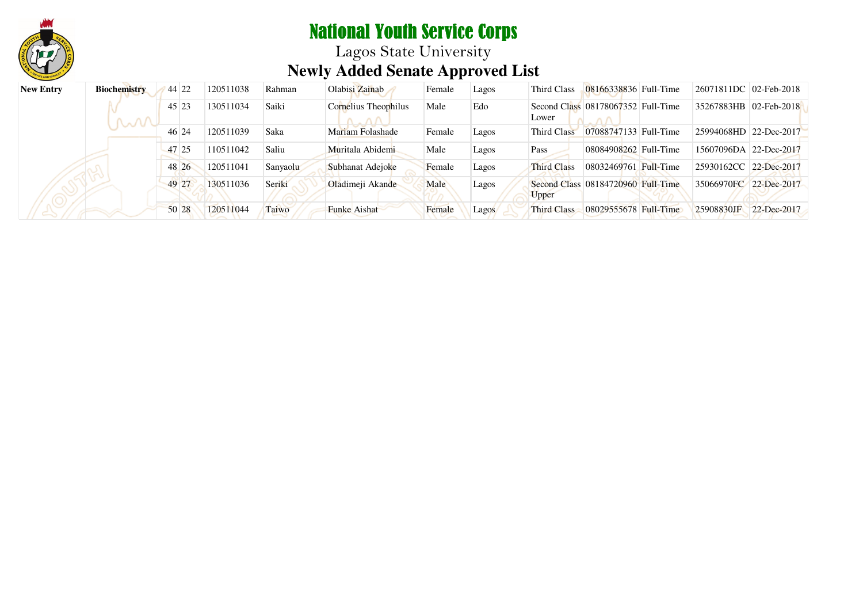

Lagos State University **Newly Added Senate Approved List**

| <b>New Entry</b> | Biochemistry | 44 22 | 120511038 | Rahman   | Olabisi Zainab       | Female | Lagos        | Third Class        | 08166338836 Full-Time              | 26071811DC 02-Feb-2018 |                 |
|------------------|--------------|-------|-----------|----------|----------------------|--------|--------------|--------------------|------------------------------------|------------------------|-----------------|
|                  | M            | 45 23 | 130511034 | Saiki    | Cornelius Theophilus | Male   | Edo          | Lower              | Second Class 08178067352 Full-Time | 35267883HB 02-Feb-2018 |                 |
|                  |              | 46 24 | 120511039 | Saka     | Mariam Folashade     | Female | Lagos        | Third Class        | 07088747133 Full-Time              | 25994068HD 22-Dec-2017 |                 |
|                  |              | 47 25 | 110511042 | Saliu    | Muritala Abidemi     | Male   | Lagos        | Pass               | 08084908262 Full-Time              | 15607096DA 22-Dec-2017 |                 |
|                  |              | 48 26 | 120511041 | Sanyaolu | Subhanat Adejoke     | Female | Lagos        | <b>Third Class</b> | 08032469761 Full-Time              | 25930162CC 22-Dec-2017 |                 |
|                  |              | 49 27 | 130511036 | Seriki   | Oladimeji Akande     | Male   | Lagos        | Upper              | Second Class 08184720960 Full-Time | 35066970FC 22-Dec-2017 |                 |
|                  |              | 50 28 | 120511044 | Taiwo    | <b>Funke Aishat</b>  | Female | <b>Lagos</b> | <b>Third Class</b> | 08029555678 Full-Time              | 25908830JF             | $22 - Dec-2017$ |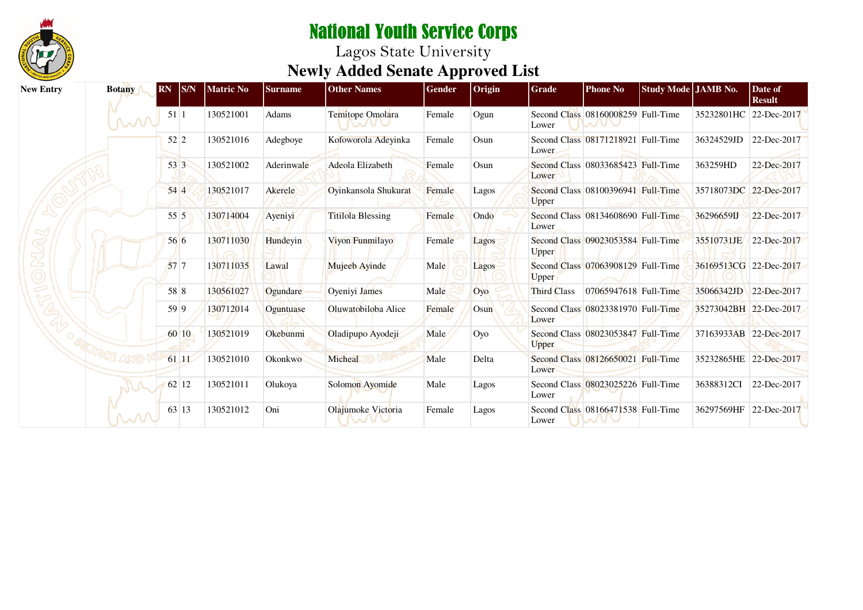

| <b>New Entry</b> | <b>Botany</b>                        | $\mathbf{S/N}$<br><b>RN</b> | <b>Matric No</b> | Surname    | <b>Other Names</b>       | Gender | Origin | Grade              | <b>Phone No</b>                    | Study Mode JAMB No. |                        | Date of<br><b>Result</b> |
|------------------|--------------------------------------|-----------------------------|------------------|------------|--------------------------|--------|--------|--------------------|------------------------------------|---------------------|------------------------|--------------------------|
|                  | M                                    | 511                         | 130521001        | Adams      | Temitope Omolara         | Female | Ogun   | Lower              | Second Class 08160008259 Full-Time |                     | 35232801HC 22-Dec-2017 |                          |
|                  |                                      | 52 2                        | 130521016        | Adegboye   | Kofoworola Adevinka      | Female | Osun   | Lower              | Second Class 08171218921 Full-Time |                     | 36324529JD             | 22-Dec-2017              |
|                  |                                      | 53 3                        | 130521002        | Aderinwale | Adeola Elizabeth         | Female | Osun   | Lower              | Second Class 08033685423 Full-Time |                     | 363259HD               | 22-Dec-2017              |
|                  |                                      | 544                         | 130521017        | Akerele    | Oyinkansola Shukurat     | Female | Lagos  | Upper              | Second Class 08100396941 Full-Time |                     | 35718073DC 22-Dec-2017 |                          |
|                  |                                      | 55 5                        | 130714004        | Ayeniyi    | <b>Titilola Blessing</b> | Female | Ondo   | Lower              | Second Class 08134608690 Full-Time |                     | 36296659LJ             | 22-Dec-2017              |
|                  |                                      | 56 6                        | 130711030        | Hundevin   | Vivon Funmilayo          | Female | Lagos  | Upper              | Second Class 09023053584 Full-Time |                     | 35510731JE             | 22-Dec-2017              |
|                  |                                      | 57 <sub>7</sub>             | 130711035        | Lawal      | Mujeeb Ayinde            | Male   | Lagos  | <b>Upper</b>       | Second Class 07063908129 Full-Time |                     | 36169513CG 22-Dec-2017 |                          |
|                  |                                      | 58 8                        | 130561027        | Ogundare   | Oyeniyi James            | Male   | Oyo    | <b>Third Class</b> | 07065947618 Full-Time              |                     | 35066342JD             | 22-Dec-2017              |
|                  |                                      | 59 9                        | 130712014        | Oguntuase  | Oluwatobiloba Alice      | Female | Osun   | Lower              | Second Class 08023381970 Full-Time |                     | 35273042BH 22-Dec-2017 |                          |
|                  |                                      | 60 10                       | 130521019        | Okebunmi   | Oladipupo Ayodeji        | Male   | Oyo    | Upper              | Second Class 08023053847 Full-Time |                     | 37163933AB 22-Dec-2017 |                          |
|                  | $\sqrt[n]{\mathbb{C}\mathbb{E}}$ ang | 61 11                       | 130521010        | Okonkwo    | Micheal                  | Male   | Delta  | Lower              | Second Class 08126650021 Full-Time |                     | 35232865HE             | 22-Dec-2017              |
|                  |                                      | 62 12                       | 130521011        | Olukoya    | Solomon Ayomide          | Male   | Lagos  | Lower              | Second Class 08023025226 Full-Time |                     | 36388312CI             | 22-Dec-2017              |
|                  | m                                    | 63 13                       | 130521012        | Oni        | Olajumoke Victoria       | Female | Lagos  | Lower              | Second Class 08166471538 Full-Time |                     | 36297569HF             | 22-Dec-2017              |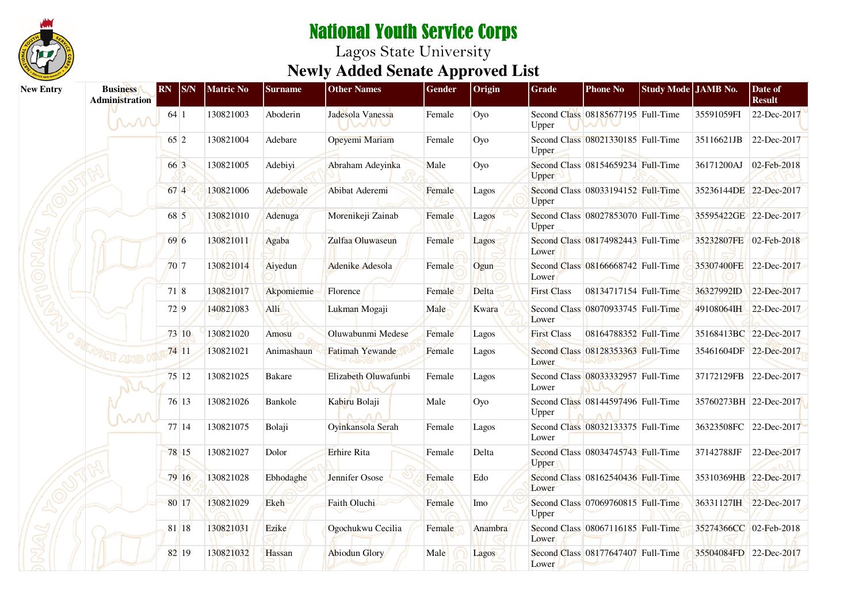

| <b>New Entry</b> | <b>Business</b><br><b>Administration</b> | <b>RN</b> | S/N   | <b>Matric No</b> | <b>Surname</b> | <b>Other Names</b>                | Gender | Origin  | <b>Grade</b>       | <b>Phone No</b>                    | Study Mode JAMB No. |                        | Date of<br><b>Result</b> |
|------------------|------------------------------------------|-----------|-------|------------------|----------------|-----------------------------------|--------|---------|--------------------|------------------------------------|---------------------|------------------------|--------------------------|
|                  | mi                                       | 64 1      |       | 130821003        | Aboderin       | Jadesola Vanessa<br><b>IVA/UV</b> | Female | Oyo     | Upper              | Second Class 08185677195 Full-Time |                     | 35591059FI             | 22-Dec-2017              |
|                  |                                          | 65 2      |       | 130821004        | Adebare        | Opeyemi Mariam                    | Female | Oyo     | Upper              | Second Class 08021330185 Full-Time |                     | 35116621JB             | 22-Dec-2017              |
|                  |                                          | 66 3      |       | 130821005        | Adebiyi        | Abraham Adeyinka                  | Male   | Oyo     | Upper              | Second Class 08154659234 Full-Time |                     | 36171200AJ             | 02-Feb-2018              |
|                  |                                          | 67 4      |       | 130821006        | Adebowale      | Abibat Aderemi                    | Female | Lagos   | Upper              | Second Class 08033194152 Full-Time |                     | 35236144DE 22-Dec-2017 |                          |
|                  |                                          | 68 5      |       | 130821010        | Adenuga        | Morenikeji Zainab                 | Female | Lagos   | Upper              | Second Class 08027853070 Full-Time |                     | 35595422GE 22-Dec-2017 |                          |
|                  |                                          | 69 6      |       | 130821011        | Agaba          | Zulfaa Oluwaseun                  | Female | Lagos   | Lower              | Second Class 08174982443 Full-Time |                     | 35232807FE 02-Feb-2018 |                          |
|                  |                                          | 707       |       | 130821014        | Aiyedun        | Adenike Adesola                   | Female | Ogun    | Lower              | Second Class 08166668742 Full-Time |                     | 35307400FE 22-Dec-2017 |                          |
|                  |                                          |           | 71 8  | 130821017        | Akpomiemie     | Florence                          | Female | Delta   | <b>First Class</b> | 08134717154 Full-Time              |                     | 36327992ID             | 22-Dec-2017              |
|                  |                                          |           | 72 9  | 140821083        | Alli           | Lukman Mogaji                     | Male   | Kwara   | Lower              | Second Class 08070933745 Full-Time |                     | 49108064IH 22-Dec-2017 |                          |
|                  |                                          |           | 73 10 | 130821020        | Amosu          | Oluwabunmi Medese                 | Female | Lagos   | <b>First Class</b> | 08164788352 Full-Time              |                     | 35168413BC 22-Dec-2017 |                          |
|                  | GF AMO                                   |           | 74 11 | 130821021        | Animashaun     | Fatimah Yewande                   | Female | Lagos   | Lower              | Second Class 08128353363 Full-Time |                     | 35461604DF 22-Dec-2017 |                          |
|                  |                                          |           | 75 12 | 130821025        | <b>Bakare</b>  | Elizabeth Oluwafunbi              | Female | Lagos   | Lower              | Second Class 08033332957 Full-Time |                     | 37172129FB 22-Dec-2017 |                          |
|                  | ∼∿                                       |           | 76 13 | 130821026        | Bankole        | Kabiru Bolaji                     | Male   | Оуо     | Upper              | Second Class 08144597496 Full-Time |                     |                        | 35760273BH 22-Dec-2017   |
|                  |                                          |           | 77 14 | 130821075        | Bolaji         | Oyinkansola Serah                 | Female | Lagos   | Lower              | Second Class 08032133375 Full-Time |                     | 36323508FC 22-Dec-2017 |                          |
|                  |                                          |           | 78 15 | 130821027        | Dolor          | <b>Erhire Rita</b>                | Female | Delta   | <b>Upper</b>       | Second Class 08034745743 Full-Time |                     | 37142788JF             | 22-Dec-2017              |
|                  |                                          |           | 79 16 | 130821028        | Ebhodaghe      | Jennifer Osose                    | Female | Edo     | Lower              | Second Class 08162540436 Full-Time |                     | 35310369HB 22-Dec-2017 |                          |
|                  |                                          |           | 80 17 | 130821029        | <b>Ekeh</b>    | Faith Oluchi                      | Female | Imo     | Upper              | Second Class 07069760815 Full-Time |                     | 36331127IH 22-Dec-2017 |                          |
|                  |                                          |           | 81 18 | 130821031        | Ezike          | Ogochukwu Cecilia                 | Female | Anambra | Lower              | Second Class 08067116185 Full-Time |                     | 35274366CC 02-Feb-2018 |                          |
|                  |                                          |           | 82 19 | 130821032        | Hassan         | <b>Abiodun Glory</b>              | Male   | Lagos   | Lower              | Second Class 08177647407 Full-Time |                     | 35504084FD 22-Dec-2017 |                          |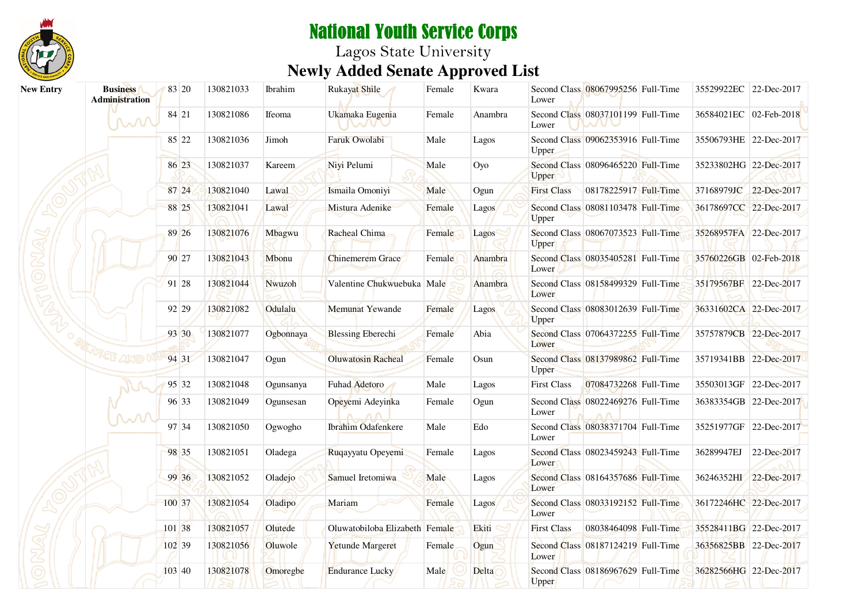

# National Youth Service Corps Lagos State University **Newly Added Senate Approved List**

| <b>New Entry</b> | <b>Business</b><br><b>Administration</b> |          | 83 20 | 130821033 | Ibrahim   | <b>Rukayat Shile</b>           | Female | Kwara   | Lower              | Second Class 08067995256 Full-Time | 35529922EC 22-Dec-2017 |             |
|------------------|------------------------------------------|----------|-------|-----------|-----------|--------------------------------|--------|---------|--------------------|------------------------------------|------------------------|-------------|
|                  | M                                        |          | 84 21 | 130821086 | Ifeoma    | Ukamaka Eugenia<br><b>BALL</b> | Female | Anambra | Lower              | Second Class 08037101199 Full-Time | 36584021EC 02-Feb-2018 |             |
|                  |                                          |          | 85 22 | 130821036 | Jimoh     | <b>Faruk Owolabi</b>           | Male   | Lagos   | Upper              | Second Class 09062353916 Full-Time | 35506793HE 22-Dec-2017 |             |
|                  |                                          |          | 86 23 | 130821037 | Kareem    | Niyi Pelumi                    | Male   | Oyo     | Upper              | Second Class 08096465220 Full-Time | 35233802HG 22-Dec-2017 |             |
|                  |                                          |          | 87 24 | 130821040 | Lawal     | Ismaila Omoniyi                | Male   | Ogun    | <b>First Class</b> | 08178225917 Full-Time              | 37168979JC 22-Dec-2017 |             |
|                  |                                          |          | 88 25 | 130821041 | Lawal     | Mistura Adenike                | Female | Lagos   | Upper              | Second Class 08081103478 Full-Time | 36178697CC 22-Dec-2017 |             |
|                  |                                          |          | 89 26 | 130821076 | Mbagwu    | Racheal Chima                  | Female | Lagos   | Upper              | Second Class 08067073523 Full-Time | 35268957FA 22-Dec-2017 |             |
|                  |                                          |          | 90 27 | 130821043 | Mbonu     | <b>Chinemerem Grace</b>        | Female | Anambra | Lower              | Second Class 08035405281 Full-Time | 35760226GB 02-Feb-2018 |             |
|                  |                                          |          | 91 28 | 130821044 | Nwuzoh    | Valentine Chukwuebuka Male     |        | Anambra | Lower              | Second Class 08158499329 Full-Time | 35179567BF 22-Dec-2017 |             |
|                  |                                          |          | 92 29 | 130821082 | Odulalu   | Memunat Yewande                | Female | Lagos   | Upper              | Second Class 08083012639 Full-Time | 36331602CA 22-Dec-2017 |             |
|                  |                                          |          | 93 30 | 130821077 | Ogbonnaya | <b>Blessing Eberechi</b>       | Female | Abia    | Lower              | Second Class 07064372255 Full-Time | 35757879CB 22-Dec-2017 |             |
|                  | <sup>vi</sup> ge and                     |          | 94 31 | 130821047 | Ogun      | <b>Oluwatosin Racheal</b>      | Female | Osun    | Upper              | Second Class 08137989862 Full-Time | 35719341BB 22-Dec-2017 |             |
|                  |                                          |          | 95 32 | 130821048 | Ogunsanya | Fuhad Adetoro                  | Male   | Lagos   | <b>First Class</b> | 07084732268 Full-Time              | 35503013GF 22-Dec-2017 |             |
|                  |                                          |          | 96 33 | 130821049 | Ogunsesan | Opeyemi Adeyinka               | Female | Ogun    | Lower              | Second Class 08022469276 Full-Time | 36383354GB 22-Dec-2017 |             |
|                  |                                          |          | 97 34 | 130821050 | Ogwogho   | <b>Ibrahim Odafenkere</b>      | Male   | Edo     | Lower              | Second Class 08038371704 Full-Time | 35251977GF 22-Dec-2017 |             |
|                  |                                          |          | 98 35 | 130821051 | Oladega   | Ruqayyatu Opeyemi              | Female | Lagos   | Lower              | Second Class 08023459243 Full-Time | 36289947EJ             | 22-Dec-2017 |
|                  |                                          |          | 99 36 | 130821052 | Oladejo   | Samuel Iretomiwa               | Male   | Lagos   | Lower              | Second Class 08164357686 Full-Time | 36246352HI 22-Dec-2017 |             |
|                  |                                          | 100 37   |       | 130821054 | Oladipo   | Mariam                         | Female | Lagos   | Lower              | Second Class 08033192152 Full-Time | 36172246HC 22-Dec-2017 |             |
|                  |                                          | 101 38   |       | 130821057 | Olutede   | Oluwatobiloba Elizabeth Female |        | Ekiti   | <b>First Class</b> | 08038464098 Full-Time              | 35528411BG 22-Dec-2017 |             |
|                  |                                          | 102 39   |       | 130821056 | Oluwole   | Yetunde Margeret               | Female | Ogun    | Lower              | Second Class 08187124219 Full-Time | 36356825BB 22-Dec-2017 |             |
|                  |                                          | 103   40 |       | 130821078 | Omoregbe  | <b>Endurance Lucky</b>         | Male   | Delta   | <b>Upper</b>       | Second Class 08186967629 Full-Time | 36282566HG 22-Dec-2017 |             |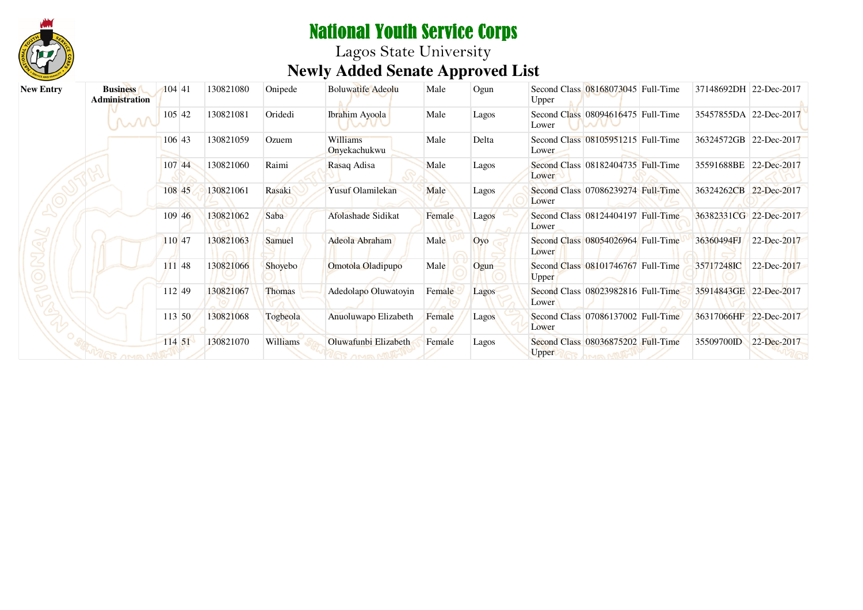

| <b>New Entry</b> | <b>Business</b><br><b>Administration</b> | 104 41      | 130821080 | Onipede        | <b>Boluwatife Adeolu</b> | Male   | Ogun  | Second Class 08168073045 Full-Time<br>Upper        | 37148692DH 22-Dec-2017 |             |
|------------------|------------------------------------------|-------------|-----------|----------------|--------------------------|--------|-------|----------------------------------------------------|------------------------|-------------|
|                  | M                                        | $105 \, 42$ | 130821081 | Oridedi        | Ibrahim Ayoola           | Male   | Lagos | Second Class 08094616475 Full-Time<br>Lower        | 35457855DA 22-Dec-2017 |             |
|                  |                                          | 106 43      | 130821059 | Ozuem          | Williams<br>Onyekachukwu | Male   | Delta | Second Class 08105951215 Full-Time<br>Lower        | 36324572GB 22-Dec-2017 |             |
|                  |                                          | 107 44      | 130821060 | Raimi          | Rasaq Adisa              | Male   | Lagos | Second Class 08182404735 Full-Time<br>Lower        | 35591688BE 22-Dec-2017 |             |
|                  |                                          | 108 45      | 130821061 | Rasaki         | <b>Yusuf Olamilekan</b>  | Male   | Lagos | Second Class 07086239274 Full-Time<br>Lower        | 36324262CB 22-Dec-2017 |             |
|                  |                                          | 109 46      | 130821062 | Saba           | Afolashade Sidikat       | Female | Lagos | Second Class 08124404197 Full-Time<br>Lower        | 36382331CG 22-Dec-2017 |             |
|                  |                                          | 110 47      | 130821063 | Samuel         | Adeola Abraham           | Male   | Oyo   | Second Class 08054026964 Full-Time<br>Lower        | 36360494FJ             | 22-Dec-2017 |
|                  |                                          | 111 48      | 130821066 | <b>Shovebo</b> | Omotola Oladipupo        | Male   | Ogun  | Second Class 08101746767 Full-Time<br>Upper        | 35717248IC             | 22-Dec-2017 |
|                  |                                          | 112 49      | 130821067 | Thomas         | Adedolapo Oluwatoyin     | Female | Lagos | Second Class 08023982816 Full-Time<br>Lower        | 35914843GE 22-Dec-2017 |             |
|                  |                                          | 113 50      | 130821068 | Togbeola       | Anuoluwapo Elizabeth     | Female | Lagos | Second Class 07086137002 Full-Time<br>Lower        | 36317066HF 22-Dec-2017 |             |
|                  |                                          | 114 51      | 130821070 | Williams       | Oluwafunbi Elizabeth     | Female | Lagos | Second Class 08036875202 Full-Time<br><b>Upper</b> | 35509700ID             | 22-Dec-2017 |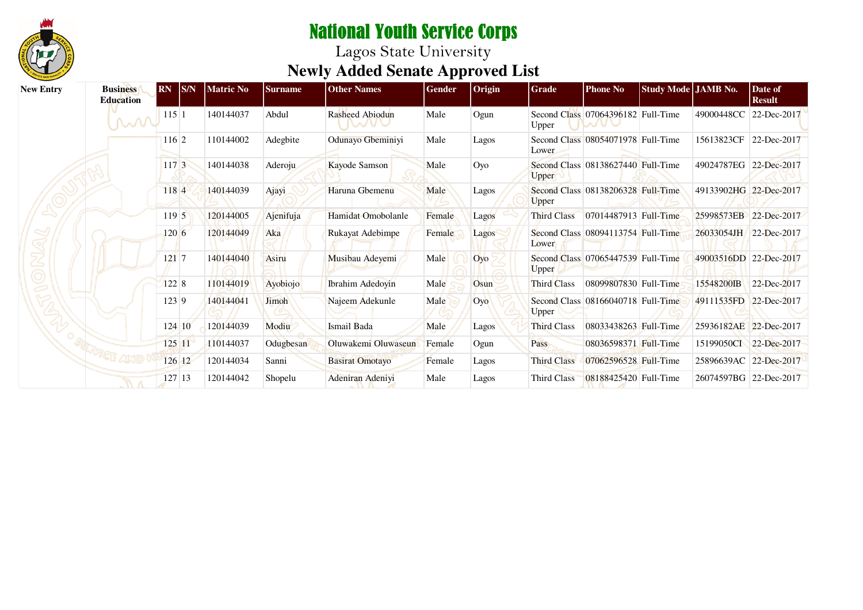

| <b>New Entry</b> | <b>Business</b><br>Education | RN       | S/N    | <b>Matric No</b> | <b>Surname</b> | <b>Other Names</b>      | Gender | Origin | Grade              | <b>Phone No</b>                    | Study Mode JAMB No. |                        | Date of<br><b>Result</b> |
|------------------|------------------------------|----------|--------|------------------|----------------|-------------------------|--------|--------|--------------------|------------------------------------|---------------------|------------------------|--------------------------|
|                  | MW                           | 115 1    |        | 140144037        | Abdul          | Rasheed Abiodun         | Male   | Ogun   | Upper              | Second Class 07064396182 Full-Time |                     | 49000448CC 22-Dec-2017 |                          |
|                  |                              | 116 2    |        | 110144002        | Adegbite       | Odunayo Gbeminiyi       | Male   | Lagos  | Lower              | Second Class 08054071978 Full-Time |                     | 15613823CF             | 22-Dec-2017              |
|                  |                              | 117 3    |        | 140144038        | Aderoju        | Kayode Samson           | Male   | Оуо    | <b>Upper</b>       | Second Class 08138627440 Full-Time |                     | 49024787EG 22-Dec-2017 |                          |
|                  |                              | 1184     |        | 140144039        | Ajayi          | Haruna Gbemenu          | Male   | Lagos  | Upper              | Second Class 08138206328 Full-Time |                     | 49133902HG 22-Dec-2017 |                          |
|                  |                              | 1195     |        | 120144005        | Ajenifuja      | Hamidat Omobolanle      | Female | Lagos  | <b>Third Class</b> | 07014487913 Full-Time              |                     | 25998573EB 22-Dec-2017 |                          |
|                  |                              | $120\,6$ |        | 120144049        | Aka            | Rukayat Adebimpe        | Female | Lagos  | Lower              | Second Class 08094113754 Full-Time |                     | 26033054JH 22-Dec-2017 |                          |
|                  |                              | 121 7    |        | 140144040        | Asiru          | Musibau Adeyemi         | Male   | Oyo    | Upper              | Second Class 07065447539 Full-Time |                     | 49003516DD 22-Dec-2017 |                          |
|                  |                              | 122 8    |        | 110144019        | Ayobiojo       | <b>Ibrahim Adedoyin</b> | Male   | Osun   | Third Class        | 08099807830 Full-Time              |                     | 15548200IB             | 22-Dec-2017              |
|                  |                              | 123 9    |        | 140144041        | Jimoh          | Najeem Adekunle         | Male   | Oyo    | <b>Upper</b>       | Second Class 08166040718 Full-Time |                     | 49111535FD 22-Dec-2017 |                          |
| 46               |                              |          | 124 10 | 120144039        | Modiu          | Ismail Bada             | Male   | Lagos  | Third Class        | 08033438263 Full-Time              |                     | 25936182AE 22-Dec-2017 |                          |
|                  |                              |          | 125 11 | 110144037        | Odugbesan      | Oluwakemi Oluwaseun     | Female | Ogun   | Pass               | 08036598371 Full-Time              |                     | 15199050CI             | 22-Dec-2017              |
|                  |                              |          | 126 12 | 120144034        | Sanni          | <b>Basirat Omotayo</b>  | Female | Lagos  | <b>Third Class</b> | 07062596528 Full-Time              |                     | 25896639AC             | 22-Dec-2017              |
|                  |                              |          | 127 13 | 120144042        | Shopelu        | Adeniran Adeniyi        | Male   | Lagos  | <b>Third Class</b> | 08188425420 Full-Time              |                     | 26074597BG 22-Dec-2017 |                          |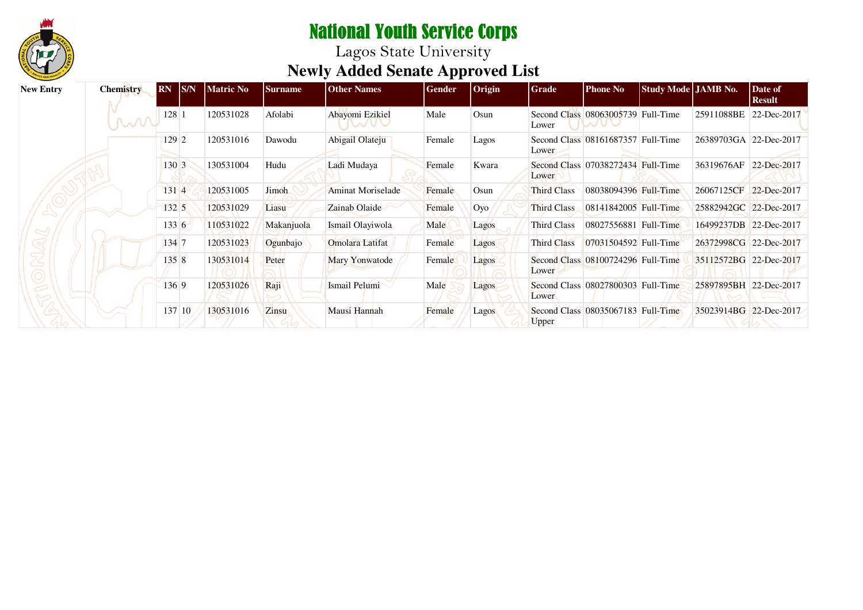

| <b>New Entry</b> | <b>Chemistry</b> | <b>RN</b>  | SNN | <b>Matric No</b> | <b>Surname</b> | <b>Other Names</b>       | Gender | <b>Origin</b> | Grade              | <b>Phone No</b>                    | Study Mode JAMB No. |                        | Date of<br><b>Result</b> |
|------------------|------------------|------------|-----|------------------|----------------|--------------------------|--------|---------------|--------------------|------------------------------------|---------------------|------------------------|--------------------------|
|                  | M                | $128 \; 1$ |     | 120531028        | Afolabi        | Abayomi Ezikiel          | Male   | Osun          | Lower              | Second Class 08063005739 Full-Time |                     | 25911088BE             | 22-Dec-2017              |
|                  |                  | 129 2      |     | 120531016        | Dawodu         | Abigail Olateju          | Female | Lagos         | Lower              | Second Class 08161687357 Full-Time |                     | 26389703GA 22-Dec-2017 |                          |
|                  |                  | 130 3      |     | 130531004        | Hudu           | Ladi Mudaya              | Female | Kwara         | Lower              | Second Class 07038272434 Full-Time |                     | 36319676AF             | 22-Dec-2017              |
|                  |                  | 131 4      |     | 120531005        | Jimoh          | <b>Aminat Moriselade</b> | Female | Osun          | <b>Third Class</b> | 08038094396 Full-Time              |                     | 26067125CF 22-Dec-2017 |                          |
|                  |                  | 1325       |     | 120531029        | Liasu          | Zainab Olaide            | Female | Oyo           | Third Class        | 08141842005 Full-Time              |                     | 25882942GC 22-Dec-2017 |                          |
|                  |                  | 133 6      |     | 110531022        | Makanjuola     | Ismail Olayiwola         | Male   | Lagos         | Third Class        | 08027556881 Full-Time              |                     | 16499237DB 22-Dec-2017 |                          |
|                  |                  | 134 7      |     | 120531023        | Ogunbajo       | <b>Omolara Latifat</b>   | Female | Lagos         | <b>Third Class</b> | 07031504592 Full-Time              |                     | 26372998CG 22-Dec-2017 |                          |
|                  |                  | 1358       |     | 130531014        | Peter          | Mary Yonwatode           | Female | Lagos         | Lower              | Second Class 08100724296 Full-Time |                     | 35112572BG 22-Dec-2017 |                          |
|                  |                  | 136 9      |     | 120531026        | Raji           | Ismail Pelumi            | Male   | Lagos         | Lower              | Second Class 08027800303 Full-Time |                     | 25897895BH 22-Dec-2017 |                          |
|                  |                  | 137 10     |     | 130531016        | <b>Zinsu</b>   | Mausi Hannah             | Female | Lagos         | Upper              | Second Class 08035067183 Full-Time |                     | 35023914BG 22-Dec-2017 |                          |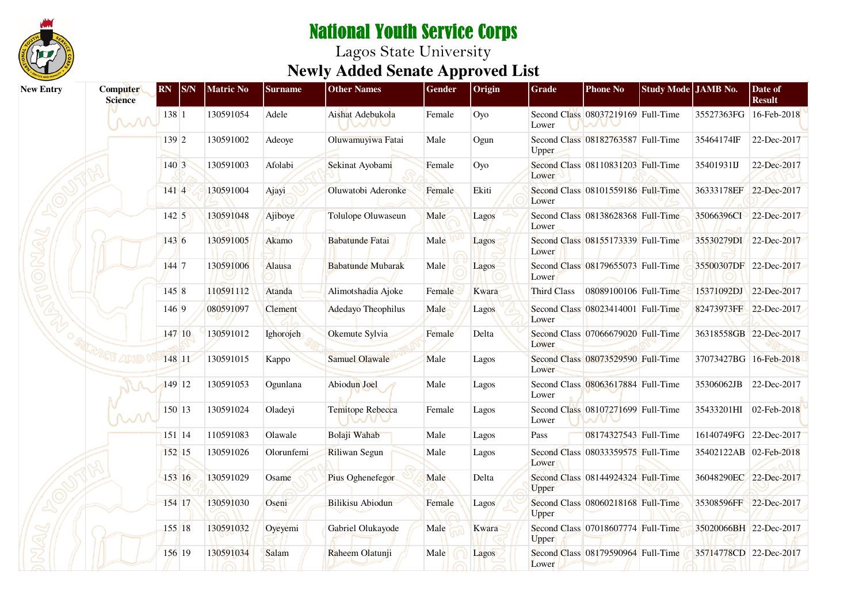

| <b>New Entry</b> | <b>Computer</b><br><b>Science</b> | <b>RN</b><br><b>S/N</b> | <b>Matric No</b> | <b>Surname</b> | <b>Other Names</b>        | Gender | Origin | <b>Grade</b>       | <b>Phone No</b>                    | Study Mode JAMB No. |                        | Date of<br><b>Result</b> |
|------------------|-----------------------------------|-------------------------|------------------|----------------|---------------------------|--------|--------|--------------------|------------------------------------|---------------------|------------------------|--------------------------|
|                  | M                                 | 138 1                   | 130591054        | Adele          | Aishat Adebukola<br>WV)   | Female | Оуо    | Lower              | Second Class 08037219169 Full-Time |                     |                        | 35527363FG 16-Feb-2018   |
|                  |                                   | 139 2                   | 130591002        | Adeoye         | Oluwamuyiwa Fatai         | Male   | Ogun   | <b>Upper</b>       | Second Class 08182763587 Full-Time |                     | 35464174IF             | 22-Dec-2017              |
|                  |                                   | 140 3                   | 130591003        | Afolabi        | Sekinat Ayobami           | Female | Oyo    | Lower              | Second Class 08110831203 Full-Time |                     | 35401931IJ             | 22-Dec-2017              |
|                  |                                   | 1414                    | 130591004        | Ajayi          | Oluwatobi Aderonke        | Female | Ekiti  | Lower              | Second Class 08101559186 Full-Time |                     |                        | 36333178EF 22-Dec-2017   |
|                  |                                   | $142 \mid 5$            | 130591048        | Ajiboye        | <b>Tolulope Oluwaseun</b> | Male   | Lagos  | Lower              | Second Class 08138628368 Full-Time |                     | 35066396CI             | 22-Dec-2017              |
|                  |                                   | 1436                    | 130591005        | Akamo          | <b>Babatunde Fatai</b>    | Male   | Lagos  | Lower              | Second Class 08155173339 Full-Time |                     | 35530279DI 22-Dec-2017 |                          |
|                  |                                   | 144 7                   | 130591006        | Alausa         | <b>Babatunde Mubarak</b>  | Male   | Lagos  | Lower              | Second Class 08179655073 Full-Time |                     |                        | 35500307DF 22-Dec-2017   |
|                  |                                   | 1458                    | 110591112        | Atanda         | Alimotshadia Ajoke        | Female | Kwara  | <b>Third Class</b> | 08089100106 Full-Time              |                     | 15371092DJ             | 22-Dec-2017              |
|                  |                                   | 146 9                   | 080591097        | <b>Clement</b> | Adedayo Theophilus        | Male   | Lagos  | Lower              | Second Class 08023414001 Full-Time |                     | 82473973FF 22-Dec-2017 |                          |
|                  |                                   | 147 10                  | 130591012        | Ighorojeh      | Okemute Sylvia            | Female | Delta  | Lower              | Second Class 07066679020 Full-Time |                     |                        | 36318558GB 22-Dec-2017   |
|                  | WETE AMD                          | 148 11                  | 130591015        | Kappo          | <b>Samuel Olawale</b>     | Male   | Lagos  | Lower              | Second Class 08073529590 Full-Time |                     | 37073427BG 16-Feb-2018 |                          |
|                  |                                   | 149 12                  | 130591053        | Ogunlana       | Abiodun Joel              | Male   | Lagos  | Lower              | Second Class 08063617884 Full-Time |                     | 35306062JB             | 22-Dec-2017              |
|                  | w                                 | 150 13                  | 130591024        | Oladeyi        | Temitope Rebecca          | Female | Lagos  | Lower              | Second Class 08107271699 Full-Time |                     | 35433201HI             | 02-Feb-2018              |
|                  |                                   | 151 14                  | 110591083        | Olawale        | Bolaji Wahab              | Male   | Lagos  | Pass               | 08174327543 Full-Time              |                     |                        | 16140749FG 22-Dec-2017   |
|                  |                                   | 152 15                  | 130591026        | Olorunfemi     | Riliwan Segun             | Male   | Lagos  | Lower              | Second Class 08033359575 Full-Time |                     | 35402122AB 02-Feb-2018 |                          |
|                  |                                   | 153 16                  | 130591029        | Osame          | Pius Oghenefegor          | Male   | Delta  | Upper              | Second Class 08144924324 Full-Time |                     |                        | 36048290EC 22-Dec-2017   |
|                  |                                   | 154 17                  | 130591030        | Oseni          | Bilikisu Abiodun          | Female | Lagos  | Upper              | Second Class 08060218168 Full-Time |                     |                        | 35308596FF 22-Dec-2017   |
|                  |                                   | 155 18                  | 130591032        | Oyeyemi        | Gabriel Olukayode         | Male   | Kwara  | Upper              | Second Class 07018607774 Full-Time |                     |                        | 35020066BH 22-Dec-2017   |
|                  |                                   | 156 19                  | 130591034        | Salam          | Raheem Olatunji           | Male   | Lagos  | Lower              | Second Class 08179590964 Full-Time |                     | 35714778CD 22-Dec-2017 |                          |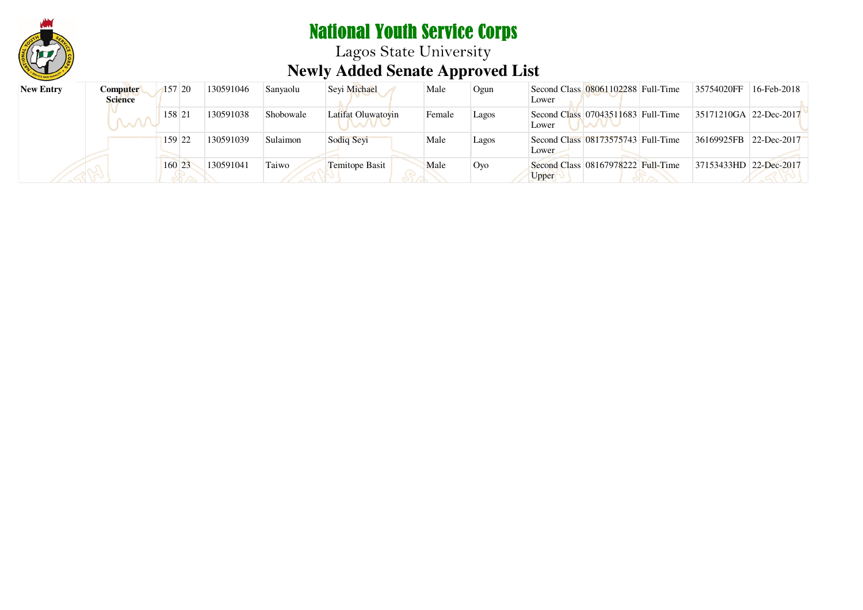

Lagos State University **Newly Added Senate Approved List**

| <b>New Entry</b> | Computer<br><b>Science</b> | 157 20 | 130591046 | Sanyaolu  | Sevi Michael       | Male   | Ogun  | Second Class 08061102288 Full-Time<br>Lower | 35754020FF             | 16-Feb-2018 |
|------------------|----------------------------|--------|-----------|-----------|--------------------|--------|-------|---------------------------------------------|------------------------|-------------|
|                  |                            | 158 21 | 130591038 | Shobowale | Latifat Oluwatoyin | Female | Lagos | Second Class 07043511683 Full-Time<br>Lower | 35171210GA 22-Dec-2017 |             |
|                  |                            | 159 22 | 130591039 | Sulaimon  | Sodiq Seyi         | Male   | Lagos | Second Class 08173575743 Full-Time<br>Lower | 36169925FB             | 22-Dec-2017 |
|                  |                            | 160 23 | 130591041 | Taiwo     | Temitope Basit     | Male   | Oyo   | Second Class 08167978222 Full-Time<br>Upper | 37153433HD 22-Dec-2017 |             |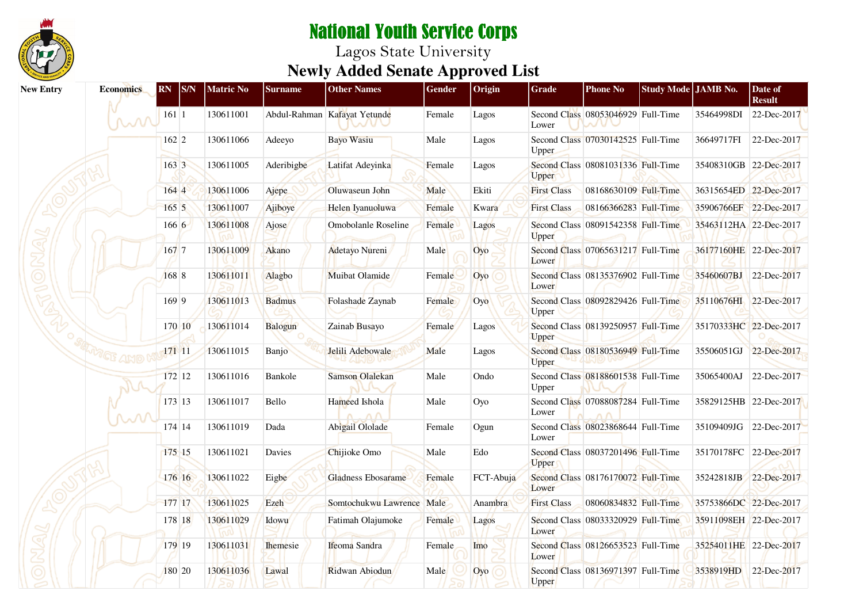

| <b>New Entry</b> | <b>Economics</b>   | RN           | S/N    | <b>Matric No</b> | <b>Surname</b>  | <b>Other Names</b>           | Gender | Origin    | Grade              | <b>Phone No</b>                    | Study Mode JAMB No. |                        | Date of<br><b>Result</b> |
|------------------|--------------------|--------------|--------|------------------|-----------------|------------------------------|--------|-----------|--------------------|------------------------------------|---------------------|------------------------|--------------------------|
|                  | $\sim$             | $161 \mid 1$ |        | 130611001        |                 | Abdul-Rahman Kafayat Yetunde | Female | Lagos     | Lower              | Second Class 08053046929 Full-Time |                     | 35464998DI             | 22-Dec-2017              |
|                  |                    | 162 2        |        | 130611066        | Adeeyo          | <b>Bayo Wasiu</b>            | Male   | Lagos     | Upper              | Second Class 07030142525 Full-Time |                     | 36649717FI             | 22-Dec-2017              |
|                  |                    | 163 3        |        | 130611005        | Aderibigbe      | Latifat Adeyinka             | Female | Lagos     | Upper              | Second Class 08081031336 Full-Time |                     | 35408310GB 22-Dec-2017 |                          |
|                  |                    | 1644         |        | 130611006        | Ajepe           | Oluwaseun John               | Male   | Ekiti     | <b>First Class</b> | 08168630109 Full-Time              |                     | 36315654ED 22-Dec-2017 |                          |
|                  |                    | 1655         |        | 130611007        | Ajiboye         | Helen Iyanuoluwa             | Female | Kwara     | <b>First Class</b> | 08166366283 Full-Time              |                     | 35906766EF 22-Dec-2017 |                          |
|                  |                    | 1666         |        | 130611008        | Ajose           | Omobolanle Roseline          | Female | Lagos     | Upper              | Second Class 08091542358 Full-Time |                     | 35463112HA 22-Dec-2017 |                          |
|                  |                    | 167 7        |        | 130611009        | Akano           | Adetayo Nureni               | Male   | Oyo       | Lower              | Second Class 07065631217 Full-Time |                     | 36177160HE 22-Dec-2017 |                          |
|                  |                    | 168 8        |        | 130611011        | Alagbo          | Muibat Olamide               | Female | Oyo       | Lower              | Second Class 08135376902 Full-Time |                     | 35460607BJ 22-Dec-2017 |                          |
|                  |                    | 169 9        |        | 130611013        | <b>Badmus</b>   | Folashade Zaynab             | Female | Oyo       | Upper              | Second Class 08092829426 Full-Time |                     | 35110676HI 22-Dec-2017 |                          |
|                  |                    |              | 170 10 | 130611014        | Balogun         | Zainab Busayo                | Female | Lagos     | Upper              | Second Class 08139250957 Full-Time |                     | 35170333HC 22-Dec-2017 |                          |
|                  | <sup>VGF</sup> AMO | 171 11       |        | 130611015        | Banjo           | Jelili Adebowale             | Male   | Lagos     | Upper              | Second Class 08180536949 Full-Time |                     | 35506051GJ 22-Dec-2017 |                          |
|                  |                    |              | 172 12 | 130611016        | Bankole         | <b>Samson Olalekan</b>       | Male   | Ondo      | Upper              | Second Class 08188601538 Full-Time |                     | 35065400AJ             | 22-Dec-2017              |
|                  | ᆻ୵                 |              | 173 13 | 130611017        | Bello           | Hameed Ishola                | Male   | Oyo       | Lower              | Second Class 07088087284 Full-Time |                     | 35829125HB 22-Dec-2017 |                          |
|                  |                    |              | 174 14 | 130611019        | Dada            | Abigail Ololade              | Female | Ogun      | Lower              | Second Class 08023868644 Full-Time |                     | 35109409JG 22-Dec-2017 |                          |
|                  |                    |              | 175 15 | 130611021        | Davies          | Chijioke Omo                 | Male   | Edo       | Upper              | Second Class 08037201496 Full-Time |                     | 35170178FC 22-Dec-2017 |                          |
|                  |                    |              | 176 16 | 130611022        | Eigbe           | Gladness Ebosarame           | Female | FCT-Abuja | Lower              | Second Class 08176170072 Full-Time |                     | 35242818JB 22-Dec-2017 |                          |
|                  |                    | 177 17       |        | 130611025        | Ezeh            | Somtochukwu Lawrence Male    |        | Anambra   | <b>First Class</b> | 08060834832 Full-Time              |                     | 35753866DC 22-Dec-2017 |                          |
|                  |                    |              | 178 18 | 130611029        | Idowu           | Fatimah Olajumoke            | Female | Lagos     | Lower              | Second Class 08033320929 Full-Time |                     | 35911098EH 22-Dec-2017 |                          |
|                  |                    |              | 179 19 | 130611031        | <b>Ihemesie</b> | Ifeoma Sandra                | Female | Imo       | Lower              | Second Class 08126653523 Full-Time |                     | 35254011HE 22-Dec-2017 |                          |
|                  |                    |              | 180 20 | 130611036        | Lawal           | Ridwan Abiodun               | Male   | Oyo       | <b>Upper</b>       | Second Class 08136971397 Full-Time |                     | 3538919HD              | 22-Dec-2017              |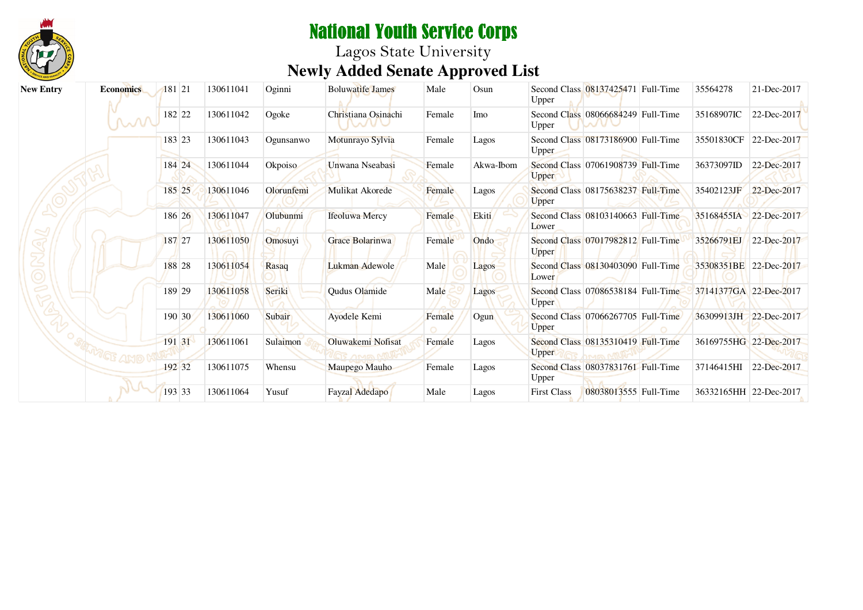

# National Youth Service Corps Lagos State University **Newly Added Senate Approved List**

| <b>New Entry</b> | <b>Economics</b> | 181 21 | 130611041 | Oginni     | <b>Boluwatife James</b>      | Male   | Osun      | Upper              | Second Class 08137425471 Full-Time | 35564278               | 21-Dec-2017 |
|------------------|------------------|--------|-----------|------------|------------------------------|--------|-----------|--------------------|------------------------------------|------------------------|-------------|
|                  | MM               | 182 22 | 130611042 | Ogoke      | Christiana Osinachi<br>TWU V | Female | Imo       | Upper              | Second Class 08066684249 Full-Time | 35168907IC             | 22-Dec-2017 |
|                  |                  | 183 23 | 130611043 | Ogunsanwo  | Motunrayo Sylvia             | Female | Lagos     | <b>Upper</b>       | Second Class 08173186900 Full-Time | 35501830CF             | 22-Dec-2017 |
|                  |                  | 184 24 | 130611044 | Okpoiso    | Unwana Nseabasi              | Female | Akwa-Ibom | <b>Upper</b>       | Second Class 07061908739 Full-Time | 36373097ID             | 22-Dec-2017 |
|                  |                  | 185 25 | 130611046 | Olorunfemi | Mulikat Akorede              | Female | Lagos     | Upper              | Second Class 08175638237 Full-Time | 35402123JF             | 22-Dec-2017 |
|                  |                  | 186 26 | 130611047 | Olubunmi   | <b>Ifeoluwa Mercy</b>        | Female | Ekiti     | Lower              | Second Class 08103140663 Full-Time | 35168455IA 22-Dec-2017 |             |
|                  |                  | 187 27 | 130611050 | Omosuyi    | Grace Bolarinwa              | Female | Ondo      | Upper              | Second Class 07017982812 Full-Time | 35266791EJ             | 22-Dec-2017 |
|                  |                  | 188 28 | 130611054 | Rasaq      | Lukman Adewole               | Male   | Lagos     | Lower              | Second Class 08130403090 Full-Time | 35308351BE 22-Dec-2017 |             |
|                  |                  | 189 29 | 130611058 | Seriki     | Qudus Olamide                | Male   | Lagos     | Upper              | Second Class 07086538184 Full-Time | 37141377GA 22-Dec-2017 |             |
|                  |                  | 190 30 | 130611060 | Subair     | Ayodele Kemi                 | Female | Ogun      | Upper              | Second Class 07066267705 Full-Time | 36309913JH 22-Dec-2017 |             |
|                  |                  | 191 31 | 130611061 | Sulaimon   | Oluwakemi Nofisat            | Female | Lagos     | <b>Upper</b>       | Second Class 08135310419 Full-Time | 36169755HG 22-Dec-2017 |             |
|                  |                  | 192 32 | 130611075 | Whensu     | Maupego Mauho                | Female | Lagos     | Upper              | Second Class 08037831761 Full-Time | 37146415HI             | 22-Dec-2017 |
|                  |                  | 193 33 | 130611064 | Yusuf      | Fayzal Adedapo               | Male   | Lagos     | <b>First Class</b> | 08038013555 Full-Time              | 36332165HH 22-Dec-2017 |             |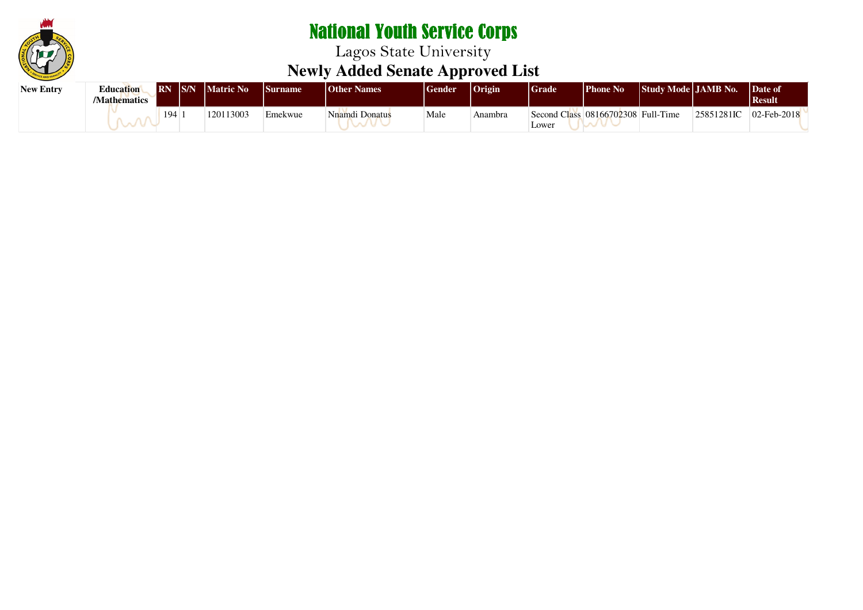

| <b>New Entry</b> | <b>Education</b><br><b>Mathematics</b> | S/N <br><b>IRN</b> | <b>Matric No</b> | <b>Surname</b> | <b>Other Names</b> | <b>Gender</b> | $ $ Origin | Grade | <b>Phone No</b>                    | Study Mode JAMB No. |            | Date of<br><b>Result</b>   |  |
|------------------|----------------------------------------|--------------------|------------------|----------------|--------------------|---------------|------------|-------|------------------------------------|---------------------|------------|----------------------------|--|
|                  |                                        | 194                | 120113003        | Emekwue        | Nnamdi Donatus     | Male          | Anambra    | Lower | Second Class 08166702308 Full-Time |                     | 25851281IC | $ 02 - \text{Feb} - 2018 $ |  |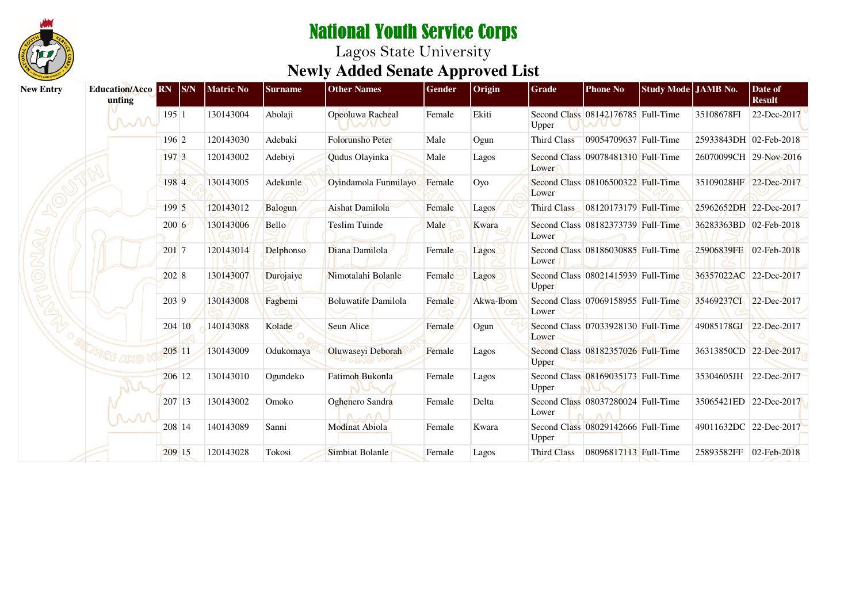

| <b>New Entry</b> | <b>Education/Acco RN</b><br>unting | SNN        | <b>Matric No</b> | <b>Surname</b> | <b>Other Names</b>         | Gender | Origin    | Grade              | <b>Phone No</b>                                         | Study Mode JAMB No. |                        | Date of<br><b>Result</b> |
|------------------|------------------------------------|------------|------------------|----------------|----------------------------|--------|-----------|--------------------|---------------------------------------------------------|---------------------|------------------------|--------------------------|
|                  | MM                                 | 195 1      | 130143004        | Abolaji        | Opeoluwa Racheal           | Female | Ekiti     | Upper              | Second Class 08142176785 Full-Time                      |                     | 35108678FI             | 22-Dec-2017              |
|                  |                                    | 196 2      | 120143030        | Adebaki        | <b>Folorunsho Peter</b>    | Male   | Ogun      | Third Class        | 09054709637 Full-Time                                   |                     | 25933843DH 02-Feb-2018 |                          |
|                  |                                    | 197 3      | 120143002        | Adebiyi        | Qudus Olayinka             | Male   | Lagos     | Lower              | Second Class 09078481310 Full-Time                      |                     |                        | 26070099CH 29-Nov-2016   |
|                  |                                    | 1984       | 130143005        | Adekunle       | Ovindamola Funmilayo       | Female | Oyo       | Lower              | Second Class 08106500322 Full-Time                      |                     | 35109028HF 22-Dec-2017 |                          |
|                  |                                    | 199 5      | 120143012        | Balogun        | <b>Aishat Damilola</b>     | Female | Lagos     | Third Class        | 08120173179 Full-Time                                   |                     | 25962652DH 22-Dec-2017 |                          |
|                  |                                    | $200 \, 6$ | 130143006        | <b>Bello</b>   | Teslim Tuinde              | Male   | Kwara     | Lower              | Second Class 08182373739 Full-Time                      |                     | 36283363BD 02-Feb-2018 |                          |
|                  |                                    | 201 7      | 120143014        | Delphonso      | Diana Damilola             | Female | Lagos     | Lower              | Second Class 08186030885 Full-Time                      |                     | 25906839FE 02-Feb-2018 |                          |
|                  |                                    | 2028       | 130143007        | Durojaiye      | Nimotalahi Bolanle         | Female | Lagos     | <b>Upper</b>       | Second Class 08021415939 Full-Time                      |                     | 36357022AC 22-Dec-2017 |                          |
|                  |                                    | 203 9      | 130143008        | Fagbemi        | <b>Boluwatife Damilola</b> | Female | Akwa-Ibom | Lower              | Second Class 07069158955 Full-Time                      |                     | 35469237CI 22-Dec-2017 |                          |
|                  |                                    | 204 10     | 140143088        | Kolade         | Seun Alice                 | Female | Ogun      | Lower              | Second Class 07033928130 Full-Time                      |                     | 49085178GJ             | 22-Dec-2017              |
|                  |                                    | 205 11     | 130143009        | Odukomaya      | Oluwaseyi Deborah          | Female | Lagos     | <b>Upper</b>       | Second Class 08182357026 Full-Time                      |                     |                        | 36313850CD 22-Dec-2017   |
|                  |                                    | 206 12     | 130143010        | Ogundeko       | <b>Fatimoh Bukonla</b>     | Female | Lagos     | Upper              | Second Class 08169035173 Full-Time                      |                     | 35304605JH             | 22-Dec-2017              |
|                  | M                                  | 207 13     | 130143002        | Omoko          | Oghenero Sandra            | Female | Delta     | Lower              | Second Class 08037280024 Full-Time<br>$\wedge$ $\wedge$ |                     |                        | 35065421ED 22-Dec-2017   |
|                  |                                    | 208 14     | 140143089        | Sanni          | <b>Modinat Abiola</b>      | Female | Kwara     | Upper              | Second Class 08029142666 Full-Time                      |                     | 49011632DC 22-Dec-2017 |                          |
|                  |                                    | 209 15     | 120143028        | Tokosi         | Simbiat Bolanle            | Female | Lagos     | <b>Third Class</b> | 08096817113 Full-Time                                   |                     | 25893582FF 02-Feb-2018 |                          |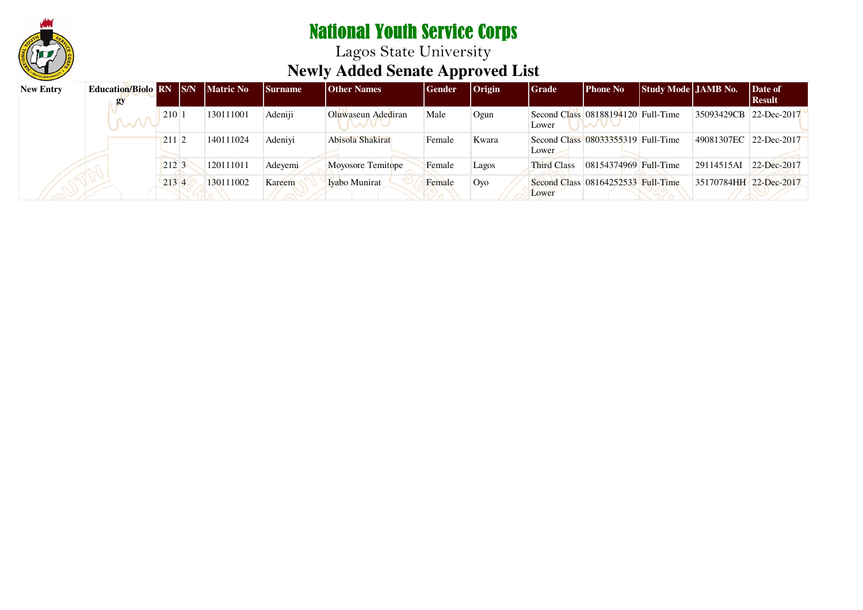

| <b>New Entry</b> | <b>Education/Biolo RN S/N</b><br>gy |       | <b>Matric No</b> | <b>Surname</b> | <b>Other Names</b>            | <b>Gender</b> | $ O$ rigin | Grade              | Phone No                           | <b>Study Mode JAMB No.</b> |                        | Date of<br>  Result |
|------------------|-------------------------------------|-------|------------------|----------------|-------------------------------|---------------|------------|--------------------|------------------------------------|----------------------------|------------------------|---------------------|
|                  | M                                   | 210   | 130111001        | Adeniji        | Oluwaseun Adediran<br>11.0003 | Male          | Ogun       | Lower              | Second Class 08188194120 Full-Time |                            | 35093429CB 22-Dec-2017 |                     |
|                  |                                     | 211 2 | 140111024        | Adeniyi        | Abisola Shakirat              | Female        | Kwara      | Lower              | Second Class 08033355319 Full-Time |                            | 49081307EC 22-Dec-2017 |                     |
|                  |                                     | 212 3 | 120111011        | Adevemi        | Moyosore Temitope             | Female        | Lagos      | <b>Third Class</b> | 08154374969 Full-Time              |                            | 29114515AI             | 22-Dec-2017         |
|                  |                                     | 2134  | 130111002        | Kareem         | Iyabo Munirat                 | Female        | Oyo        | Lower              | Second Class 08164252533 Full-Time |                            | 35170784HH 22-Dec-2017 |                     |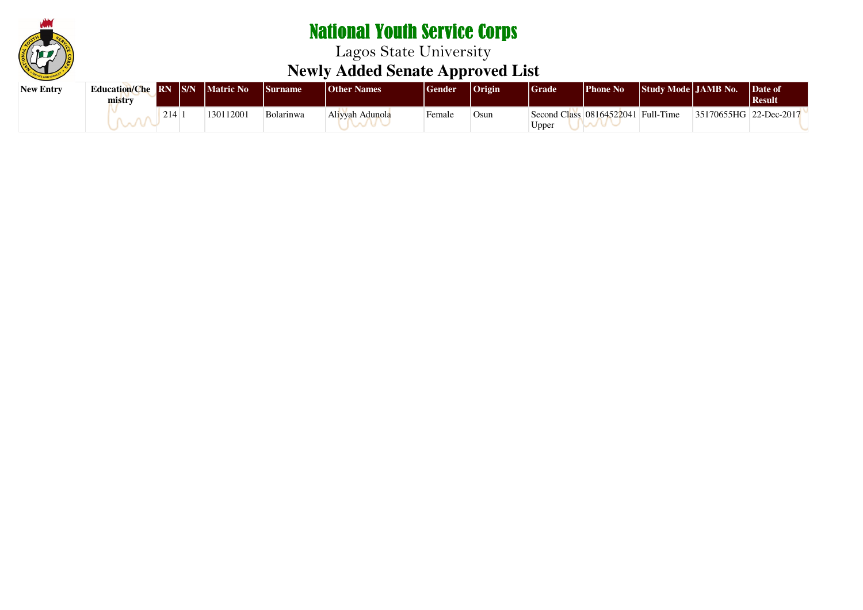

| <b>New Entry</b> | <b>Education/Che RN S/N Matric No \</b><br>mistrv |     |           | <b>Surname</b> | <b>Other Names</b> | Gender | $ O$ rigin | Grade | <b>Phone No</b>                    | <b>Study Mode LIAMB No.</b> |                        | Date of<br><b>Result</b> |
|------------------|---------------------------------------------------|-----|-----------|----------------|--------------------|--------|------------|-------|------------------------------------|-----------------------------|------------------------|--------------------------|
|                  |                                                   | 214 | 130112001 | Bolarinwa      | Aliyyah Adunola    | Female | Osun       | Upper | Second Class 08164522041 Full-Time |                             | 35170655HG 22-Dec-2017 |                          |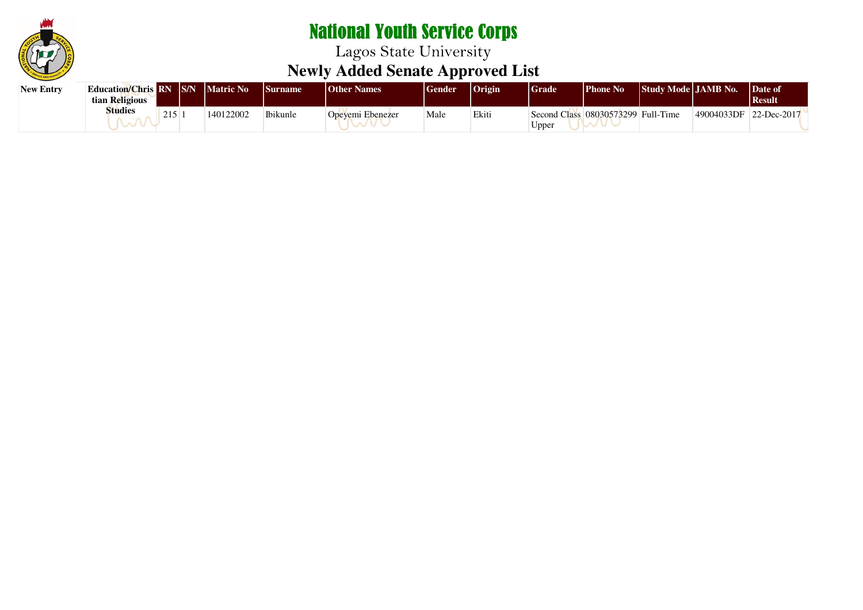

| <b>New Entry</b> | <b>Education/Chris RN S/N</b><br>tian Religious |            | <b>Matric No</b> | <i><b>Surname</b></i> | <b>Other Names</b> | Gender | <b>Origin</b> | Grade | Phone No                           | <b>Study Mode LIAMB No.</b> |            | Date of<br><b>Result</b> |
|------------------|-------------------------------------------------|------------|------------------|-----------------------|--------------------|--------|---------------|-------|------------------------------------|-----------------------------|------------|--------------------------|
|                  | <b>Studies</b>                                  | 215<br>212 | 140122002        | Ibikunle              | Opevemi Ebenezer   | Male   | Ekiti         | Jpper | Second Class 08030573299 Full-Time |                             | 49004033DF | 22-Dec-2017              |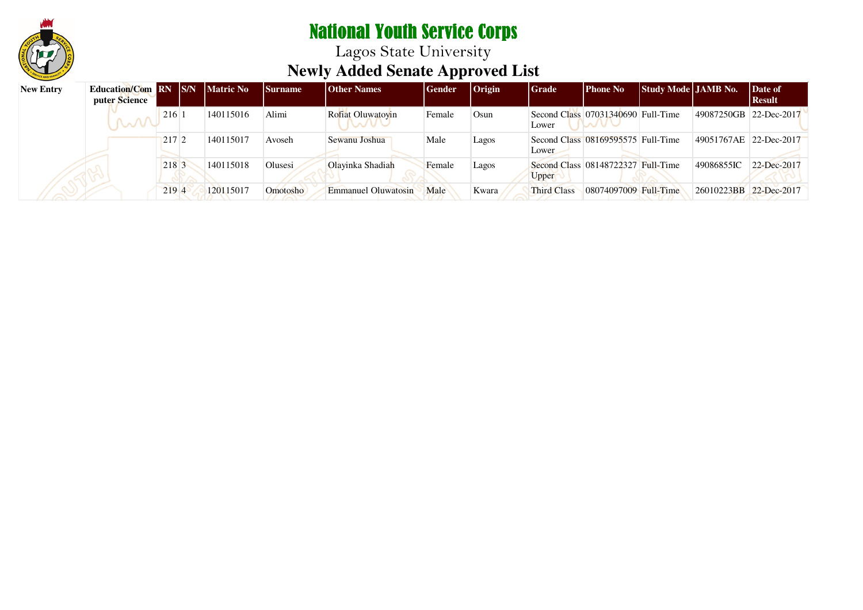

| <b>New Entry</b> | <b>Education/Com RN S/N</b><br>puter Science |       | <b>Matric No</b> | <b>Surname</b> | <b>Other Names</b>  | <b>Gender</b> | $ O$ rigin | Grade              | Phone No                           | Study Mode   JAMB No. |                        | Date of<br>  Result |
|------------------|----------------------------------------------|-------|------------------|----------------|---------------------|---------------|------------|--------------------|------------------------------------|-----------------------|------------------------|---------------------|
|                  | <b>W</b>                                     | 216   | 140115016        | Alimi          | Rofiat Oluwatovin   | Female        | Osun       | Lower              | Second Class 07031340690 Full-Time |                       | 49087250GB 22-Dec-2017 |                     |
|                  |                                              | 2172  | 140115017        | Avoseh         | Sewanu Joshua       | Male          | Lagos      | Lower              | Second Class 08169595575 Full-Time |                       | 49051767AE 22-Dec-2017 |                     |
|                  |                                              | 218 3 | 140115018        | Olusesi        | Olayinka Shadiah    | Female        | Lagos      | Upper              | Second Class 08148722327 Full-Time |                       | 49086855IC             | 22-Dec-2017         |
|                  |                                              | 219 4 | 120115017        | Omotosho       | Emmanuel Oluwatosin | Male          | Kwara      | <b>Third Class</b> | 08074097009 Full-Time              |                       | 26010223BB 22-Dec-2017 |                     |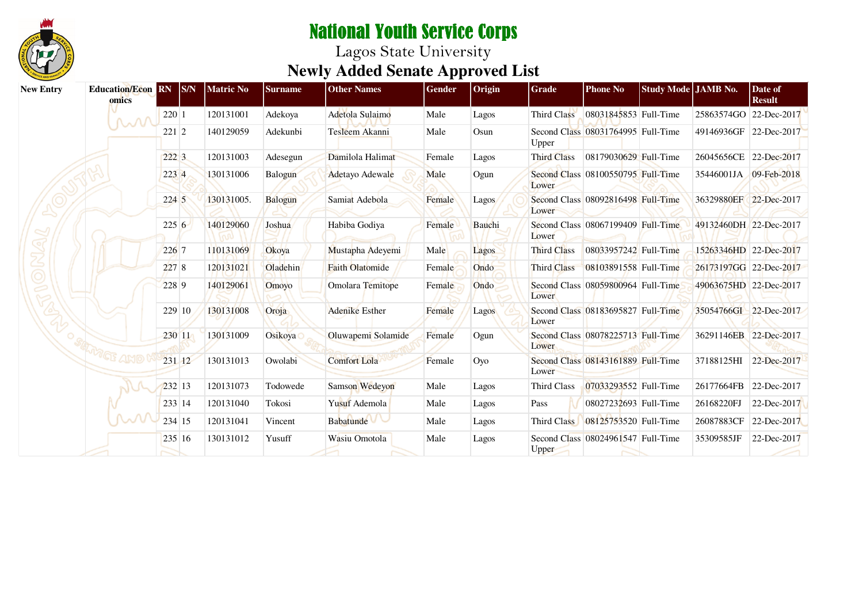

| <b>New Entry</b> | <b>Education/Econ</b><br>omics |            | $\overline{\mathbf{R}}\mathbf{N}$ $\overline{\mathbf{S}}\mathbf{N}$ | Matric No  | <b>Surname</b> | <b>Other Names</b>     | Gender | Origin       | Grade              | <b>Phone No</b>                    | Study Mode JAMB No. |                        | Date of<br><b>Result</b> |
|------------------|--------------------------------|------------|---------------------------------------------------------------------|------------|----------------|------------------------|--------|--------------|--------------------|------------------------------------|---------------------|------------------------|--------------------------|
|                  | M                              | 220 1      |                                                                     | 120131001  | Adekoya        | Adetola Sulaimo        | Male   | Lagos        | Third Class        | 08031845853 Full-Time              |                     | 25863574GO             | 22-Dec-2017              |
|                  |                                | $221 \, 2$ |                                                                     | 140129059  | Adekunbi       | Tesleem Akanni         | Male   | Osun         | Upper              | Second Class 08031764995 Full-Time |                     | 49146936GF 22-Dec-2017 |                          |
|                  |                                | 2223       |                                                                     | 120131003  | Adesegun       | Damilola Halimat       | Female | Lagos        | <b>Third Class</b> | 08179030629 Full-Time              |                     | 26045656CE 22-Dec-2017 |                          |
|                  |                                | 223 4      |                                                                     | 130131006  | Balogun        | Adetayo Adewale        | Male   | Ogun         | Lower              | Second Class 08100550795 Full-Time |                     | 35446001JA 09-Feb-2018 |                          |
|                  |                                | 2245       |                                                                     | 130131005. | Balogun        | Samiat Adebola         | Female | Lagos        | Lower              | Second Class 08092816498 Full-Time |                     | 36329880EF 22-Dec-2017 |                          |
|                  |                                | $225\,6$   |                                                                     | 140129060  | Joshua         | Habiba Godiya          | Female | Bauchi       | Lower              | Second Class 08067199409 Full-Time |                     | 49132460DH 22-Dec-2017 |                          |
|                  |                                | 226 7      |                                                                     | 110131069  | Okoya          | Mustapha Adeyemi       | Male   | Lagos        | Third Class        | 08033957242 Full-Time              |                     |                        | 15263346HD 22-Dec-2017   |
|                  |                                | 2278       |                                                                     | 120131021  | Oladehin       | <b>Faith Olatomide</b> | Female | Ondo         | Third Class        | 08103891558 Full-Time              |                     | 26173197GG 22-Dec-2017 |                          |
|                  |                                | 228 9      |                                                                     | 140129061  | Omoyo          | Omolara Temitope       | Female | Ondo         | Lower              | Second Class 08059800964 Full-Time |                     | 49063675HD 22-Dec-2017 |                          |
|                  |                                |            | 229 10                                                              | 130131008  | Oroja          | <b>Adenike Esther</b>  | Female | <b>Lagos</b> | Lower              | Second Class 08183695827 Full-Time |                     | 35054766GI 22-Dec-2017 |                          |
|                  |                                |            | 230 11                                                              | 130131009  | Osikoya        | Oluwapemi Solamide     | Female | Ogun         | Lower              | Second Class 08078225713 Full-Time |                     | 36291146EB 22-Dec-2017 |                          |
|                  | "GF AMO                        | 231 12     |                                                                     | 130131013  | Owolabi        | <b>Comfort Lola</b>    | Female | Oyo          | Lower              | Second Class 08143161889 Full-Time |                     | 37188125HI             | 22-Dec-2017              |
|                  |                                | 232 13     |                                                                     | 120131073  | Todowede       | Samson Wedeyon         | Male   | Lagos        | Third Class        | 07033293552 Full-Time              |                     | 26177664FB             | 22-Dec-2017              |
|                  |                                | 233 14     |                                                                     | 120131040  | Tokosi         | Yusuf Ademola          | Male   | Lagos        | Pass               | 08027232693 Full-Time              |                     | 26168220FJ             | 22-Dec-2017              |
|                  |                                | 234 15     |                                                                     | 120131041  | Vincent        | Babatunde V            | Male   | Lagos        | Third Class        | 08125753520 Full-Time              |                     | 26087883CF             | 22-Dec-2017              |
|                  |                                |            | 235 16                                                              | 130131012  | Yusuff         | Wasiu Omotola          | Male   | Lagos        | <b>Upper</b>       | Second Class 08024961547 Full-Time |                     | 35309585JF             | 22-Dec-2017              |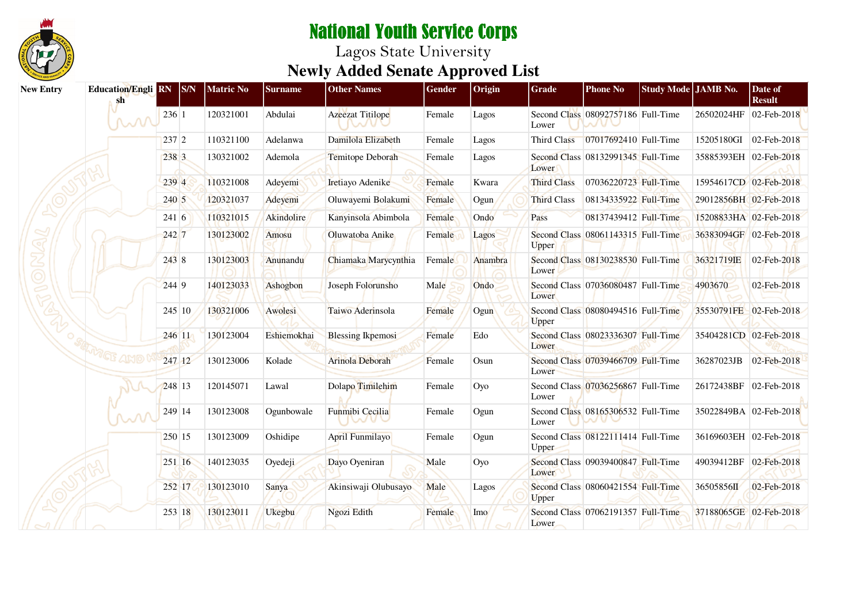

| <b>New Entry</b> | <b>Education/Engli RN</b><br>sh |        | S/N    | <b>Matric No</b> | <b>Surname</b> | <b>Other Names</b>       | Gender | Origin  | Grade              | <b>Phone No</b>                    | Study Mode JAMB No. |                        | Date of<br><b>Result</b> |
|------------------|---------------------------------|--------|--------|------------------|----------------|--------------------------|--------|---------|--------------------|------------------------------------|---------------------|------------------------|--------------------------|
|                  | M                               | 236 1  |        | 120321001        | Abdulai        | Azeezat Titilope         | Female | Lagos   | Lower              | Second Class 08092757186 Full-Time |                     | 26502024HF             | 02-Feb-2018              |
|                  |                                 | 237 2  |        | 110321100        | Adelanwa       | Damilola Elizabeth       | Female | Lagos   | <b>Third Class</b> | 07017692410 Full-Time              |                     | 15205180GI             | 02-Feb-2018              |
|                  |                                 | 238 3  |        | 130321002        | Ademola        | Temitope Deborah         | Female | Lagos   | Lower              | Second Class 08132991345 Full-Time |                     | 35885393EH 02-Feb-2018 |                          |
|                  |                                 | 239 4  |        | 110321008        | Adeyemi        | Iretiayo Adenike         | Female | Kwara   | <b>Third Class</b> | 07036220723 Full-Time              |                     | 15954617CD 02-Feb-2018 |                          |
|                  |                                 | 240 5  |        | 120321037        | Adeyemi        | Oluwayemi Bolakumi       | Female | Ogun    | <b>Third Class</b> | 08134335922 Full-Time              |                     | 29012856BH 02-Feb-2018 |                          |
|                  |                                 | 2416   |        | 110321015        | Akindolire     | Kanyinsola Abimbola      | Female | Ondo    | Pass               | 08137439412 Full-Time              |                     | 15208833HA 02-Feb-2018 |                          |
|                  |                                 | 242 7  |        | 130123002        | Amosu          | Oluwatoba Anike          | Female | Lagos   | <b>Upper</b>       | Second Class 08061143315 Full-Time |                     | 36383094GF 02-Feb-2018 |                          |
|                  |                                 | 243 8  |        | 130123003        | Anunandu       | Chiamaka Marycynthia     | Female | Anambra | Lower              | Second Class 08130238530 Full-Time |                     | 36321719IE             | 02-Feb-2018              |
|                  |                                 | 244 9  |        | 140123033        | Ashogbon       | Joseph Folorunsho        | Male   | Ondo    | Lower              | Second Class 07036080487 Full-Time |                     | 4903670                | 02-Feb-2018              |
|                  |                                 |        | 245 10 | 130321006        | Awolesi        | Taiwo Aderinsola         | Female | Ogun    | Upper              | Second Class 08080494516 Full-Time |                     | 35530791FE 02-Feb-2018 |                          |
|                  |                                 | 246 11 |        | 130123004        | Eshiemokhai    | <b>Blessing Ikpemosi</b> | Female | Edo     | Lower              | Second Class 08023336307 Full-Time |                     | 35404281CD 02-Feb-2018 |                          |
|                  |                                 | 247 12 |        | 130123006        | Kolade         | Arinola Deborah          | Female | Osun    | Lower              | Second Class 07039466709 Full-Time |                     | 36287023JB             | 02-Feb-2018              |
|                  |                                 | 248 13 |        | 120145071        | Lawal          | Dolapo Timilehim         | Female | Oyo     | Lower              | Second Class 07036256867 Full-Time |                     | 26172438BF 02-Feb-2018 |                          |
|                  |                                 | 249 14 |        | 130123008        | Ogunbowale     | Funmibi Cecilia          | Female | Ogun    | Lower              | Second Class 08165306532 Full-Time |                     | 35022849BA 02-Feb-2018 |                          |
|                  |                                 | 250 15 |        | 130123009        | Oshidipe       | <b>April Funmilayo</b>   | Female | Ogun    | Upper              | Second Class 08122111414 Full-Time |                     | 36169603EH 02-Feb-2018 |                          |
|                  |                                 |        | 251 16 | 140123035        | Oyedeji        | Dayo Oyeniran            | Male   | Oyo     | Lower              | Second Class 09039400847 Full-Time |                     | 49039412BF             | 02-Feb-2018              |
|                  |                                 | 252 17 |        | 130123010        | Sanya          | Akinsiwaji Olubusayo     | Male   | Lagos   | Upper              | Second Class 08060421554 Full-Time |                     | 36505856II             | 02-Feb-2018              |
|                  |                                 | 253 18 |        | 130123011        | Ukegbu         | Ngozi Edith              | Female | Imo     | Lower              | Second Class 07062191357 Full-Time |                     | 37188065GE 02-Feb-2018 |                          |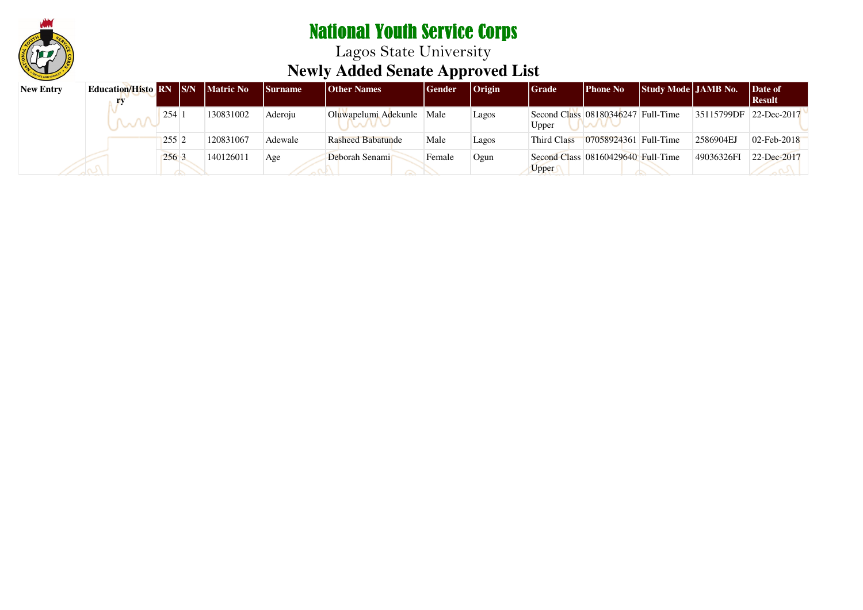

Lagos State University **Newly Added Senate Approved List**

| <b>New Entry</b> | <b>Education/Histo RN S/N</b> |                  | <b>Matric No</b> | Surname | <b>Other Names</b>       | Gender | $ O$ rigin | <b>Grade</b> | Phone No                           | <b>Study Mode   JAMB No.</b> |                        | Date of<br>  Result |
|------------------|-------------------------------|------------------|------------------|---------|--------------------------|--------|------------|--------------|------------------------------------|------------------------------|------------------------|---------------------|
|                  |                               | 254              | 130831002        | Aderoju | Oluwapelumi Adekunle     | Male   | Lagos      | Upper        | Second Class 08180346247 Full-Time |                              | 35115799DF 22-Dec-2017 |                     |
|                  |                               | 255              | 120831067        | Adewale | <b>Rasheed Babatunde</b> | Male   | Lagos      | Third Class  | 07058924361 Full-Time              |                              | 2586904EJ              | $02$ -Feb-2018      |
|                  |                               | 256 <sup>3</sup> | 140126011        | Age     | Deborah Senami           | Female | Ogun       | Upper        | Second Class 08160429640 Full-Time |                              | 49036326FI             | 22-Dec-2017         |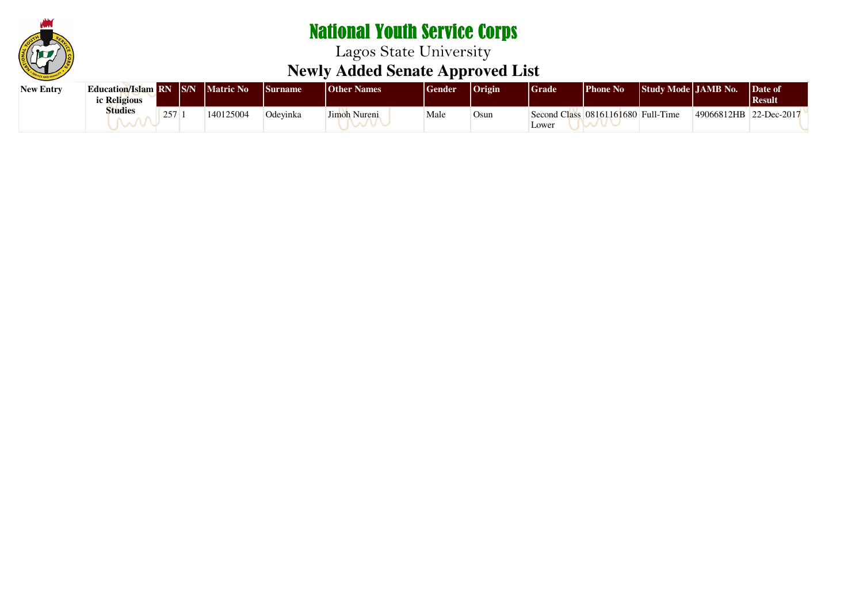

| <b>New Entry</b> | <b>Education/Islam RN S/N Matric No</b><br>ic Religious |     |           | <i>Surname</i> | <b>Other Names</b> | Gender | $ O$ rigin | Grade | Phone No                           | Study Mode JAMB No. |             | Date of<br><b>Result</b> |
|------------------|---------------------------------------------------------|-----|-----------|----------------|--------------------|--------|------------|-------|------------------------------------|---------------------|-------------|--------------------------|
|                  | <b>Studies</b>                                          | 257 | 140125004 | Odevinka       | Jimoh<br>Nureni    | Male   | Osun       | Lower | Second Class 08161161680 Full-Time |                     | 149066812HB | 22-Dec-2017              |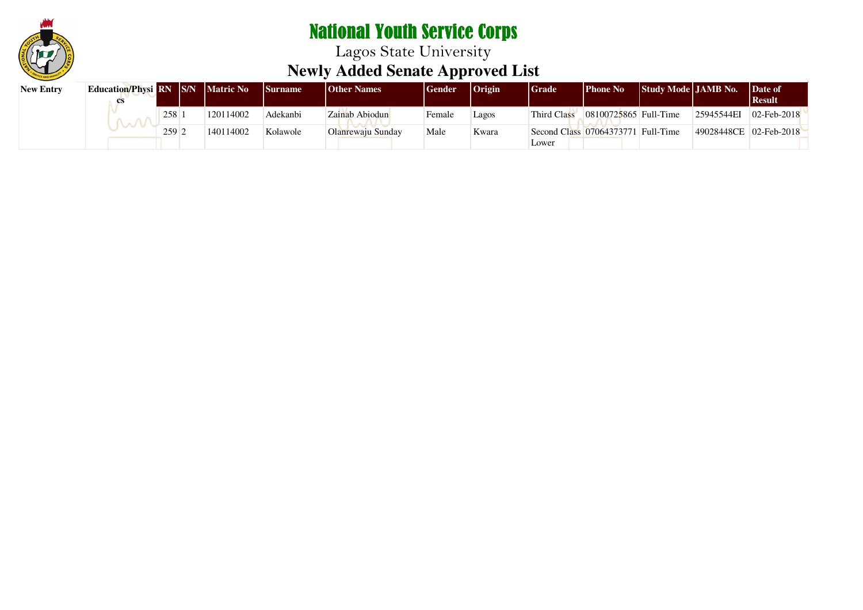

| <b>New Entry</b> | <b>Education/Physi</b> RN S/N Matric No |         |           | <b>Surname</b> | <b>Other Names</b> | <b>Gender</b> | $ $ Origin | <b>Grade</b> | <b>Phone No</b>                    | Study Mode   JAMB No. |                        | Date of<br>  Result |
|------------------|-----------------------------------------|---------|-----------|----------------|--------------------|---------------|------------|--------------|------------------------------------|-----------------------|------------------------|---------------------|
|                  |                                         | 258     | 120114002 | Adekanbi       | Zainab Abiodun     | Female        | Lagos      | Third Class  | 08100725865 Full-Time              |                       | 25945544EI             | $02$ -Feb-2018      |
|                  |                                         | $259$ 2 | 140114002 | Kolawole       | Olanrewaju Sunday  | Male          | Kwara      |              | Second Class 07064373771 Full-Time |                       | 49028448CE 02-Feb-2018 |                     |
|                  |                                         |         |           |                |                    |               |            | Lower        |                                    |                       |                        |                     |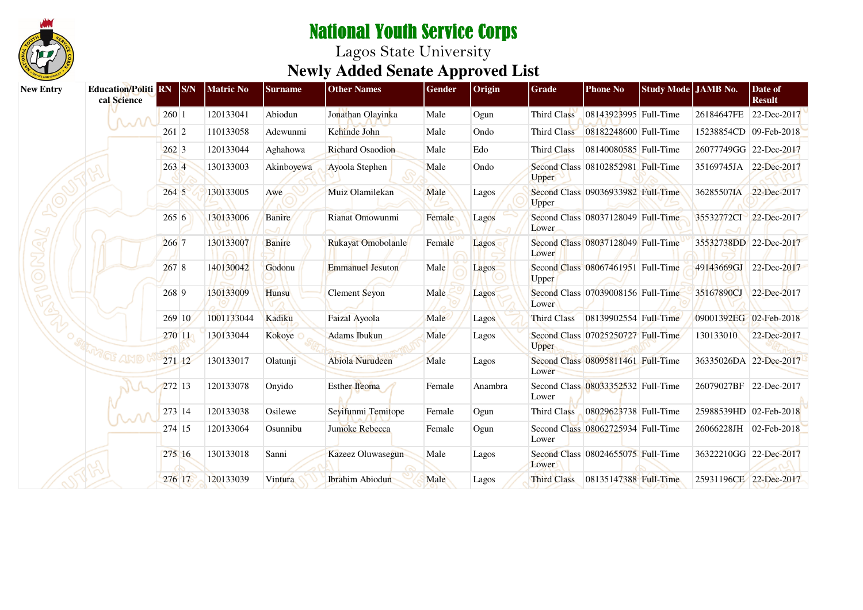

| <b>New Entry</b> | <b>Education/Politi RN S/N</b><br>cal Science |       |        | <b>Matric No</b> | <b>Surname</b> | <b>Other Names</b>      | Gender | Origin  | Grade              | <b>Phone No</b>                    | Study Mode JAMB No. |                        | Date of<br><b>Result</b> |
|------------------|-----------------------------------------------|-------|--------|------------------|----------------|-------------------------|--------|---------|--------------------|------------------------------------|---------------------|------------------------|--------------------------|
|                  | MM                                            | 260 1 |        | 120133041        | Abiodun        | Jonathan Olayinka       | Male   | Ogun    | Third Class        | 08143923995 Full-Time              |                     | 26184647FE             | 22-Dec-2017              |
|                  |                                               | 261 2 |        | 110133058        | Adewunmi       | Kehinde John            | Male   | Ondo    | Third Class        | 08182248600 Full-Time              |                     | 15238854CD 09-Feb-2018 |                          |
|                  |                                               | 2623  |        | 120133044        | Aghahowa       | Richard Osaodion        | Male   | Edo     | Third Class        | 08140080585 Full-Time              |                     | 26077749GG             | 22-Dec-2017              |
|                  |                                               | 263 4 |        | 130133003        | Akinboyewa     | Ayoola Stephen          | Male   | Ondo    | <b>Upper</b>       | Second Class 08102852981 Full-Time |                     | 35169745JA             | 22-Dec-2017              |
|                  |                                               | 264 5 |        | 130133005        | Awe            | Muiz Olamilekan         | Male   | Lagos   | Upper              | Second Class 09036933982 Full-Time |                     | 36285507IA             | 22-Dec-2017              |
|                  |                                               | 265 6 |        | 130133006        | <b>Banire</b>  | Rianat Omowunmi         | Female | Lagos   | Lower              | Second Class 08037128049 Full-Time |                     | 35532772CI 22-Dec-2017 |                          |
|                  |                                               | 266 7 |        | 130133007        | Banire         | Rukayat Omobolanle      | Female | Lagos   | Lower              | Second Class 08037128049 Full-Time |                     | 35532738DD 22-Dec-2017 |                          |
|                  |                                               | 2678  |        | 140130042        | Godonu         | <b>Emmanuel Jesuton</b> | Male   | Lagos   | Upper              | Second Class 08067461951 Full-Time |                     | 49143669GJ             | 22-Dec-2017              |
|                  |                                               | 268 9 |        | 130133009        | Hunsu          | Clement Seyon           | Male   | Lagos   | Lower              | Second Class 07039008156 Full-Time |                     | 35167890CJ             | 22-Dec-2017              |
|                  |                                               |       | 269 10 | 1001133044       | Kadiku         | Faizal Ayoola           | Male   | Lagos   | <b>Third Class</b> | 08139902554 Full-Time              |                     | 09001392EG 02-Feb-2018 |                          |
|                  |                                               |       | 270 11 | 130133044        | Kokoye         | <b>Adams</b> Ibukun     | Male   | Lagos   | Upper              | Second Class 07025250727 Full-Time |                     | 130133010              | 22-Dec-2017              |
|                  | GF AMO                                        |       | 271 12 | 130133017        | Olatunji       | <b>Abiola Nurudeen</b>  | Male   | Lagos   | Lower              | Second Class 08095811461 Full-Time |                     | 36335026DA 22-Dec-2017 |                          |
|                  |                                               |       | 272 13 | 120133078        | Onyido         | Esther Ifeoma           | Female | Anambra | Lower              | Second Class 08033352532 Full-Time |                     | 26079027BF             | 22-Dec-2017              |
|                  |                                               |       | 273 14 | 120133038        | Osilewe        | Seyifunmi Temitope      | Female | Ogun    | Third Class        | 08029623738 Full-Time              |                     | 25988539HD 02-Feb-2018 |                          |
|                  |                                               |       | 274 15 | 120133064        | Osunnibu       | Jumoke Rebecca          | Female | Ogun    | Lower              | Second Class 08062725934 Full-Time |                     | 26066228JH             | 02-Feb-2018              |
|                  |                                               |       | 275 16 | 130133018        | Sanni          | Kazeez Oluwasegun       | Male   | Lagos   | Lower              | Second Class 08024655075 Full-Time |                     | 36322210GG 22-Dec-2017 |                          |
|                  |                                               |       | 276 17 | 120133039        | Vintura        | <b>Ibrahim</b> Abiodun  | Male   | Lagos   | <b>Third Class</b> | 08135147388 Full-Time              |                     | 25931196CE 22-Dec-2017 |                          |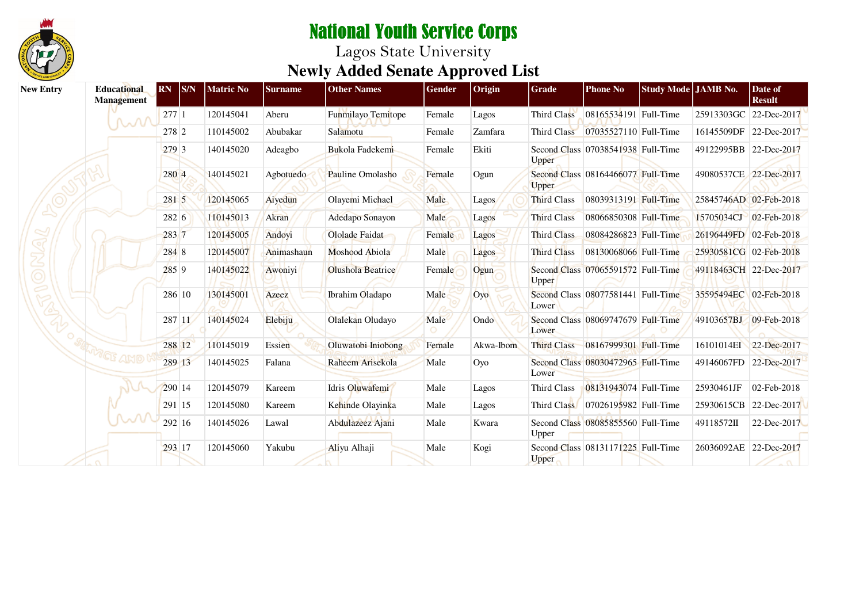

| <b>New Entry</b> | <b>Educational</b><br><b>Management</b> | <b>RN</b> | <b>S/N</b> | <b>Matric No</b> | <b>Surname</b> | <b>Other Names</b>       | Gender | Origin    | Grade              | <b>Phone No</b>                    | Study Mode JAMB No. |            | Date of<br><b>Result</b> |
|------------------|-----------------------------------------|-----------|------------|------------------|----------------|--------------------------|--------|-----------|--------------------|------------------------------------|---------------------|------------|--------------------------|
|                  | M                                       | 277 1     |            | 120145041        | Aberu          | Funmilayo Temitope       | Female | Lagos     | Third Class        | 08165534191 Full-Time              |                     | 25913303GC | 22-Dec-2017              |
|                  |                                         | 278 2     |            | 110145002        | Abubakar       | Salamotu                 | Female | Zamfara   | Third Class        | 07035527110 Full-Time              |                     | 16145509DF | 22-Dec-2017              |
|                  |                                         | 279 3     |            | 140145020        | Adeagbo        | Bukola Fadekemi          | Female | Ekiti     | Upper              | Second Class 07038541938 Full-Time |                     |            | 49122995BB 22-Dec-2017   |
|                  |                                         | 280 4     |            | 140145021        | Agbotuedo      | Pauline Omolasho         | Female | Ogun      | <b>Upper</b>       | Second Class 08164466077 Full-Time |                     |            | 49080537CE 22-Dec-2017   |
|                  |                                         | 281 5     |            | 120145065        | Aiyedun        | Olayemi Michael          | Male   | Lagos     | <b>Third Class</b> | 08039313191 Full-Time              |                     |            | 25845746AD 02-Feb-2018   |
|                  |                                         | 282 6     |            | 110145013        | Akran          | Adedapo Sonayon          | Male   | Lagos     | <b>Third Class</b> | 08066850308 Full-Time              |                     | 15705034CJ | $02$ -Feb-2018           |
|                  |                                         | 283 7     |            | 120145005        | Andoyi         | Ololade Faidat           | Female | Lagos     | Third Class        | 08084286823 Full-Time              |                     |            | 26196449FD 02-Feb-2018   |
|                  |                                         | 284 8     |            | 120145007        | Animashaun     | Moshood Abiola           | Male   | Lagos     | <b>Third Class</b> | 08130068066 Full-Time              |                     |            | 25930581CG 02-Feb-2018   |
|                  |                                         | $285$ 9   |            | 140145022        | Awoniyi        | <b>Olushola Beatrice</b> | Female | Ogun      | <b>Upper</b>       | Second Class 07065591572 Full-Time |                     |            | 49118463CH 22-Dec-2017   |
|                  |                                         |           | 286 10     | 130145001        | Azeez          | Ibrahim Oladapo          | Male   | Oyo       | Lower              | Second Class 08077581441 Full-Time |                     |            | 35595494EC 02-Feb-2018   |
|                  |                                         |           | 287 11     | 140145024        | Elebiju        | Olalekan Oludayo         | Male   | Ondo      | Lower              | Second Class 08069747679 Full-Time |                     | 49103657BJ | 09-Feb-2018              |
|                  |                                         |           | 288 12     | 110145019        | Essien         | Oluwatobi Iniobong       | Female | Akwa-Ibom | <b>Third Class</b> | 08167999301 Full-Time              |                     | 16101014EI | 22-Dec-2017              |
|                  |                                         |           | 289 13     | 140145025        | Falana         | Raheem Arisekola         | Male   | Oyo       | Lower              | Second Class 08030472965 Full-Time |                     | 49146067FD | 22-Dec-2017              |
|                  |                                         |           | 290 14     | 120145079        | Kareem         | Idris Oluwafemi          | Male   | Lagos     | Third Class        | 08131943074 Full-Time              |                     | 25930461JF | 02-Feb-2018              |
|                  |                                         |           | 291 15     | 120145080        | Kareem         | Kehinde Olayinka         | Male   | Lagos     | Third Class        | 07026195982 Full-Time              |                     | 25930615CB | 22-Dec-2017              |
|                  | $\mathcal{M}$                           |           | 292 16     | 140145026        | Lawal          | Abdulazeez Ajani         | Male   | Kwara     | Upper              | Second Class 08085855560 Full-Time |                     | 49118572II | 22-Dec-2017              |
|                  |                                         |           | 293 17     | 120145060        | Yakubu         | Aliyu Alhaji             | Male   | Kogi      | Upper              | Second Class 08131171225 Full-Time |                     | 26036092AE | 22-Dec-2017              |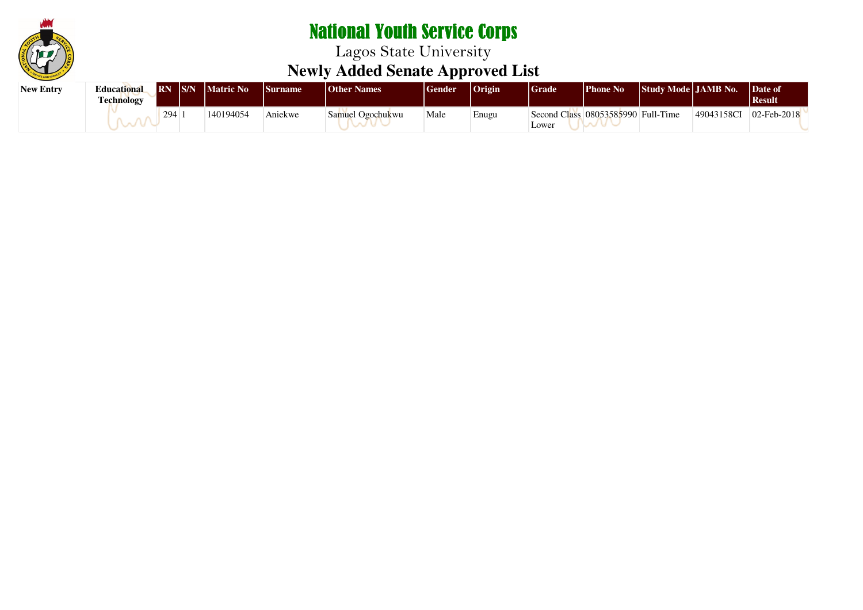

| New Entry | <b>Educational</b><br>Technology |     | <b>RN</b> IS/N Matric No | <b>Surname</b> | <b>Other Names</b> | Gender | $ O$ rigin | Grade | Phone No                           | Study Mode   JAMB No. |            | Date of<br><b>Result</b> |  |
|-----------|----------------------------------|-----|--------------------------|----------------|--------------------|--------|------------|-------|------------------------------------|-----------------------|------------|--------------------------|--|
|           |                                  | 294 | 140194054                | Aniekwe        | Samuel Ogochukwu   | Male   | Enugu      | Lower | Second Class 08053585990 Full-Time |                       | 49043158CI | $02$ -Feb-2018           |  |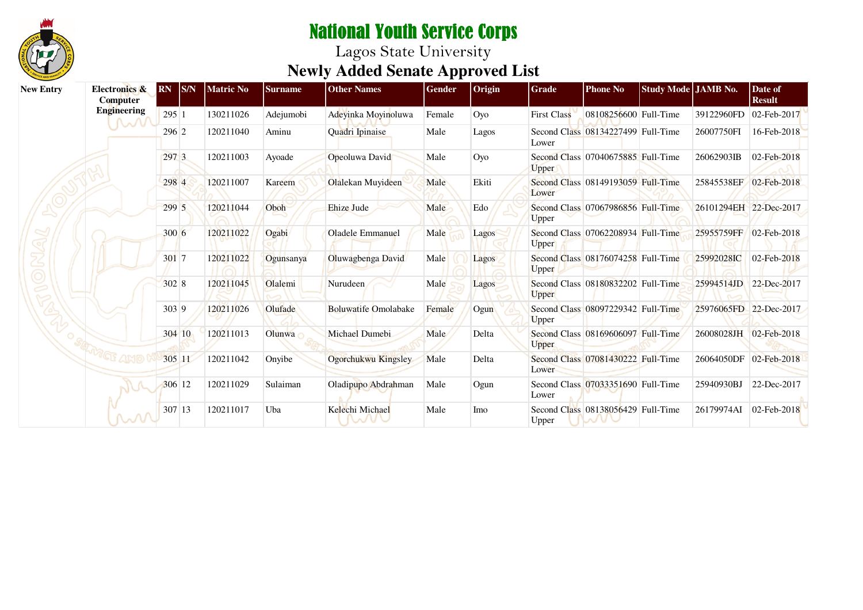

| <b>New Entry</b> | Electronics &<br><b>Computer</b> | <b>RN</b> | <b>S/N</b> | <b>Matric No</b> | <b>Surname</b> | <b>Other Names</b>      | Gender | Origin | Grade              | <b>Phone No</b>                    | Study Mode JAMB No. |                        | Date of<br><b>Result</b> |
|------------------|----------------------------------|-----------|------------|------------------|----------------|-------------------------|--------|--------|--------------------|------------------------------------|---------------------|------------------------|--------------------------|
|                  | <b>Engineering</b>               | 295 1     |            | 130211026        | Adejumobi      | Adeyinka Moyinoluwa     | Female | Oyo    | <b>First Class</b> | 08108256600 Full-Time              |                     | 39122960FD             | 02-Feb-2017              |
|                  | <b>NOVI</b>                      | 296 2     |            | 120211040        | Aminu          | Quadri Ipinaise         | Male   | Lagos  | Lower              | Second Class 08134227499 Full-Time |                     | 26007750FI             | 16-Feb-2018              |
|                  |                                  | 297 3     |            | 120211003        | Ayoade         | Opeoluwa David          | Male   | Oyo    | <b>Upper</b>       | Second Class 07040675885 Full-Time |                     | 26062903IB             | 02-Feb-2018              |
|                  |                                  | 298 4     |            | 120211007        | Kareem         | Olalekan Muyideen       | Male   | Ekiti  | Lower              | Second Class 08149193059 Full-Time |                     | 25845538EF             | 02-Feb-2018              |
|                  |                                  | 299 5     |            | 120211044        | Oboh           | Ehize Jude              | Male   | Edo    | Upper              | Second Class 07067986856 Full-Time |                     | 26101294EH 22-Dec-2017 |                          |
|                  |                                  | 300 6     |            | 120211022        | Ogabi          | <b>Oladele Emmanuel</b> | Male   | Lagos  | <b>Upper</b>       | Second Class 07062208934 Full-Time |                     | 25955759FF             | $02$ -Feb-2018           |
|                  |                                  | 301 7     |            | 120211022        | Ogunsanya      | Oluwagbenga David       | Male   | Lagos  | <b>Upper</b>       | Second Class 08176074258 Full-Time |                     | 25992028IC             | 02-Feb-2018              |
|                  |                                  | 302 8     |            | 120211045        | Olalemi        | Nurudeen                | Male   | Lagos  | <b>Upper</b>       | Second Class 08180832202 Full-Time |                     | 25994514JD             | 22-Dec-2017              |
|                  |                                  | 303 9     |            | 120211026        | Olufade        | Boluwatife Omolabake    | Female | Ogun   | <b>Upper</b>       | Second Class 08097229342 Full-Time |                     | 25976065FD 22-Dec-2017 |                          |
|                  |                                  |           | 304 10     | 120211013        | Olunwa         | Michael Dumebi          | Male   | Delta  | Upper              | Second Class 08169606097 Full-Time |                     | 26008028JH 02-Feb-2018 |                          |
|                  |                                  | 305 11    |            | 120211042        | Onyibe         | Ogorchukwu Kingsley     | Male   | Delta  | Lower              | Second Class 07081430222 Full-Time |                     | 26064050DF             | $02$ -Feb-2018           |
|                  |                                  | 306 12    |            | 120211029        | Sulaiman       | Oladipupo Abdrahman     | Male   | Ogun   | Lower              | Second Class 07033351690 Full-Time |                     | 25940930BJ             | 22-Dec-2017              |
|                  | MM                               | 307 13    |            | 120211017        | Uba            | Kelechi Michael         | Male   | Imo    | Upper              | Second Class 08138056429 Full-Time |                     | 26179974AI             | $02$ -Feb-2018           |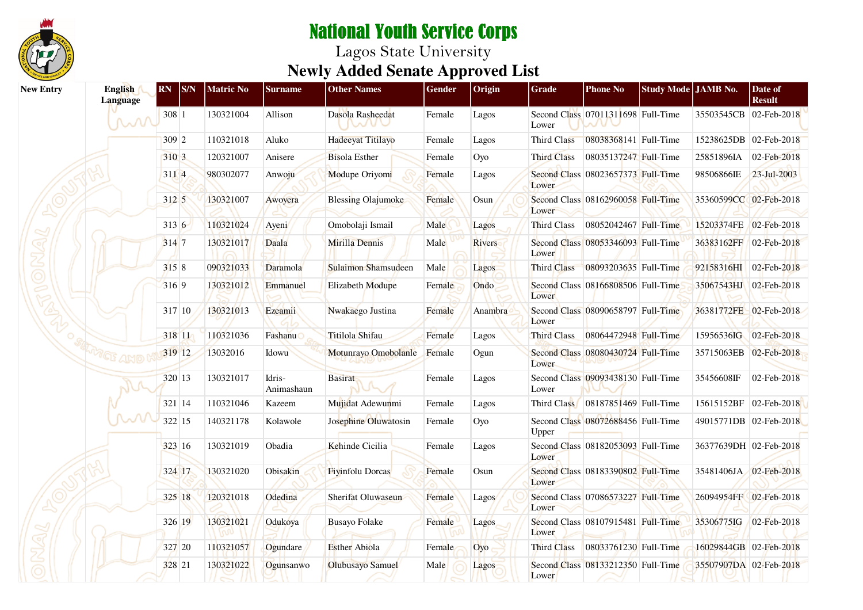

| <b>New Entry</b> | English<br><b>Language</b> | <b>RN</b> S/N | <b>Matric No</b> | <b>Surname</b>       | <b>Other Names</b>         | <b>Gender</b> | Origin  | <b>Grade</b>       | <b>Phone No</b>                    | Study Mode JAMB No. |                        | Date of<br><b>Result</b> |
|------------------|----------------------------|---------------|------------------|----------------------|----------------------------|---------------|---------|--------------------|------------------------------------|---------------------|------------------------|--------------------------|
|                  | MM                         | 308 1         | 130321004        | Allison              | Dasola Rasheedat<br>nani C | Female        | Lagos   | Lower              | Second Class 07011311698 Full-Time |                     | 35503545CB 02-Feb-2018 |                          |
|                  |                            | 309 2         | 110321018        | Aluko                | Hadeeyat Titilayo          | Female        | Lagos   | Third Class        | 08038368141 Full-Time              |                     | 15238625DB 02-Feb-2018 |                          |
|                  |                            | 310 3         | 120321007        | Anisere              | <b>Bisola Esther</b>       | Female        | Oyo     | <b>Third Class</b> | 08035137247 Full-Time              |                     | 25851896IA             | 02-Feb-2018              |
|                  |                            | 3114          | 980302077        | Anwoju               | Modupe Oriyomi             | Female        | Lagos   | Lower              | Second Class 08023657373 Full-Time |                     | 98506866IE             | 23-Jul-2003              |
|                  |                            | 312 5         | 130321007        | Awoyera              | <b>Blessing Olajumoke</b>  | Female        | Osun    | Lower              | Second Class 08162960058 Full-Time |                     | 35360599CC 02-Feb-2018 |                          |
|                  |                            | 3136          | 110321024        | Ayeni                | Omobolaji Ismail           | Male          | Lagos   | Third Class        | 08052042467 Full-Time              |                     | 15203374FE 02-Feb-2018 |                          |
|                  |                            | 314 7         | 130321017        | Daala                | Mirilla Dennis             | Male          | Rivers  | Lower              | Second Class 08053346093 Full-Time |                     | 36383162FF 02-Feb-2018 |                          |
|                  |                            | 315 8         | 090321033        | Daramola             | Sulaimon Shamsudeen        | Male          | Lagos   | Third Class        | 08093203635 Full-Time              |                     | 92158316HI 02-Feb-2018 |                          |
|                  |                            | 316 9         | 130321012        | Emmanuel             | Elizabeth Modupe           | Female        | Ondo    | Lower              | Second Class 08166808506 Full-Time |                     | 35067543HJ 02-Feb-2018 |                          |
|                  |                            | 317 10        | 130321013        | Ezeamii              | Nwakaego Justina           | Female        | Anambra | Lower              | Second Class 08090658797 Full-Time |                     | 36381772FE 02-Feb-2018 |                          |
|                  |                            | 318 11        | 110321036        | Fashanu              | Titilola Shifau            | Female        | Lagos   | <b>Third Class</b> | 08064472948 Full-Time              |                     | 15956536IG             | 02-Feb-2018              |
|                  | WGF AND                    | 319 12        | 13032016         | Idowu                | Motunrayo Omobolanle       | Female        | Ogun    | Lower              | Second Class 08080430724 Full-Time |                     | 35715063EB 02-Feb-2018 |                          |
|                  |                            | 320 13        | 130321017        | Idris-<br>Animashaun | <b>Basirat</b>             | Female        | Lagos   | Lower              | Second Class 09093438130 Full-Time |                     | 35456608IF             | 02-Feb-2018              |
|                  |                            | 321 14        | 110321046        | Kazeem               | Mujidat Adewunmi           | Female        | Lagos   | Third Class        | 08187851469 Full-Time              |                     |                        | 15615152BF 02-Feb-2018   |
|                  | ∼∿                         | 322 15        | 140321178        | Kolawole             | Josephine Oluwatosin       | Female        | Oyo     | Upper              | Second Class 08072688456 Full-Time |                     | 49015771DB 02-Feb-2018 |                          |
|                  |                            | 323 16        | 130321019        | Obadia               | Kehinde Cicilia            | Female        | Lagos   | Lower              | Second Class 08182053093 Full-Time |                     | 36377639DH 02-Feb-2018 |                          |
|                  |                            | 324 17        | 130321020        | Obisakin             | <b>Fiyinfolu Dorcas</b>    | Female        | Osun    | Lower              | Second Class 08183390802 Full-Time |                     | 35481406JA 02-Feb-2018 |                          |
|                  |                            | 325 18        | 120321018        | Odedina              | Sherifat Oluwaseun         | Female        | Lagos   | Lower              | Second Class 07086573227 Full-Time |                     | 26094954FF 02-Feb-2018 |                          |
|                  |                            | 326 19        | 130321021        | Odukoya              | <b>Busayo Folake</b>       | Female        | Lagos   | Lower              | Second Class 08107915481 Full-Time |                     | 35306775IG             | 02-Feb-2018              |
|                  |                            | 327 20        | 110321057        | Ogundare             | <b>Esther</b> Abiola       | Female        | Oyo     | Third Class        | 08033761230 Full-Time              |                     | 16029844GB 02-Feb-2018 |                          |
|                  |                            | 328 21        | 130321022        | Ogunsanwo            | Olubusayo Samuel           | Male          | Lagos   | Lower              | Second Class 08133212350 Full-Time |                     | 35507907DA 02-Feb-2018 |                          |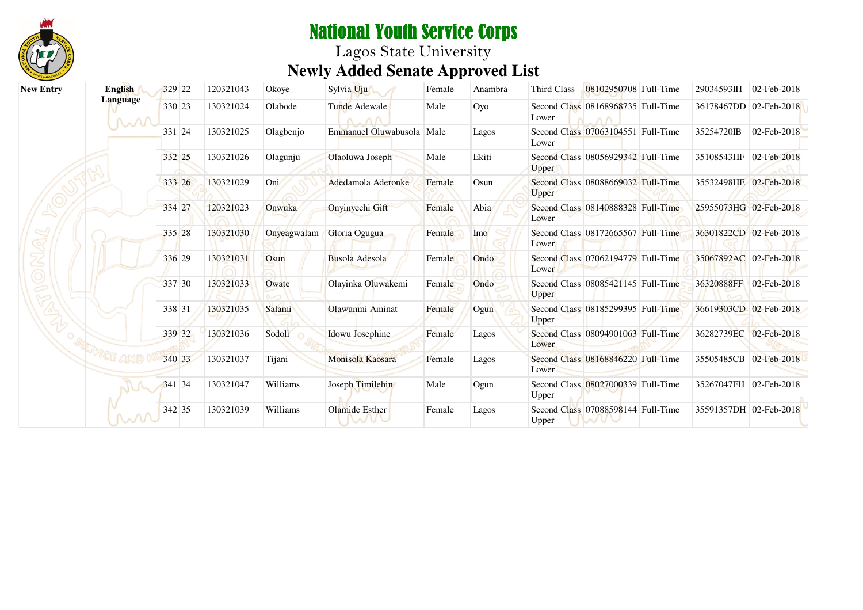

| <b>New Entry</b> | English       | 329 22 | 120321043 | Okoye       | Sylvia Uju                | Female | Anambra | Third Class  | 08102950708 Full-Time              | 29034593IH             | $02$ -Feb-2018 |
|------------------|---------------|--------|-----------|-------------|---------------------------|--------|---------|--------------|------------------------------------|------------------------|----------------|
|                  | Language<br>M | 330 23 | 130321024 | Olabode     | Tunde Adewale             | Male   | Oyo     | Lower        | Second Class 08168968735 Full-Time | 36178467DD 02-Feb-2018 |                |
|                  |               | 331 24 | 130321025 | Olagbenjo   | Emmanuel Oluwabusola Male |        | Lagos   | Lower        | Second Class 07063104551 Full-Time | 35254720IB             | 02-Feb-2018    |
|                  |               | 332 25 | 130321026 | Olagunju    | Olaoluwa Joseph           | Male   | Ekiti   | <b>Upper</b> | Second Class 08056929342 Full-Time | 35108543HF 02-Feb-2018 |                |
|                  |               | 333 26 | 130321029 | Oni         | Adedamola Aderonke        | Female | Osun    | <b>Upper</b> | Second Class 08088669032 Full-Time | 35532498HE 02-Feb-2018 |                |
|                  |               | 334 27 | 120321023 | Onwuka      | Onyinyechi Gift           | Female | Abia    | Lower        | Second Class 08140888328 Full-Time | 25955073HG 02-Feb-2018 |                |
|                  |               | 335 28 | 130321030 | Onyeagwalam | Gloria Ogugua             | Female | Imo     | Lower        | Second Class 08172665567 Full-Time | 36301822CD 02-Feb-2018 |                |
|                  |               | 336 29 | 130321031 | Osun        | Busola Adesola            | Female | Ondo    | Lower        | Second Class 07062194779 Full-Time | 35067892AC 02-Feb-2018 |                |
|                  |               | 337 30 | 130321033 | Owate       | Olayinka Oluwakemi        | Female | Ondo    | <b>Upper</b> | Second Class 08085421145 Full-Time | 36320888FF             | $02$ -Feb-2018 |
|                  |               | 338 31 | 130321035 | Salami      | Olawunmi Aminat           | Female | Ogun    | <b>Upper</b> | Second Class 08185299395 Full-Time | 36619303CD 02-Feb-2018 |                |
|                  |               | 339 32 | 130321036 | Sodoli      | Idowu Josephine           | Female | Lagos   | Lower        | Second Class 08094901063 Full-Time | 36282739EC 02-Feb-2018 |                |
|                  |               | 340 33 | 130321037 | Tijani      | Monisola Kaosara          | Female | Lagos   | Lower        | Second Class 08168846220 Full-Time | 35505485CB             | 02-Feb-2018    |
|                  |               | 341 34 | 130321047 | Williams    | Joseph Timilehin          | Male   | Ogun    | Upper        | Second Class 08027000339 Full-Time | 35267047FH 02-Feb-2018 |                |
|                  | m             | 342 35 | 130321039 | Williams    | Olamide Esther            | Female | Lagos   | Upper        | Second Class 07088598144 Full-Time | 35591357DH 02-Feb-2018 |                |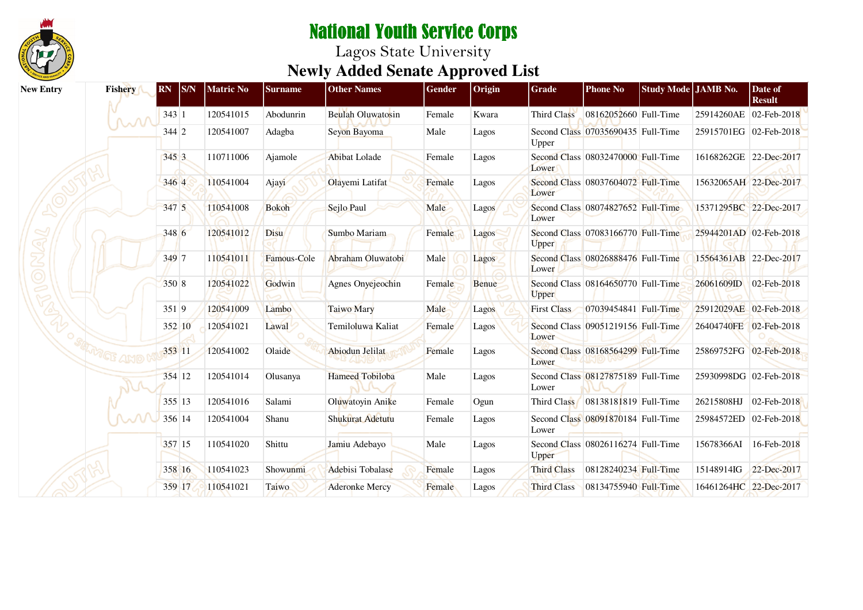

| <b>New Entry</b> | Fishery | <sub>S/N</sub><br> RN | <b>Matric No</b> | <b>Surname</b> | <b>Other Names</b>       | <b>Gender</b> | Origin       | Grade              | <b>Phone No</b>                    | Study Mode JAMB No. |                        | Date of<br><b>Result</b> |
|------------------|---------|-----------------------|------------------|----------------|--------------------------|---------------|--------------|--------------------|------------------------------------|---------------------|------------------------|--------------------------|
|                  |         | 343 1                 | 120541015        | Abodunrin      | <b>Beulah Oluwatosin</b> | Female        | Kwara        | Third Class        | 08162052660 Full-Time              |                     | 25914260AE             | $02$ -Feb-2018           |
|                  |         | $344$ 2               | 120541007        | Adagba         | Seyon Bayoma             | Male          | Lagos        | Upper              | Second Class 07035690435 Full-Time |                     | 25915701EG 02-Feb-2018 |                          |
|                  |         | 345 3                 | 110711006        | Ajamole        | Abibat Lolade            | Female        | Lagos        | Lower              | Second Class 08032470000 Full-Time |                     | 16168262GE 22-Dec-2017 |                          |
|                  |         | 346 4                 | 110541004        | Ajayi          | Olayemi Latifat          | Female        | Lagos        | Lower              | Second Class 08037604072 Full-Time |                     | 15632065AH 22-Dec-2017 |                          |
|                  |         | 347 5                 | 110541008        | <b>Bokoh</b>   | Sejlo Paul               | Male          | Lagos        | Lower              | Second Class 08074827652 Full-Time |                     | 15371295BC 22-Dec-2017 |                          |
|                  |         | 348 6                 | 120541012        | Disu           | Sumbo Mariam             | Female        | Lagos        | Upper              | Second Class 07083166770 Full-Time |                     | 25944201AD 02-Feb-2018 |                          |
|                  |         | 349 7                 | 110541011        | Famous-Cole    | Abraham Oluwatobi        | Male          | Lagos        | Lower              | Second Class 08026888476 Full-Time |                     | 15564361AB 22-Dec-2017 |                          |
|                  |         | 350 8                 | 120541022        | Godwin         | Agnes Onyejeochin        | Female        | <b>Benue</b> | <b>Upper</b>       | Second Class 08164650770 Full-Time |                     | 26061609ID             | 02-Feb-2018              |
|                  |         | 351 9                 | 120541009        | Lambo          | <b>Taiwo Mary</b>        | Male          | Lagos        | <b>First Class</b> | 07039454841 Full-Time              |                     | 25912029AE 02-Feb-2018 |                          |
|                  |         | 352 10                | 120541021        | Lawal          | Temiloluwa Kaliat        | Female        | Lagos        | Lower              | Second Class 09051219156 Full-Time |                     | 26404740FE             | $02$ -Feb-2018           |
|                  |         | 353 11                | 120541002        | Olaide         | <b>Abiodun Jelilat</b>   | Female        | Lagos        | Lower              | Second Class 08168564299 Full-Time |                     | 25869752FG 02-Feb-2018 |                          |
|                  |         | 354 12                | 120541014        | Olusanya       | <b>Hameed Tobiloba</b>   | Male          | Lagos        | Lower              | Second Class 08127875189 Full-Time |                     | 25930998DG 02-Feb-2018 |                          |
|                  |         | 355 13                | 120541016        | Salami         | Oluwatoyin Anike         | Female        | Ogun         | Third Class        | 08138181819 Full-Time              |                     | 26215808HJ             | 02-Feb-2018              |
|                  |         | 356 14                | 120541004        | Shanu          | Shukurat Adetutu         | Female        | Lagos        | Lower              | Second Class 08091870184 Full-Time |                     | 25984572ED             | $02$ -Feb-2018           |
|                  |         | 357 15                | 110541020        | Shittu         | Jamiu Adebayo            | Male          | Lagos        | Upper              | Second Class 08026116274 Full-Time |                     | 15678366AI             | 16-Feb-2018              |
|                  |         | 358 16                | 110541023        | Showunmi       | Adebisi Tobalase         | Female        | Lagos        | <b>Third Class</b> | 08128240234 Full-Time              |                     | 15148914IG             | 22-Dec-2017              |
|                  |         | 359 17                | 110541021        | Taiwo          | <b>Aderonke Mercy</b>    | Female        | Lagos        | <b>Third Class</b> | 08134755940 Full-Time              |                     | 16461264HC 22-Dec-2017 |                          |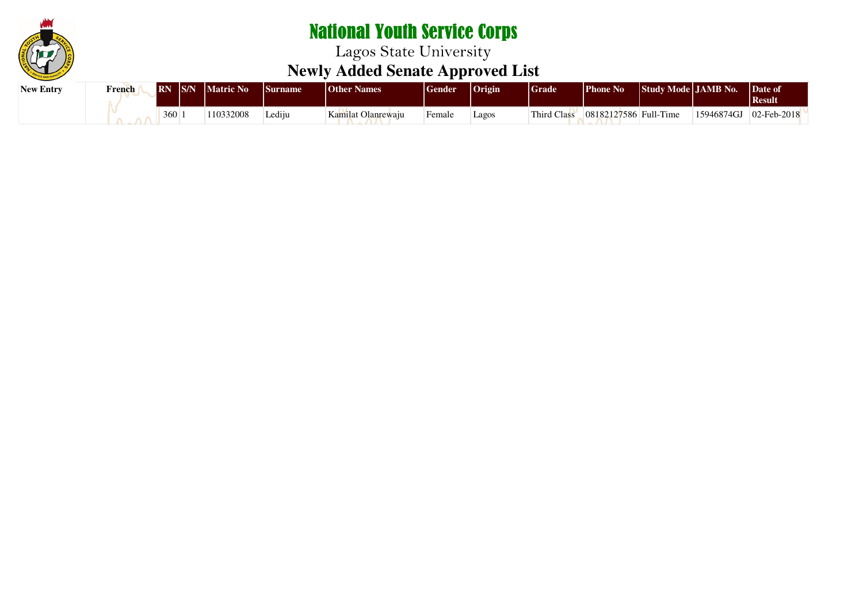

| <b>New Entry</b> | <b>French</b> |     | <b>RN</b> S/N Matric No | <b>Surname</b> | <b>Other Names</b> | <b>Sender</b> | Origin | <sup>d</sup> Grade | <b>Phone No</b>           | Study Mode JAMB No. |            | Date of<br>  Result |
|------------------|---------------|-----|-------------------------|----------------|--------------------|---------------|--------|--------------------|---------------------------|---------------------|------------|---------------------|
|                  |               | 360 | 110332008               | Lediju         | Kamilat Olanrewaiu | Female        | Lagos  | Third Class        | $ 08182127586 $ Full-Time |                     | 15946874GJ | $02$ -Feb-2018      |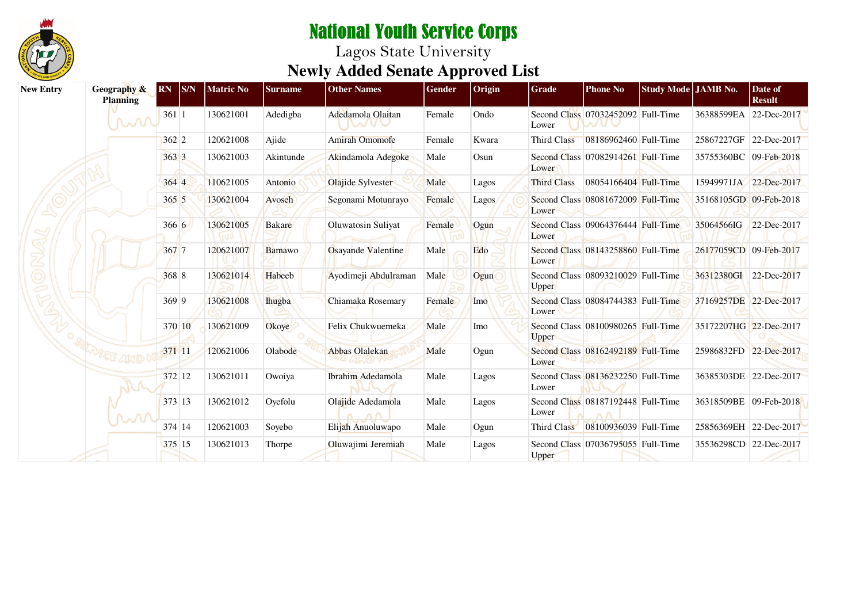

| <b>New Entry</b> | Geography &<br><b>Planning</b> | <b>RN</b> S/N | <b>Matric No</b> | <b>Surname</b> | <b>Other Names</b>    | Gender | Origin       | Grade              | <b>Phone No</b>                    | Study Mode JAMB No. |                        | Date of<br><b>Result</b> |
|------------------|--------------------------------|---------------|------------------|----------------|-----------------------|--------|--------------|--------------------|------------------------------------|---------------------|------------------------|--------------------------|
|                  | MM                             | 3611          | 130621001        | Adedigba       | Adedamola Olaitan     | Female | Ondo         | Lower              | Second Class 07032452092 Full-Time |                     | 36388599EA             | 22-Dec-2017              |
|                  |                                | $362 \, 2$    | 120621008        | Ajide          | <b>Amirah Omomofe</b> | Female | Kwara        | Third Class        | 08186962460 Full-Time              |                     |                        | 25867227GF 22-Dec-2017   |
|                  |                                | 363 3         | 130621003        | Akintunde      | Akindamola Adegoke    | Male   | Osun         | Lower              | Second Class 07082914261 Full-Time |                     | 35755360BC 09-Feb-2018 |                          |
|                  |                                | 364 4         | 110621005        | Antonio        | Olajide Sylvester     | Male   | Lagos        | <b>Third Class</b> | 08054166404 Full-Time              |                     |                        | 15949971JA 22-Dec-2017   |
|                  |                                | 3655          | 130621004        | Avoseh         | Segonami Motunrayo    | Female | <b>Lagos</b> | Lower              | Second Class 08081672009 Full-Time |                     |                        | 35168105GD 09-Feb-2018   |
|                  |                                | 3666          | 130621005        | Bakare         | Oluwatosin Suliyat    | Female | Ogun         | Lower              | Second Class 09064376444 Full-Time |                     | 35064566IG             | 22-Dec-2017              |
|                  |                                | 367 7         | 120621007        | Bamawo         | Osayande Valentine    | Male   | Edo          | Lower              | Second Class 08143258860 Full-Time |                     | 26177059CD 09-Feb-2017 |                          |
|                  |                                | 368 8         | 130621014        | Habeeb         | Ayodimeji Abdulraman  | Male   | Ogun         | <b>Upper</b>       | Second Class 08093210029 Full-Time |                     | 36312380GI             | 22-Dec-2017              |
|                  |                                | 369 9         | 130621008        | <b>I</b> hugba | Chiamaka Rosemary     | Female | Imo          | Lower              | Second Class 08084744383 Full-Time |                     | 37169257DE 22-Dec-2017 |                          |
|                  |                                | 370 10        | 130621009        | Okoye          | Felix Chukwuemeka     | Male   | Imo          | <b>Upper</b>       | Second Class 08100980265 Full-Time |                     | 35172207HG 22-Dec-2017 |                          |
|                  |                                | 371 11        | 120621006        | Olabode        | Abbas Olalekan        | Male   | Ogun         | Lower              | Second Class 08162492189 Full-Time |                     |                        | 25986832FD 22-Dec-2017   |
|                  |                                | 372 12        | 130621011        | Owoiya         | Ibrahim Adedamola     | Male   | Lagos        | Lower              | Second Class 08136232250 Full-Time |                     |                        | 36385303DE 22-Dec-2017   |
|                  |                                | 373 13        | 130621012        | Ovefolu        | Olajide Adedamola     | Male   | Lagos        | Lower              | Second Class 08187192448 Full-Time |                     |                        | 36318509BE 09-Feb-2018   |
|                  |                                | 374 14        | 120621003        | Soyebo         | Elijah Anuoluwapo     | Male   | Ogun         | Third Class        | 08100936039 Full-Time              |                     |                        | 25856369EH 22-Dec-2017   |
|                  |                                | 375 15        | 130621013        | Thorpe         | Oluwajimi Jeremiah    | Male   | Lagos        | Upper              | Second Class 07036795055 Full-Time |                     |                        | 35536298CD 22-Dec-2017   |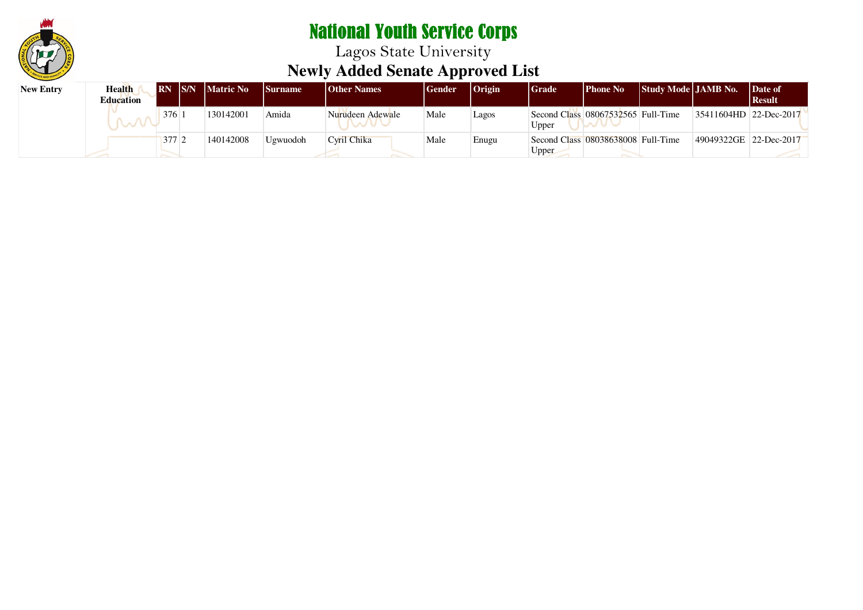

| <b>New Entry</b> | Health<br><b>Education</b> |                  | <b>IRN IS/N Matric No</b> | <b>Surname</b> | <b>Other Names</b> | <b>I</b> Gender | $ O$ rigin | Grade | <b>Phone No</b>                    | <b>Study Mode   JAMB No.</b> |                        | Date of<br>  Result |
|------------------|----------------------------|------------------|---------------------------|----------------|--------------------|-----------------|------------|-------|------------------------------------|------------------------------|------------------------|---------------------|
|                  |                            | 376              | 30142001                  | Amida          | Nurudeen Adewale   | Male            | Lagos      | Upper | Second Class 08067532565 Full-Time |                              | 35411604HD 22-Dec-2017 |                     |
|                  |                            | 377 <sup>2</sup> | 140142008                 | Ugwuodoh       | Cyril Chika        | Male            | Enugu      | Upper | Second Class 08038638008 Full-Time |                              | 49049322GE 22-Dec-2017 |                     |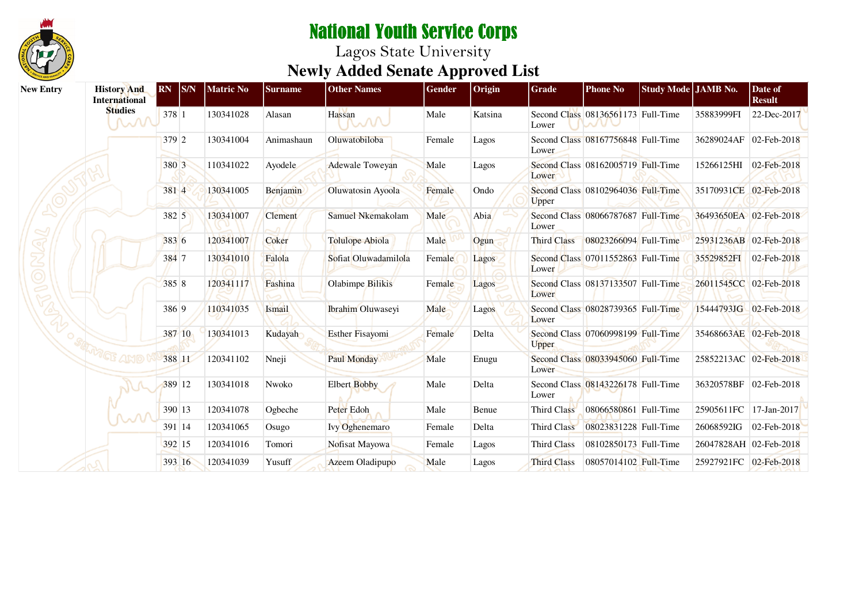

| <b>New Entry</b> | <b>History And</b><br><b>International</b> | <b>RN</b> | S/N    | <b>Matric No</b> | <b>Surname</b> | <b>Other Names</b>     | Gender | Origin  | Grade              | <b>Phone No</b>                    | Study Mode JAMB No. |                        | Date of<br><b>Result</b> |
|------------------|--------------------------------------------|-----------|--------|------------------|----------------|------------------------|--------|---------|--------------------|------------------------------------|---------------------|------------------------|--------------------------|
|                  | <b>Studies</b><br>MM                       | 378 1     |        | 130341028        | Alasan         | Hassan<br>mn           | Male   | Katsina | Lower              | Second Class 08136561173 Full-Time |                     | 35883999FI             | 22-Dec-2017              |
|                  |                                            | 379 2     |        | 130341004        | Animashaun     | Oluwatobiloba          | Female | Lagos   | Lower              | Second Class 08167756848 Full-Time |                     | 36289024AF 02-Feb-2018 |                          |
|                  |                                            | 380 3     |        | 110341022        | Ayodele        | <b>Adewale Toweyan</b> | Male   | Lagos   | Lower              | Second Class 08162005719 Full-Time |                     | 15266125HI             | 02-Feb-2018              |
|                  |                                            | 381 4     |        | 130341005        | Benjamin       | Oluwatosin Ayoola      | Female | Ondo    | Upper              | Second Class 08102964036 Full-Time |                     | 35170931CE 02-Feb-2018 |                          |
|                  |                                            | 382 5     |        | 130341007        | <b>Clement</b> | Samuel Nkemakolam      | Male   | Abia    | Lower              | Second Class 08066787687 Full-Time |                     |                        | 36493650EA 02-Feb-2018   |
|                  |                                            | 383 6     |        | 120341007        | Coker          | <b>Tolulope Abiola</b> | Male   | Ogun    | Third Class        | 08023266094 Full-Time              |                     |                        | 25931236AB 02-Feb-2018   |
|                  |                                            | 384 7     |        | 130341010        | Falola         | Sofiat Oluwadamilola   | Female | Lagos   | Lower              | Second Class 07011552863 Full-Time |                     | 35529852FI             | 02-Feb-2018              |
|                  |                                            | 385 8     |        | 120341117        | Fashina        | Olabimpe Bilikis       | Female | Lagos   | Lower              | Second Class 08137133507 Full-Time |                     | 26011545CC 02-Feb-2018 |                          |
|                  |                                            | 386 9     |        | 110341035        | Ismail         | Ibrahim Oluwaseyi      | Male   | Lagos   | Lower              | Second Class 08028739365 Full-Time |                     |                        | 15444793JG 02-Feb-2018   |
|                  |                                            |           | 387 10 | 130341013        | Kudayah        | <b>Esther Fisayomi</b> | Female | Delta   | Upper              | Second Class 07060998199 Full-Time |                     |                        | 35468663AE 02-Feb-2018   |
|                  |                                            |           | 388 11 | 120341102        | Nneji          | Paul Monday            | Male   | Enugu   | Lower              | Second Class 08033945060 Full-Time |                     |                        | 25852213AC 02-Feb-2018   |
|                  |                                            |           | 389 12 | 130341018        | Nwoko          | <b>Elbert Bobby</b>    | Male   | Delta   | Lower              | Second Class 08143226178 Full-Time |                     |                        | 36320578BF 02-Feb-2018   |
|                  | ୷                                          |           | 390 13 | 120341078        | Ogbeche        | Peter Edoh             | Male   | Benue   | Third Class        | 08066580861 Full-Time              |                     | 25905611FC 17-Jan-2017 |                          |
|                  |                                            |           | 391 14 | 120341065        | Osugo          | Ivy Oghenemaro         | Female | Delta   | Third Class        | 08023831228 Full-Time              |                     | 26068592IG             | 02-Feb-2018              |
|                  |                                            |           | 392 15 | 120341016        | Tomori         | Nofisat Mayowa         | Female | Lagos   | <b>Third Class</b> | 08102850173 Full-Time              |                     | 26047828AH 02-Feb-2018 |                          |
|                  |                                            |           | 393 16 | 120341039        | Yusuff         | Azeem Oladipupo        | Male   | Lagos   | <b>Third Class</b> | 08057014102 Full-Time              |                     | 25927921FC 02-Feb-2018 |                          |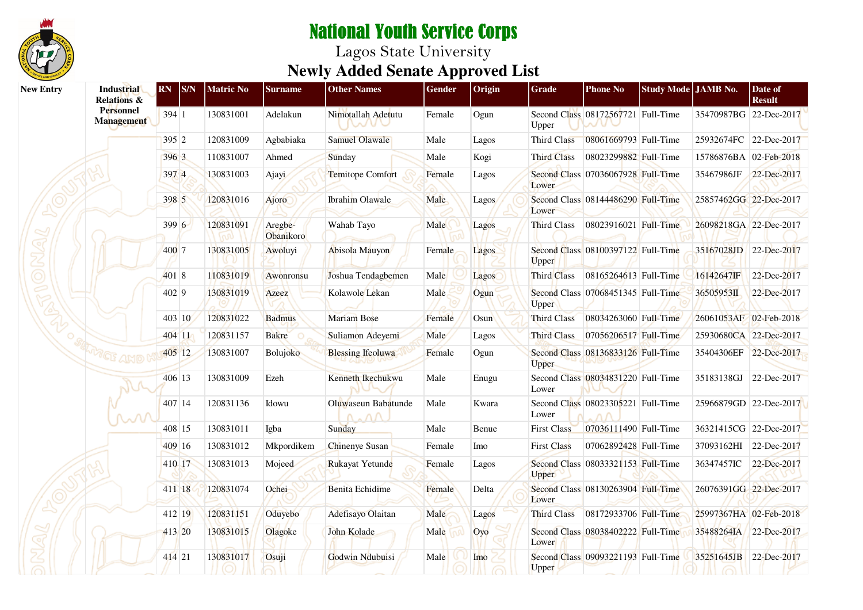

| <b>New Entry</b> | <b>Industrial</b><br><b>Relations &amp;</b> | RN     | <b>S/N</b> | <b>Matric No</b> | <b>Surname</b>       | <b>Other Names</b>                                  | Gender | Origin       | <b>Grade</b>       | <b>Phone No</b>                    | Study Mode JAMB No. |                        | Date of<br><b>Result</b> |
|------------------|---------------------------------------------|--------|------------|------------------|----------------------|-----------------------------------------------------|--------|--------------|--------------------|------------------------------------|---------------------|------------------------|--------------------------|
|                  | <b>Personnel</b><br><b>Management</b>       | 394 1  |            | 130831001        | Adelakun             | Nimotallah Adetutu<br><b>NATUL</b>                  | Female | Ogun         | Upper              | Second Class 08172567721 Full-Time |                     | 35470987BG 22-Dec-2017 |                          |
|                  |                                             | 395 2  |            | 120831009        | Agbabiaka            | <b>Samuel Olawale</b>                               | Male   | Lagos        | Third Class        | 08061669793 Full-Time              |                     | 25932674FC 22-Dec-2017 |                          |
|                  |                                             | 396 3  |            | 110831007        | Ahmed                | Sunday                                              | Male   | Kogi         | <b>Third Class</b> | 08023299882 Full-Time              |                     | 15786876BA 02-Feb-2018 |                          |
|                  |                                             | 397 4  |            | 130831003        | Ajayi                | Temitope Comfort                                    | Female | Lagos        | Lower              | Second Class 07036067928 Full-Time |                     | 35467986JF             | 22-Dec-2017              |
|                  |                                             | 398 5  |            | 120831016        | Ajoro                | Ibrahim Olawale                                     | Male   | <b>Lagos</b> | Lower              | Second Class 08144486290 Full-Time |                     | 25857462GG 22-Dec-2017 |                          |
|                  |                                             | 399 6  |            | 120831091        | Aregbe-<br>Obanikoro | Wahab Tayo                                          | Male   | Lagos        | <b>Third Class</b> | 08023916021 Full-Time              |                     | 26098218GA 22-Dec-2017 |                          |
|                  |                                             | 400 7  |            | 130831005        | Awoluyi              | Abisola Mauyon                                      | Female | Lagos        | Upper              | Second Class 08100397122 Full-Time |                     | 35167028JD 22-Dec-2017 |                          |
|                  |                                             | 401 8  |            | 110831019        | Awonronsu            | Joshua Tendagbemen                                  | Male   | Lagos        | Third Class        | 08165264613 Full-Time              |                     | 16142647IF             | 22-Dec-2017              |
|                  |                                             | 402 9  |            | 130831019        | Azeez                | Kolawole Lekan                                      | Male   | Ogun         | Upper              | Second Class 07068451345 Full-Time |                     | 36505953II             | 22-Dec-2017              |
|                  |                                             |        | 403 10     | 120831022        | <b>Badmus</b>        | <b>Mariam Bose</b>                                  | Female | Osun         | <b>Third Class</b> | 08034263060 Full-Time              |                     | 26061053AF 02-Feb-2018 |                          |
|                  |                                             | 404 11 |            | 120831157        | <b>Bakre</b>         | Suliamon Adeyemi                                    | Male   | Lagos        | <b>Third Class</b> | 07056206517 Full-Time              |                     | 25930680CA 22-Dec-2017 |                          |
|                  |                                             | 405 12 |            | 130831007        | Bolujoko             | <b>Blessing Ifeoluwa</b>                            | Female | Ogun         | <b>Upper</b>       | Second Class 08136833126 Full-Time |                     | 35404306EF 22-Dec-2017 |                          |
|                  |                                             | 406 13 |            | 130831009        | Ezeh                 | Kenneth Ikechukwu                                   | Male   | Enugu        | Lower              | Second Class 08034831220 Full-Time |                     | 35183138GJ             | 22-Dec-2017              |
|                  |                                             | 407 14 |            | 120831136        | Idowu                | Oluwaseun Babatunde<br>$\Lambda$ . $\Lambda\Lambda$ | Male   | Kwara        | Lower              | Second Class 08023305221 Full-Time |                     | 25966879GD 22-Dec-2017 |                          |
|                  |                                             | 408 15 |            | 130831011        | Igba                 | Sunday                                              | Male   | Benue        | <b>First Class</b> | 07036111490 Full-Time              |                     | 36321415CG 22-Dec-2017 |                          |
|                  |                                             | 409 16 |            | 130831012        | Mkpordikem           | Chinenye Susan                                      | Female | Imo          | <b>First Class</b> | 07062892428 Full-Time              |                     | 37093162HI 22-Dec-2017 |                          |
|                  |                                             | 410 17 |            | 130831013        | Mojeed               | Rukayat Yetunde                                     | Female | Lagos        | <b>Upper</b>       | Second Class 08033321153 Full-Time |                     | 36347457IC             | 22-Dec-2017              |
|                  |                                             | 411 18 |            | 120831074        | Ochei                | <b>Benita</b> Echidime                              | Female | Delta        | Lower              | Second Class 08130263904 Full-Time |                     | 26076391GG 22-Dec-2017 |                          |
|                  |                                             | 412 19 |            | 120831151        | Oduyebo              | Adefisayo Olaitan                                   | Male   | Lagos        | <b>Third Class</b> | 08172933706 Full-Time              |                     | 25997367HA 02-Feb-2018 |                          |
|                  |                                             | 413 20 |            | 130831015        | Olagoke              | John Kolade                                         | Male   | Oyo          | Lower              | Second Class 08038402222 Full-Time |                     | 35488264IA             | 22-Dec-2017              |
|                  |                                             | 414 21 |            | 130831017        | Osuji                | Godwin Ndubuisi                                     | Male   | Imo          | Upper              | Second Class 09093221193 Full-Time |                     | 35251645JB             | 22-Dec-2017              |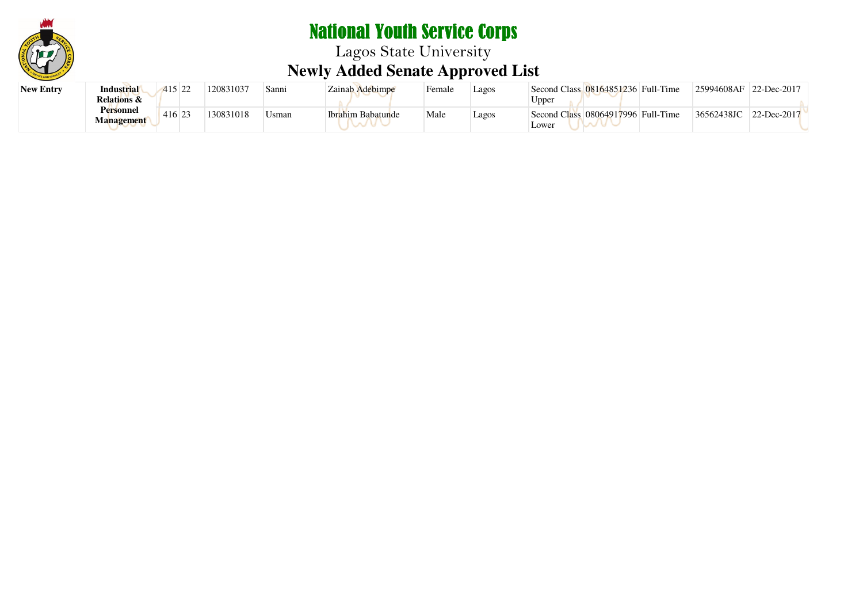

# National Youth Service Corps Lagos State University **Newly Added Senate Approved List**

| <b>New Entry</b> | <b>Industrial</b>      | 415<br>$\sim$<br>∠∠ | 120831037 | Sanni | Zainab Adebimpe          | Female | Lagos | Second Class 08164851236 Full-Time | 25994608AF | 22-Dec-2017 |
|------------------|------------------------|---------------------|-----------|-------|--------------------------|--------|-------|------------------------------------|------------|-------------|
|                  | <b>Relations &amp;</b> |                     |           |       |                          |        |       | $\cup$ pper                        |            |             |
|                  | <b>Personnel</b>       | 416 2               | 130831018 | Jsman | <b>Ibrahim Babatunde</b> | Male   | Lagos | Second Class 08064917996 Full-Time | 36562438JC | 22-Dec-2017 |
|                  | Management             |                     |           |       |                          |        |       | Lower                              |            |             |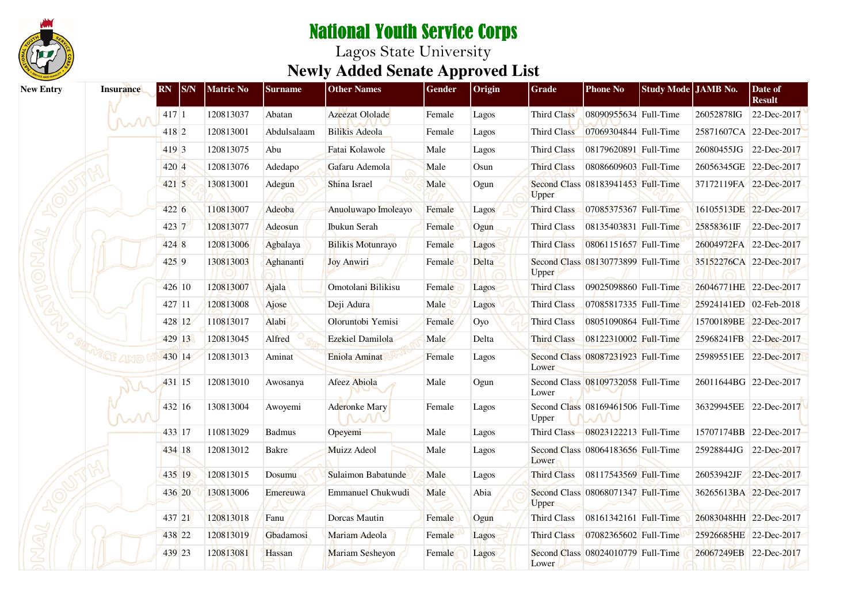

| <b>New Entry</b> | <b>Insurance</b> | <b>RN</b><br><b>S/N</b> | <b>Matric No</b> | <b>Surname</b> | <b>Other Names</b>         | Gender | Origin | <b>Grade</b>       | <b>Phone No</b>                    | Study Mode JAMB No. |                        | Date of<br><b>Result</b> |
|------------------|------------------|-------------------------|------------------|----------------|----------------------------|--------|--------|--------------------|------------------------------------|---------------------|------------------------|--------------------------|
|                  | ᆻ᠕               | 417 1                   | 120813037        | Abatan         | Azeezat Ololade            | Female | Lagos  | Third Class        | 08090955634 Full-Time              |                     | 26052878IG             | 22-Dec-2017              |
|                  |                  | 418 2                   | 120813001        | Abdulsalaam    | <b>Bilikis</b> Adeola      | Female | Lagos  | Third Class        | 07069304844 Full-Time              |                     |                        | 25871607CA 22-Dec-2017   |
|                  |                  | 419 3                   | 120813075        | Abu            | Fatai Kolawole             | Male   | Lagos  | Third Class        | 08179620891 Full-Time              |                     |                        | 26080455JG 22-Dec-2017   |
|                  |                  | 420 4                   | 120813076        | Adedapo        | Gafaru Ademola             | Male   | Osun   | <b>Third Class</b> | 08086609603 Full-Time              |                     | 26056345GE 22-Dec-2017 |                          |
|                  |                  | 421 5                   | 130813001        | Adegun         | Shina Israel               | Male   | Ogun   | Upper              | Second Class 08183941453 Full-Time |                     | 37172119FA 22-Dec-2017 |                          |
|                  |                  | 422 6                   | 110813007        | Adeoba         | Anuoluwapo Imoleayo        | Female | Lagos  | Third Class        | 07085375367 Full-Time              |                     |                        | 16105513DE 22-Dec-2017   |
|                  |                  | $423 \vert 7$           | 120813077        | Adeosun        | <b>Ibukun Serah</b>        | Female | Ogun   | <b>Third Class</b> | 08135403831 Full-Time              |                     | 25858361IF             | 22-Dec-2017              |
|                  |                  | 424 8                   | 120813006        | Agbalaya       | <b>Bilikis Motunrayo</b>   | Female | Lagos  | <b>Third Class</b> | 08061151657 Full-Time              |                     | 26004972FA 22-Dec-2017 |                          |
|                  |                  | 4259                    | 130813003        | Aghananti      | <b>Joy Anwiri</b>          | Female | Delta  | Upper              | Second Class 08130773899 Full-Time |                     | 35152276CA 22-Dec-2017 |                          |
|                  |                  | 426 10                  | 120813007        | Ajala          | Omotolani Bilikisu         | Female | Lagos  | Third Class        | 09025098860 Full-Time              |                     | 26046771HE 22-Dec-2017 |                          |
|                  |                  | 427 11                  | 120813008        | Ajose          | Deji Adura                 | Male   | Lagos  | Third Class        | 07085817335 Full-Time              |                     | 25924141ED 02-Feb-2018 |                          |
|                  |                  | 428 12                  | 110813017        | Alabi          | Oloruntobi Yemisi          | Female | Oyo    | <b>Third Class</b> | 08051090864 Full-Time              |                     |                        | 15700189BE 22-Dec-2017   |
|                  |                  | 429 13                  | 120813045        | Alfred         | Ezekiel Damilola           | Male   | Delta  | <b>Third Class</b> | 08122310002 Full-Time              |                     |                        | 25968241FB 22-Dec-2017   |
|                  | WGE ANO          | 430 14                  | 120813013        | Aminat         | Eniola Aminat              | Female | Lagos  | Lower              | Second Class 08087231923 Full-Time |                     |                        | 25989551EE 22-Dec-2017   |
|                  |                  | 431 15                  | 120813010        | Awosanya       | Afeez Abiola               | Male   | Ogun   | Lower              | Second Class 08109732058 Full-Time |                     |                        | 26011644BG 22-Dec-2017   |
|                  | m                | 432 16                  | 130813004        | Awoyemi        | <b>Aderonke Mary</b><br>MV | Female | Lagos  | Upper              | Second Class 08169461506 Full-Time |                     |                        | 36329945EE 22-Dec-2017   |
|                  |                  | 433 17                  | 110813029        | <b>Badmus</b>  | Opeyemi                    | Male   | Lagos  |                    | Third Class 08023122213 Full-Time  |                     |                        | 15707174BB 22-Dec-2017   |
|                  |                  | 434 18                  | 120813012        | Bakre          | Muizz Adeol                | Male   | Lagos  | Lower              | Second Class 08064183656 Full-Time |                     | 25928844JG             | 22-Dec-2017              |
|                  |                  | 435 19                  | 120813015        | Dosumu         | Sulaimon Babatunde         | Male   | Lagos  | <b>Third Class</b> | 08117543569 Full-Time              |                     | 26053942JF             | 22-Dec-2017              |
|                  |                  | 436 20                  | 130813006        | Emereuwa       | Emmanuel Chukwudi          | Male   | Abia   | Upper              | Second Class 08068071347 Full-Time |                     |                        | 36265613BA 22-Dec-2017   |
|                  |                  | 437 21                  | 120813018        | Fanu           | Dorcas Mautin              | Female | Ogun   | <b>Third Class</b> | 08161342161 Full-Time              |                     | 26083048HH 22-Dec-2017 |                          |
|                  |                  | 438 22                  | 120813019        | Gbadamosi      | Mariam Adeola              | Female | Lagos  | Third Class        | 07082365602 Full-Time              |                     | 25926685HE 22-Dec-2017 |                          |
|                  |                  | 439 23                  | 120813081        | Hassan         | Mariam Sesheyon            | Female | Lagos  | Lower              | Second Class 08024010779 Full-Time |                     | 26067249EB 22-Dec-2017 |                          |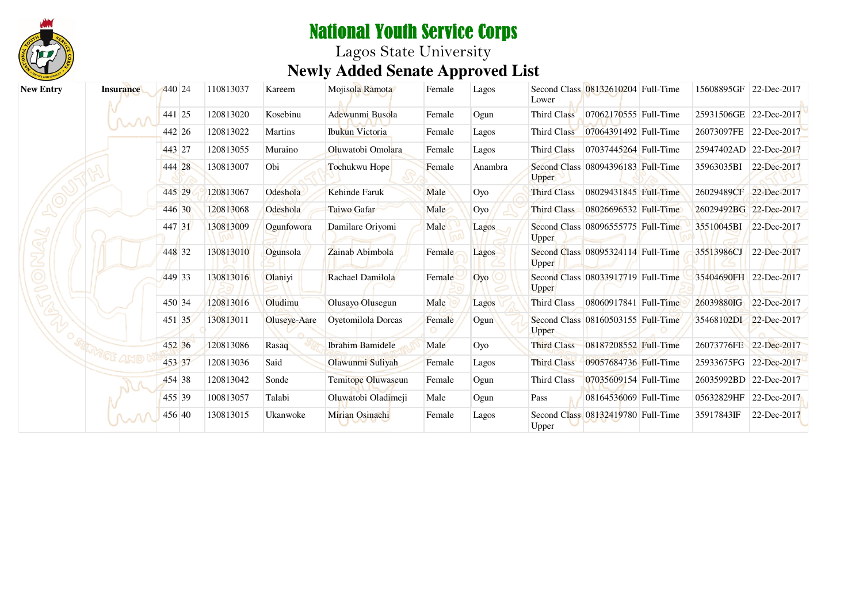

# National Youth Service Corps Lagos State University **Newly Added Senate Approved List**

| <b>New Entry</b> | <b>Insurance</b> | 440 24 | 110813037 | Kareem         | Mojisola Ramota         | Female | Lagos   | Lower              | Second Class 08132610204 Full-Time | 15608895GF             | 22-Dec-2017 |
|------------------|------------------|--------|-----------|----------------|-------------------------|--------|---------|--------------------|------------------------------------|------------------------|-------------|
|                  |                  | 441 25 | 120813020 | Kosebinu       | Adewunmi Busola         | Female | Ogun    | Third Class        | 07062170555 Full-Time              | 25931506GE 22-Dec-2017 |             |
|                  | M                | 442 26 | 120813022 | <b>Martins</b> | Ibukun Victoria         | Female | Lagos   | <b>Third Class</b> | 07064391492 Full-Time              | 26073097FE 22-Dec-2017 |             |
|                  |                  | 443 27 | 120813055 | Muraino        | Oluwatobi Omolara       | Female | Lagos   | <b>Third Class</b> | 07037445264 Full-Time              | 25947402AD 22-Dec-2017 |             |
|                  |                  | 444 28 | 130813007 | Obi            | Tochukwu Hope           | Female | Anambra | Upper              | Second Class 08094396183 Full-Time | 35963035BI             | 22-Dec-2017 |
|                  |                  | 445 29 | 120813067 | Odeshola       | <b>Kehinde Faruk</b>    | Male   | Oyo     | <b>Third Class</b> | 08029431845 Full-Time              | 26029489CF 22-Dec-2017 |             |
|                  |                  | 446 30 | 120813068 | Odeshola       | Taiwo Gafar             | Male   | Oyo     | <b>Third Class</b> | 08026696532 Full-Time              | 26029492BG 22-Dec-2017 |             |
|                  |                  | 447 31 | 130813009 | Ogunfowora     | Damilare Oriyomi        | Male   | Lagos   | Upper              | Second Class 08096555775 Full-Time | 35510045BI 22-Dec-2017 |             |
|                  |                  | 448 32 | 130813010 | Ogunsola       | Zainab Abimbola         | Female | Lagos   | Upper              | Second Class 08095324114 Full-Time | 35513986CJ             | 22-Dec-2017 |
|                  |                  | 449 33 | 130813016 | Olanivi        | Rachael Damilola        | Female | Oyo     | <b>Upper</b>       | Second Class 08033917719 Full-Time | 35404690FH 22-Dec-2017 |             |
|                  |                  | 450 34 | 120813016 | Oludimu        | Olusayo Olusegun        | Male   | Lagos   | Third Class        | 08060917841 Full-Time              | 26039880IG             | 22-Dec-2017 |
|                  |                  | 451 35 | 130813011 | Oluseye-Aare   | Oyetomilola Dorcas      | Female | Ogun    | Upper              | Second Class 08160503155 Full-Time | 35468102DI 22-Dec-2017 |             |
|                  |                  | 452 36 | 120813086 | Rasaq          | <b>Ibrahim Bamidele</b> | Male   | Oyo     | <b>Third Class</b> | 08187208552 Full-Time              | 26073776FE             | 22-Dec-2017 |
|                  |                  | 453 37 | 120813036 | Said           | Olawunmi Suliyah        | Female | Lagos   | <b>Third Class</b> | 09057684736 Full-Time              | 25933675FG             | 22-Dec-2017 |
|                  |                  | 454 38 | 120813042 | Sonde          | Temitope Oluwaseun      | Female | Ogun    | Third Class        | 07035609154 Full-Time              | 26035992BD 22-Dec-2017 |             |
|                  |                  | 455 39 | 100813057 | Talabi         | Oluwatobi Oladimeji     | Male   | Ogun    | Pass               | 08164536069 Full-Time              | 05632829HF             | 22-Dec-2017 |
|                  |                  | 456 40 | 130813015 | Ukanwoke       | Mirian Osinachi         | Female | Lagos   | Upper              | Second Class 08132419780 Full-Time | 35917843IF             | 22-Dec-2017 |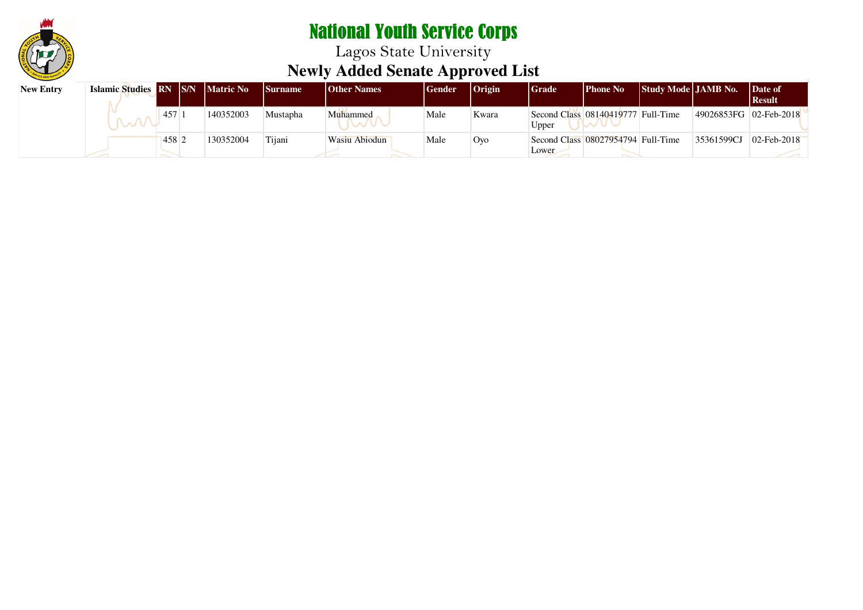

| <b>New Entry</b> | Islamic Studies RN S/N Matric No |                  |           | <b>Surname</b> | <b>Other Names</b> | Gender | <b>Origin</b> | <b>Grade</b> | <b>Phone No</b>                    | <b>Study Mode JAMB No.</b> |                        | Date of<br>  Result        |
|------------------|----------------------------------|------------------|-----------|----------------|--------------------|--------|---------------|--------------|------------------------------------|----------------------------|------------------------|----------------------------|
|                  |                                  | 457              | 140352003 | Mustapha       | Muhammed           | Male   | Kwara         | Upper        | Second Class 08140419777 Full-Time |                            | 49026853FG 02-Feb-2018 |                            |
|                  |                                  | 458 <sup>2</sup> | 130352004 | Tijani         | Wasiu Abiodun      | Male   | Oyo           | Lower        | Second Class 08027954794 Full-Time |                            | 35361599CJ             | $ 02 - \text{Feb} - 2018 $ |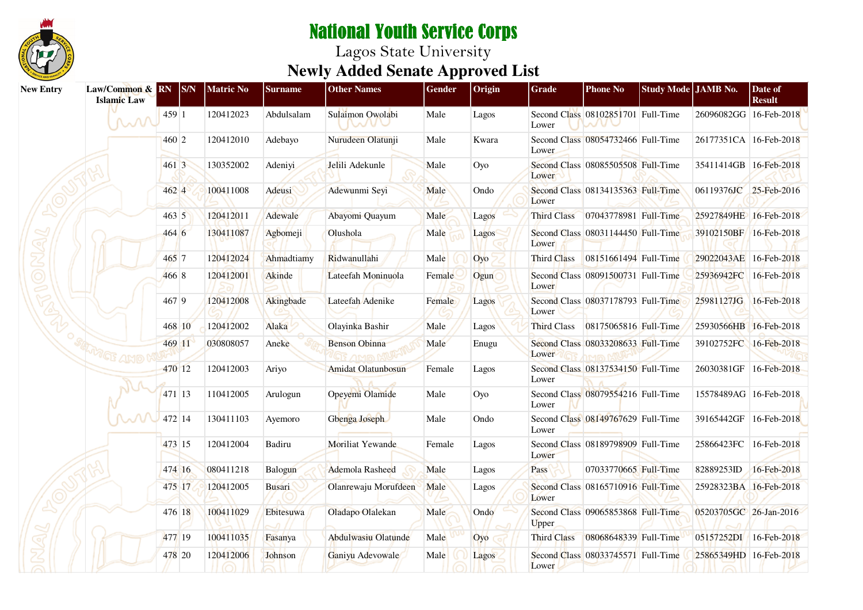

| <b>New Entry</b> | Law/Common & RN<br><b>Islamic Law</b> |       | $ _{S/N}$ | <b>Matric No</b> | <b>Surname</b> | <b>Other Names</b>        | <b>Gender</b> | Origin | <b>Grade</b>       | <b>Phone No</b>                    | Study Mode JAMB No. |                        | Date of<br><b>Result</b> |
|------------------|---------------------------------------|-------|-----------|------------------|----------------|---------------------------|---------------|--------|--------------------|------------------------------------|---------------------|------------------------|--------------------------|
|                  | MM                                    | 459 1 |           | 120412023        | Abdulsalam     | Sulaimon Owolabi<br>nan c | Male          | Lagos  | Lower              | Second Class 08102851701 Full-Time |                     | 26096082GG 16-Feb-2018 |                          |
|                  |                                       | 460 2 |           | 120412010        | Adebayo        | Nurudeen Olatunji         | Male          | Kwara  | Lower              | Second Class 08054732466 Full-Time |                     | 26177351CA 16-Feb-2018 |                          |
|                  |                                       | 4613  |           | 130352002        | Adeniyi        | Jelili Adekunle           | Male          | Oyo    | Lower              | Second Class 08085505508 Full-Time |                     | 35411414GB 16-Feb-2018 |                          |
|                  |                                       | 462 4 |           | 100411008        | Adeusi         | Adewunmi Seyi             | Male          | Ondo   | Lower              | Second Class 08134135363 Full-Time |                     | 06119376JC 25-Feb-2016 |                          |
|                  |                                       | 463 5 |           | 120412011        | Adewale        | Abayomi Quayum            | Male          | Lagos  | <b>Third Class</b> | 07043778981 Full-Time              |                     | 25927849HE 16-Feb-2018 |                          |
|                  |                                       | 4646  |           | 130411087        | Agbomeji       | Olushola                  | Male          | Lagos  | Lower              | Second Class 08031144450 Full-Time |                     | 39102150BF 16-Feb-2018 |                          |
|                  |                                       | 465 7 |           | 120412024        | Ahmadtiamy     | Ridwanullahi              | Male          | Oyo    | Third Class        | 08151661494 Full-Time              |                     | 29022043AE 16-Feb-2018 |                          |
|                  |                                       | 466 8 |           | 120412001        | Akinde         | Lateefah Moninuola        | Female        | Ogun   | Lower              | Second Class 08091500731 Full-Time |                     | 25936942FC 16-Feb-2018 |                          |
|                  |                                       | 467 9 |           | 120412008        | Akingbade      | Lateefah Adenike          | Female        | Lagos  | Lower              | Second Class 08037178793 Full-Time |                     | 25981127JG 16-Feb-2018 |                          |
|                  |                                       |       | 468 10    | 120412002        | Alaka          | Olayinka Bashir           | Male          | Lagos  | Third Class        | 08175065816 Full-Time              |                     | 25930566HB 16-Feb-2018 |                          |
|                  |                                       |       | 469 11    | 030808057        | Aneke          | <b>Benson Obinna</b>      | Male          | Enugu  | Lower              | Second Class 08033208633 Full-Time |                     | 39102752FC 16-Feb-2018 |                          |
|                  |                                       |       | 470 12    | 120412003        | Ariyo          | <b>Amidat Olatunbosun</b> | Female        | Lagos  | Lower              | Second Class 08137534150 Full-Time |                     | 26030381GF 16-Feb-2018 |                          |
|                  |                                       |       | 471 13    | 110412005        | Arulogun       | Opeyemi Olamide           | Male          | Oyo    | Lower              | Second Class 08079554216 Full-Time |                     | 15578489AG 16-Feb-2018 |                          |
|                  | ᆻ᠕                                    |       | 472 14    | 130411103        | Ayemoro        | Gbenga Joseph             | Male          | Ondo   | Lower              | Second Class 08149767629 Full-Time |                     | 39165442GF 16-Feb-2018 |                          |
|                  |                                       |       | 473 15    | 120412004        | Badiru         | Moriliat Yewande          | Female        | Lagos  | Lower              | Second Class 08189798909 Full-Time |                     | 25866423FC 16-Feb-2018 |                          |
|                  |                                       |       | 474 16    | 080411218        | Balogun        | Ademola Rasheed           | Male          | Lagos  | Pass               | 07033770665 Full-Time              |                     | 82889253ID             | 16-Feb-2018              |
|                  |                                       |       | 475 17    | 120412005        | <b>Busari</b>  | Olanrewaju Morufdeen      | Male          | Lagos  | Lower              | Second Class 08165710916 Full-Time |                     | 25928323BA 16-Feb-2018 |                          |
|                  |                                       |       | 476 18    | 100411029        | Ebitesuwa      | Oladapo Olalekan          | Male          | Ondo   | <b>Upper</b>       | Second Class 09065853868 Full-Time |                     | 05203705GC 26-Jan-2016 |                          |
|                  |                                       |       | 477 19    | 100411035        | Fasanya        | Abdulwasiu Olatunde       | Male          | Oyo    | <b>Third Class</b> | 08068648339 Full-Time              |                     | 05157252DI 16-Feb-2018 |                          |
|                  |                                       |       | 478 20    | 120412006        | Johnson        | Ganiyu Adevowale          | Male          | Lagos  | Lower              | Second Class 08033745571 Full-Time |                     | 25865349HD 16-Feb-2018 |                          |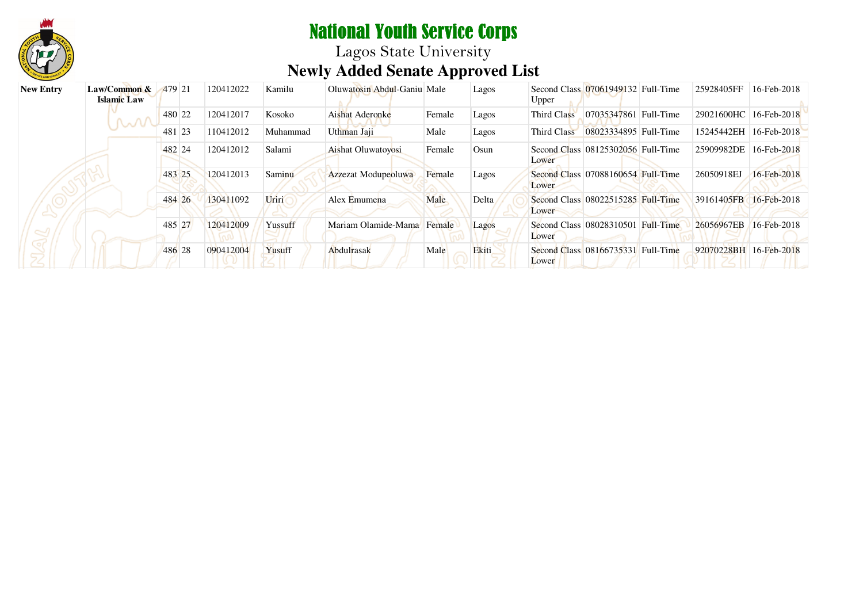

Lagos State University **Newly Added Senate Approved List**

| <b>New Entry</b> | $Law/Common \&$<br><b>Islamic</b> Law | 479 21 | 120412022 | Kamilu   | Oluwatosin Abdul-Ganiu Male |        | Lagos        | Upper       | Second Class 07061949132 Full-Time | 25928405FF             | 16-Feb-2018              |
|------------------|---------------------------------------|--------|-----------|----------|-----------------------------|--------|--------------|-------------|------------------------------------|------------------------|--------------------------|
|                  |                                       | 480 22 | 120412017 | Kosoko   | Aishat Aderonke             | Female | Lagos        | Third Class | 07035347861 Full-Time              | 29021600HC             | 16-Feb-2018              |
|                  |                                       | 481 23 | 110412012 | Muhammad | Uthman Jaji                 | Male   | Lagos        | Third Class | 08023334895 Full-Time              | 15245442EH             | 16-Feb-2018              |
|                  |                                       | 482 24 | 120412012 | Salami   | <b>Aishat Oluwatoyosi</b>   | Female | Osun         | Lower       | Second Class 08125302056 Full-Time | 25909982DE             | 16-Feb-2018              |
|                  |                                       | 483 25 | 120412013 | Saminu   | Azzezat Modupeoluwa         | Female | Lagos        | Lower       | Second Class 07088160654 Full-Time | 26050918EJ             | 16-Feb-2018              |
|                  |                                       | 484 26 | 130411092 | Uriri    | Alex Emumena                | Male   | Delta        | Lower       | Second Class 08022515285 Full-Time | 39161405FB             | $16 - \text{Feb} - 2018$ |
|                  |                                       | 485 27 | 120412009 | Yussuff  | Mariam Olamide-Mama         | Female | <b>Lagos</b> | Lower       | Second Class 08028310501 Full-Time | 26056967EB             | $16 - \text{Feb} - 2018$ |
|                  |                                       | 486 28 | 090412004 | Yusuff   | Abdulrasak                  | Male   | Ekiti        | Lower       | Second Class 08166735331 Full-Time | 92070228BH 16-Feb-2018 |                          |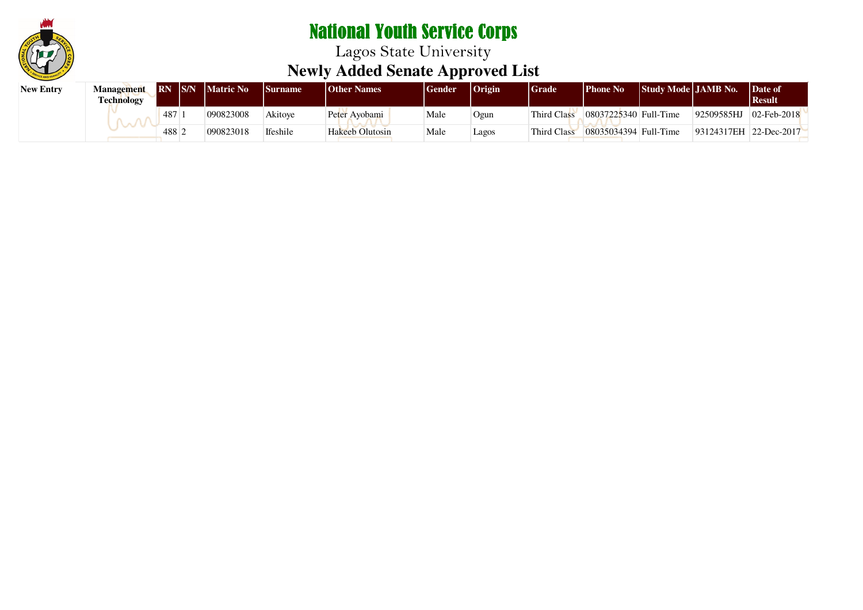

| <b>New Entry</b> | Management<br>Technology | <b>RN IS/N</b> | <b>Matric No</b> | <b>Surname</b> | <b>Other Names</b> | <b>Gender</b> | <b>Origin</b> | Grade       | Phone No              | <b>Study Mode LIAMB No.</b> |                        | Date of<br>  Result |
|------------------|--------------------------|----------------|------------------|----------------|--------------------|---------------|---------------|-------------|-----------------------|-----------------------------|------------------------|---------------------|
|                  |                          | 487            | 090823008        | Akitove        | Peter Ayobami      | Male          | Ogun          | Third Class | 08037225340 Full-Time |                             | 92509585HJ             | $02$ -Feb-2018      |
|                  |                          | 488.           | 090823018        | Ifeshile       | Hakeeb Olutosin    | Male          | Lagos         | Third Class | 08035034394 Full-Time |                             | 93124317EH 22-Dec-2017 |                     |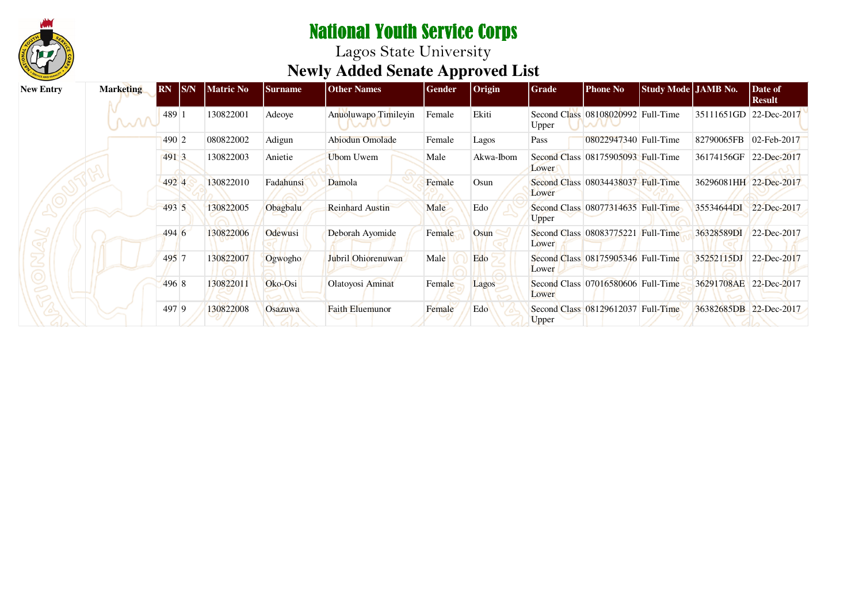

| <b>New Entry</b> | <b>Marketing</b> | S/N <br><b>RN</b> | <b>Matric No</b> | <b>Surname</b> | <b>Other Names</b>     | Gender | $ $ Origin | Grade | <b>Phone No</b>                    | Study Mode JAMB No. |                        | Date of<br><b>Result</b> |
|------------------|------------------|-------------------|------------------|----------------|------------------------|--------|------------|-------|------------------------------------|---------------------|------------------------|--------------------------|
|                  | <b>M</b>         | 489 1             | 130822001        | Adeoye         | Anuoluwapo Timileyin   | Female | Ekiti      | Upper | Second Class 08108020992 Full-Time |                     | 35111651GD 22-Dec-2017 |                          |
|                  |                  | 490 2             | 080822002        | Adigun         | Abiodun Omolade        | Female | Lagos      | Pass  | 08022947340 Full-Time              |                     | 82790065FB             | 02-Feb-2017              |
|                  |                  | 491 3             | 130822003        | Anietie        | Ubom Uwem              | Male   | Akwa-Ibom  | Lower | Second Class 08175905093 Full-Time |                     | 36174156GF             | 22-Dec-2017              |
|                  |                  | 492 4             | 130822010        | Fadahunsi      | Damola                 | Female | Osun       | Lower | Second Class 08034438037 Full-Time |                     | 36296081HH 22-Dec-2017 |                          |
|                  |                  | 493 5             | 130822005        | Obagbalu       | <b>Reinhard Austin</b> | Male   | Edo        | Upper | Second Class 08077314635 Full-Time |                     | 35534644DI             | 22-Dec-2017              |
|                  |                  | 494 6             | 130822006        | Odewusi        | Deborah Ayomide        | Female | Osun       | Lower | Second Class 08083775221 Full-Time |                     | 36328589DI             | 22-Dec-2017              |
|                  |                  | 495 7             | 130822007        | Ogwogho        | Jubril Ohiorenuwan     | Male   | Edo        | Lower | Second Class 08175905346 Full-Time |                     | 35252115DJ             | 22-Dec-2017              |
|                  |                  | 496 8             | 130822011        | Oko-Osi        | Olatoyosi Aminat       | Female | Lagos      | Lower | Second Class 07016580606 Full-Time |                     | 36291708AE 22-Dec-2017 |                          |
|                  |                  | 497 9             | 130822008        | <b>Osazuwa</b> | <b>Faith Eluemunor</b> | Female | Edo        | Upper | Second Class 08129612037 Full-Time |                     | 36382685DB 22-Dec-2017 |                          |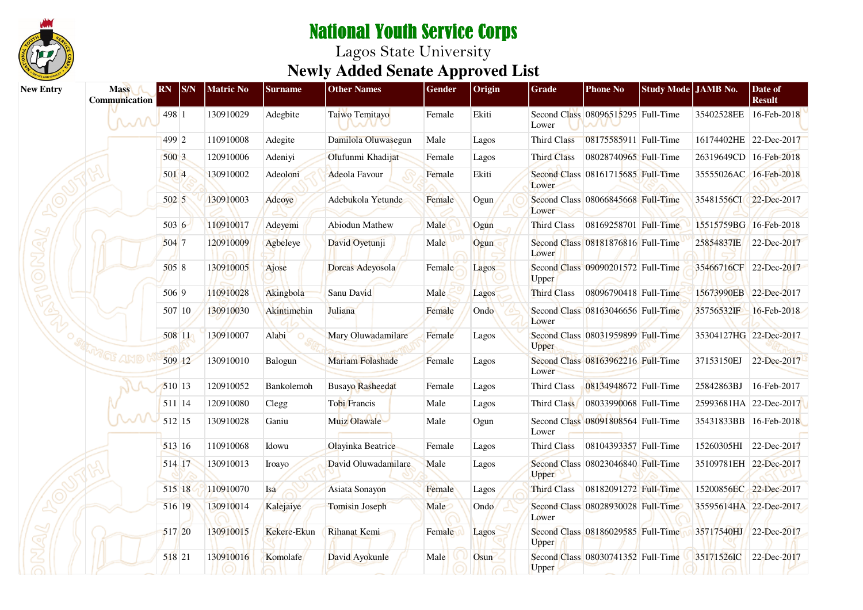

| <b>New Entry</b> | <b>Mass</b><br>Communication | <b>RN</b> | $ {\rm S/N} $ | <b>Matric No</b> | <b>Surname</b> | <b>Other Names</b>            | Gender | Origin | <b>Grade</b>       | <b>Phone No</b>                    | Study Mode JAMB No. |                        | Date of<br><b>Result</b> |
|------------------|------------------------------|-----------|---------------|------------------|----------------|-------------------------------|--------|--------|--------------------|------------------------------------|---------------------|------------------------|--------------------------|
|                  | M                            | 498 1     |               | 130910029        | Adegbite       | Taiwo Temitayo<br><b>NANU</b> | Female | Ekiti  | Lower              | Second Class 08096515295 Full-Time |                     | 35402528EE             | 16-Feb-2018              |
|                  |                              | 499 2     |               | 110910008        | Adegite        | Damilola Oluwasegun           | Male   | Lagos  | Third Class        | 08175585911 Full-Time              |                     | 16174402HE 22-Dec-2017 |                          |
|                  |                              | 500 3     |               | 120910006        | Adeniyi        | Olufunmi Khadijat             | Female | Lagos  | <b>Third Class</b> | 08028740965 Full-Time              |                     | 26319649CD 16-Feb-2018 |                          |
|                  |                              | 501 4     |               | 130910002        | Adeoloni       | Adeola Favour                 | Female | Ekiti  | Lower              | Second Class 08161715685 Full-Time |                     | 35555026AC 16-Feb-2018 |                          |
|                  |                              | 502 5     |               | 130910003        | Adeoye         | Adebukola Yetunde             | Female | Ogun   | Lower              | Second Class 08066845668 Full-Time |                     | 35481556CI 22-Dec-2017 |                          |
|                  |                              | 503 6     |               | 110910017        | Adeyemi        | Abiodun Mathew                | Male   | Ogun   | Third Class        | 08169258701 Full-Time              |                     | 15515759BG 16-Feb-2018 |                          |
|                  |                              | 504 7     |               | 120910009        | Agbeleye       | David Oyetunji                | Male   | Ogun   | Lower              | Second Class 08181876816 Full-Time |                     | 25854837IE             | 22-Dec-2017              |
|                  |                              | 5058      |               | 130910005        | Ajose          | Dorcas Adeyosola              | Female | Lagos  | Upper              | Second Class 09090201572 Full-Time |                     | 35466716CF 22-Dec-2017 |                          |
|                  |                              | 506 9     |               | 110910028        | Akingbola      | Sanu David                    | Male   | Lagos  | Third Class        | 08096790418 Full-Time              |                     | 15673990EB 22-Dec-2017 |                          |
|                  |                              |           | 507 10        | 130910030        | Akintimehin    | Juliana                       | Female | Ondo   | Lower              | Second Class 08163046656 Full-Time |                     | 35756532IF             | 16-Feb-2018              |
|                  |                              | 508 11    |               | 130910007        | Alabi          | Mary Oluwadamilare            | Female | Lagos  | Upper              | Second Class 08031959899 Full-Time |                     | 35304127HG 22-Dec-2017 |                          |
|                  | MCF AMO                      | 509 12    |               | 130910010        | Balogun        | <b>Mariam Folashade</b>       | Female | Lagos  | Lower              | Second Class 08163962216 Full-Time |                     | 37153150EJ             | 22-Dec-2017              |
|                  |                              | 510 13    |               | 120910052        | Bankolemoh     | <b>Busayo Rasheedat</b>       | Female | Lagos  | <b>Third Class</b> | 08134948672 Full-Time              |                     | 25842863BJ             | 16-Feb-2017              |
|                  |                              | 511 14    |               | 120910080        | Clegg          | Tobi Francis                  | Male   | Lagos  | Third Class        | 08033990068 Full-Time              |                     | 25993681HA 22-Dec-2017 |                          |
|                  | ᆻ୵                           | 512 15    |               | 130910028        | Ganiu          | Muiz Olawale                  | Male   | Ogun   | Lower              | Second Class 08091808564 Full-Time |                     | 35431833BB             | 16-Feb-2018              |
|                  |                              | 513 16    |               | 110910068        | Idowu          | Olayinka Beatrice             | Female | Lagos  | Third Class        | 08104393357 Full-Time              |                     | 15260305HI 22-Dec-2017 |                          |
|                  |                              | 514 17    |               | 130910013        | Iroayo         | David Oluwadamilare           | Male   | Lagos  | Upper              | Second Class 08023046840 Full-Time |                     | 35109781EH 22-Dec-2017 |                          |
|                  |                              | 515 18    |               | 110910070        | Isa            | Asiata Sonayon                | Female | Lagos  | <b>Third Class</b> | 08182091272 Full-Time              |                     | 15200856EC 22-Dec-2017 |                          |
|                  |                              | 516 19    |               | 130910014        | Kalejaiye      | <b>Tomisin Joseph</b>         | Male   | Ondo   | Lower              | Second Class 08028930028 Full-Time |                     | 35595614HA 22-Dec-2017 |                          |
|                  |                              | 517 20    |               | 130910015        | Kekere-Ekun    | Rihanat Kemi                  | Female | Lagos  | Upper              | Second Class 08186029585 Full-Time |                     | 35717540HJ 22-Dec-2017 |                          |
|                  |                              | 518 21    |               | 130910016        | Komolafe       | David Ayokunle                | Male   | Osun   | Upper              | Second Class 08030741352 Full-Time |                     | 35171526IC             | 22-Dec-2017              |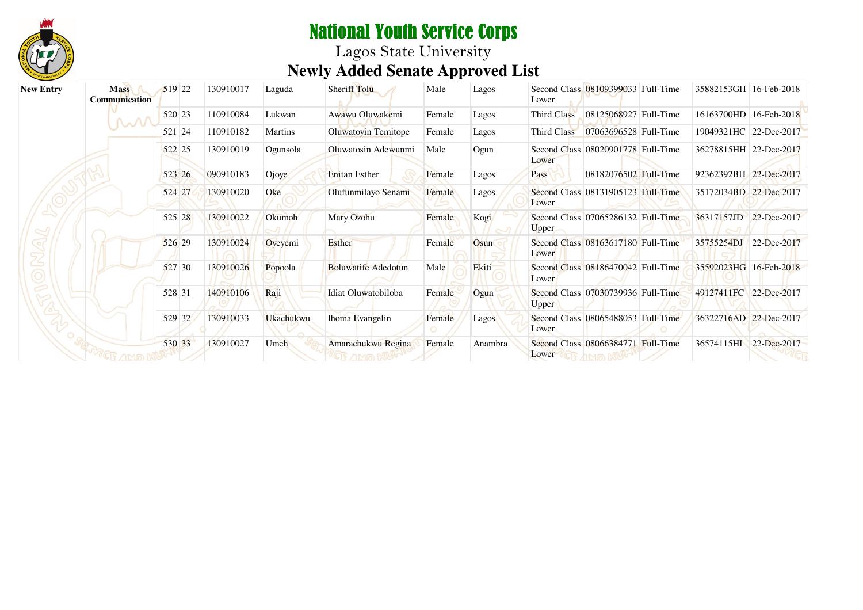

| <b>New Entry</b> | <b>Mass</b><br><b>Communication</b> | 519 22 | 130910017 | Laguda           | Sheriff Tolu               | Male   | Lagos   | Second Class 08109399033 Full-Time<br>Lower | 35882153GH 16-Feb-2018 |             |
|------------------|-------------------------------------|--------|-----------|------------------|----------------------------|--------|---------|---------------------------------------------|------------------------|-------------|
|                  |                                     | 520 23 | 110910084 | Lukwan           | Awawu Oluwakemi            | Female | Lagos   | Third Class<br>08125068927 Full-Time        | 16163700HD 16-Feb-2018 |             |
|                  |                                     | 521 24 | 110910182 | Martins          | Oluwatoyin Temitope        | Female | Lagos   | Third Class<br>07063696528 Full-Time        | 19049321HC 22-Dec-2017 |             |
|                  |                                     | 522 25 | 130910019 | Ogunsola         | Oluwatosin Adewunmi        | Male   | Ogun    | Second Class 08020901778 Full-Time<br>Lower | 36278815HH 22-Dec-2017 |             |
|                  |                                     | 523 26 | 090910183 | Ojoye            | <b>Enitan Esther</b>       | Female | Lagos   | 08182076502 Full-Time<br><b>Pass</b>        | 92362392BH 22-Dec-2017 |             |
|                  |                                     | 524 27 | 130910020 | Oke              | Olufunmilayo Senami        | Female | Lagos   | Second Class 08131905123 Full-Time<br>Lower | 35172034BD 22-Dec-2017 |             |
|                  |                                     | 525 28 | 130910022 | Okumoh           | Mary Ozohu                 | Female | Kogi    | Second Class 07065286132 Full-Time<br>Upper | 36317157JD 22-Dec-2017 |             |
|                  |                                     | 526 29 | 130910024 | Oyeyemi          | Esther                     | Female | Osun    | Second Class 08163617180 Full-Time<br>Lower | 35755254DJ 22-Dec-2017 |             |
|                  |                                     | 527 30 | 130910026 | Popoola          | <b>Boluwatife Adedotun</b> | Male   | Ekiti   | Second Class 08186470042 Full-Time<br>Lower | 35592023HG 16-Feb-2018 |             |
|                  |                                     | 528 31 | 140910106 | Raji             | Idiat Oluwatobiloba        | Female | Ogun    | Second Class 07030739936 Full-Time<br>Upper | 49127411FC 22-Dec-2017 |             |
|                  |                                     | 529 32 | 130910033 | <b>Ukachukwu</b> | Ihoma Evangelin            | Female | Lagos   | Second Class 08065488053 Full-Time<br>Lower | 36322716AD 22-Dec-2017 |             |
|                  |                                     | 530 33 | 130910027 | Umeh             | Amarachukwu Regina         | Female | Anambra | Second Class 08066384771 Full-Time<br>Lower | 36574115HI             | 22-Dec-2017 |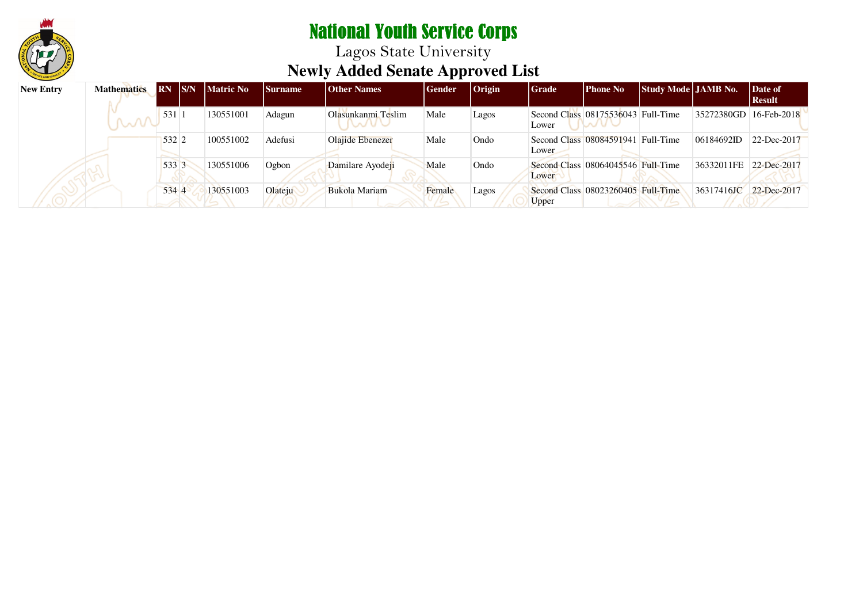

| <b>New Entry</b> | <b>Mathematics</b> | <b>RN</b> | S/N | <b>Matric No</b> | <b>Surname</b> | <b>Other Names</b>   | Gender | $ O$ rigin | <b>Grade</b> | <b>Phone No</b>                    | Study Mode JAMB No. |                        | Date of<br>  Result |
|------------------|--------------------|-----------|-----|------------------|----------------|----------------------|--------|------------|--------------|------------------------------------|---------------------|------------------------|---------------------|
|                  | $\sim 100$         | 531       |     | 130551001        | Adagun         | Olasunkanmi Teslim   | Male   | Lagos      | Lower        | Second Class 08175536043 Full-Time |                     | 35272380GD 16-Feb-2018 |                     |
|                  |                    | 532 2     |     | 100551002        | Adefusi        | Olajide Ebenezer     | Male   | Ondo       | Lower        | Second Class 08084591941 Full-Time |                     | 06184692ID             | 22-Dec-2017         |
|                  |                    | 533 3     |     | 130551006        | Ogbon          | Damilare Ayodeji     | Male   | Ondo       | Lower        | Second Class 08064045546 Full-Time |                     | 36332011FE             | 22-Dec-2017         |
|                  |                    | 534 4     |     | 130551003        | Olateiu        | <b>Bukola Mariam</b> | Female | Lagos      | Upper        | Second Class 08023260405 Full-Time |                     | 36317416JC             | 22-Dec-2017         |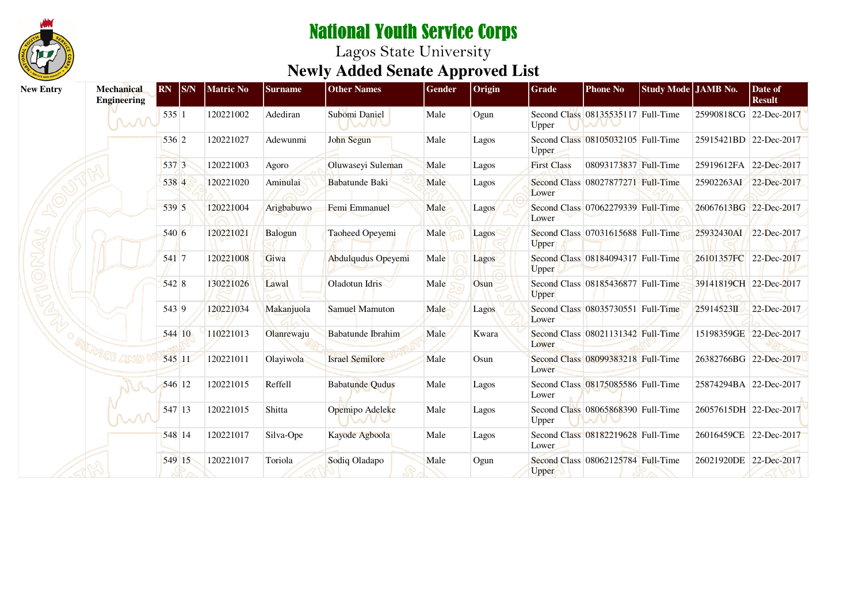

| <b>New Entry</b> | Mechanical<br>Engineering | <b>RN</b> | SNN    | <b>Matric No</b> | <b>Surname</b> | <b>Other Names</b>     | Gender | Origin | Grade              | <b>Phone No</b>                    | Study Mode JAMB No. |                        | Date of<br><b>Result</b> |
|------------------|---------------------------|-----------|--------|------------------|----------------|------------------------|--------|--------|--------------------|------------------------------------|---------------------|------------------------|--------------------------|
|                  | MM                        | 535 1     |        | 120221002        | Adediran       | Subomi Daniel          | Male   | Ogun   | Upper              | Second Class 08135535117 Full-Time |                     | 25990818CG             | 22-Dec-2017              |
|                  |                           | 536 2     |        | 120221027        | Adewunmi       | John Segun             | Male   | Lagos  | Upper              | Second Class 08105032105 Full-Time |                     | 25915421BD 22-Dec-2017 |                          |
|                  |                           | 537 3     |        | 120221003        | Agoro          | Oluwaseyi Suleman      | Male   | Lagos  | <b>First Class</b> | 08093173837 Full-Time              |                     | 25919612FA 22-Dec-2017 |                          |
|                  |                           | 538 4     |        | 120221020        | Aminulai       | <b>Babatunde Baki</b>  | Male   | Lagos  | Lower              | Second Class 08027877271 Full-Time |                     | 25902263AI 22-Dec-2017 |                          |
|                  |                           | 539 5     |        | 120221004        | Arigbabuwo     | Femi Emmanuel          | Male   | Lagos  | Lower              | Second Class 07062279339 Full-Time |                     | 26067613BG 22-Dec-2017 |                          |
|                  |                           | 540 6     |        | 120221021        | Balogun        | Taoheed Opeyemi        | Male   | Lagos  | Upper              | Second Class 07031615688 Full-Time |                     | 25932430AI 22-Dec-2017 |                          |
|                  |                           | 541 7     |        | 120221008        | Giwa           | Abdulqudus Opeyemi     | Male   | Lagos  | Upper              | Second Class 08184094317 Full-Time |                     | 26101357FC 22-Dec-2017 |                          |
|                  |                           | 542 8     |        | 130221026        | Lawal          | Oladotun Idris         | Male   | Osun   | <b>Upper</b>       | Second Class 08185436877 Full-Time |                     | 39141819CH 22-Dec-2017 |                          |
|                  |                           | 543 9     |        | 120221034        | Makanjuola     | <b>Samuel Mamuton</b>  | Male   | Lagos  | Lower              | Second Class 08035730551 Full-Time |                     | 25914523II             | 22-Dec-2017              |
|                  |                           |           | 544 10 | 110221013        | Olanrewaju     | Babatunde Ibrahim      | Male   | Kwara  | Lower              | Second Class 08021131342 Full-Time |                     |                        | 15198359GE 22-Dec-2017   |
|                  |                           |           | 545 11 | 120221011        | Olayiwola      | <b>Israel Semilore</b> | Male   | Osun   | Lower              | Second Class 08099383218 Full-Time |                     | 26382766BG 22-Dec-2017 |                          |
|                  |                           |           | 546 12 | 120221015        | Reffell        | <b>Babatunde Qudus</b> | Male   | Lagos  | Lower              | Second Class 08175085586 Full-Time |                     | 25874294BA 22-Dec-2017 |                          |
|                  | M                         |           | 547 13 | 120221015        | Shitta         | Opemipo Adeleke        | Male   | Lagos  | Upper              | Second Class 08065868390 Full-Time |                     | 26057615DH 22-Dec-2017 |                          |
|                  |                           |           | 548 14 | 120221017        | Silva-Ope      | Kayode Agboola         | Male   | Lagos  | Lower              | Second Class 08182219628 Full-Time |                     |                        | 26016459CE 22-Dec-2017   |
|                  |                           |           | 549 15 | 120221017        | Toriola        | Sodiq Oladapo          | Male   | Ogun   | <b>Upper</b>       | Second Class 08062125784 Full-Time |                     | 26021920DE 22-Dec-2017 |                          |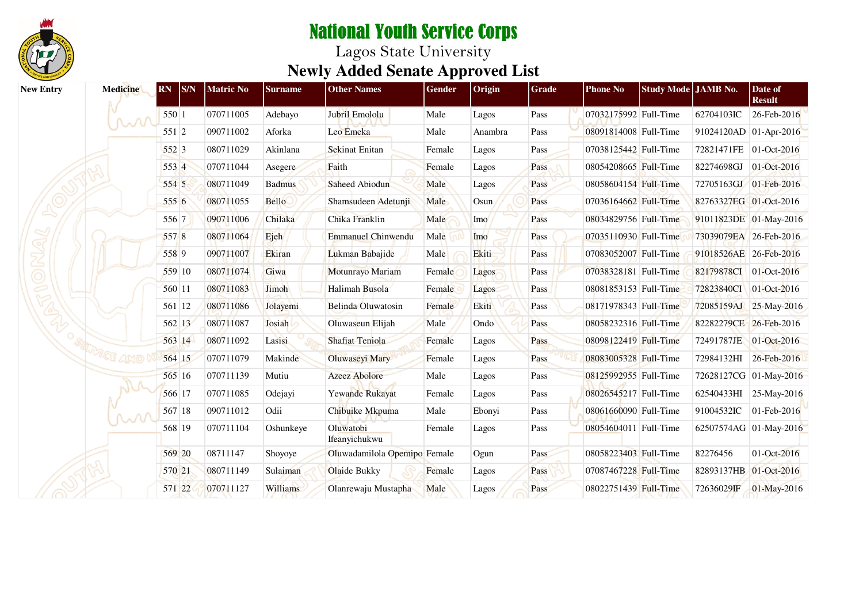

| <b>New Entry</b> | <b>Medicine</b> | SNN <br>$\overline{\text{RN}}$ | <b>Matric No</b> | <b>Surname</b> | <b>Other Names</b>           | <b>Gender</b> | Origin  | <b>Grade</b> | <b>Phone No</b>       | Study Mode JAMB No. |                        | Date of<br><b>Result</b> |
|------------------|-----------------|--------------------------------|------------------|----------------|------------------------------|---------------|---------|--------------|-----------------------|---------------------|------------------------|--------------------------|
|                  | $\sim$ N        | 550 1                          | 070711005        | Adebayo        | Jubril Emololu               | Male          | Lagos   | Pass         | 07032175992 Full-Time |                     | 62704103IC             | 26-Feb-2016              |
|                  |                 | 551 2                          | 090711002        | Aforka         | Leo Emeka                    | Male          | Anambra | Pass         | 08091814008 Full-Time |                     | 91024120AD 01-Apr-2016 |                          |
|                  |                 | 552 3                          | 080711029        | Akinlana       | <b>Sekinat Enitan</b>        | Female        | Lagos   | Pass         | 07038125442 Full-Time |                     | 72821471FE 01-Oct-2016 |                          |
|                  |                 | 553 4                          | 070711044        | Asegere        | Faith                        | Female        | Lagos   | Pass         | 08054208665 Full-Time |                     | 82274698GJ             | 01-Oct-2016              |
|                  |                 | 554 5                          | 080711049        | <b>Badmus</b>  | Saheed Abiodun               | Male          | Lagos   | Pass         | 08058604154 Full-Time |                     |                        | 72705163GJ 01-Feb-2016   |
|                  |                 | 555 6                          | 080711055        | <b>Bello</b>   | Shamsudeen Adetunji          | Male          | Osun    | Pass         | 07036164662 Full-Time |                     | 82763327EG 01-Oct-2016 |                          |
|                  |                 | 556 7                          | 090711006        | Chilaka        | Chika Franklin               | Male          | Imo     | Pass         | 08034829756 Full-Time |                     |                        | 91011823DE 01-May-2016   |
|                  |                 | 557 8                          | 080711064        | Ejeh           | <b>Emmanuel Chinwendu</b>    | Male          | Imo     | Pass         | 07035110930 Full-Time |                     | 73039079EA 26-Feb-2016 |                          |
|                  |                 | 558 9                          | 090711007        | Ekiran         | Lukman Babajide              | Male          | Ekiti   | Pass         | 07083052007 Full-Time |                     | 91018526AE 26-Feb-2016 |                          |
|                  |                 | 559 10                         | 080711074        | Giwa           | Motunrayo Mariam             | Female        | Lagos   | Pass         | 07038328181 Full-Time |                     | 82179878CI             | $01 - Oct-2016$          |
|                  |                 | 560 11                         | 080711083        | Jimoh          | Halimah Busola               | Female        | Lagos   | Pass         | 08081853153 Full-Time |                     | 72823840CI             | $01 - Oct-2016$          |
|                  |                 | 561 12                         | 080711086        | Jolayemi       | Belinda Oluwatosin           | Female        | Ekiti   | Pass         | 08171978343 Full-Time |                     | 72085159AJ             | 25-May-2016              |
|                  |                 | 562 13                         | 080711087        | Josiah         | Oluwaseun Elijah             | Male          | Ondo    | Pass         | 08058232316 Full-Time |                     | 82282279CE 26-Feb-2016 |                          |
|                  |                 | 563 14                         | 080711092        | Lasisi         | <b>Shafiat Teniola</b>       | Female        | Lagos   | Pass         | 08098122419 Full-Time |                     | 72491787JE             | 01-Oct-2016              |
|                  |                 | 564 15                         | 070711079        | Makinde        | <b>Oluwaseyi Mary</b>        | Female        | Lagos   | Pass         | 08083005328 Full-Time |                     | 72984132HI             | 26-Feb-2016              |
|                  |                 | 565 16                         | 070711139        | Mutiu          | <b>Azeez Abolore</b>         | Male          | Lagos   | Pass         | 08125992955 Full-Time |                     |                        | 72628127CG 01-May-2016   |
|                  |                 | 566 17                         | 070711085        | Odejayi        | Yewande Rukayat              | Female        | Lagos   | Pass         | 08026545217 Full-Time |                     | 62540433HI             | 25-May-2016              |
|                  |                 | 567 18                         | 090711012        | Odii           | Chibuike Mkpuma              | Male          | Ebonyi  | Pass         | 08061660090 Full-Time |                     | 91004532IC             | 01-Feb-2016              |
|                  |                 | 568 19                         | 070711104        | Oshunkeye      | Oluwatobi<br>Ifeanyichukwu   | Female        | Lagos   | Pass         | 08054604011 Full-Time |                     |                        | 62507574AG 01-May-2016   |
|                  |                 | 569 20                         | 08711147         | Shoyoye        | Oluwadamilola Opemipo Female |               | Ogun    | Pass         | 08058223403 Full-Time |                     | 82276456               | 01-Oct-2016              |
|                  |                 | 570 21                         | 080711149        | Sulaiman       | Olaide Bukky                 | Female        | Lagos   | Pass         | 07087467228 Full-Time |                     | 82893137HB 01-Oct-2016 |                          |
|                  |                 | 571 22                         | 070711127        | Williams       | Olanrewaju Mustapha          | Male          | Lagos   | Pass         | 08022751439 Full-Time |                     | 72636029IF             | 01-May-2016              |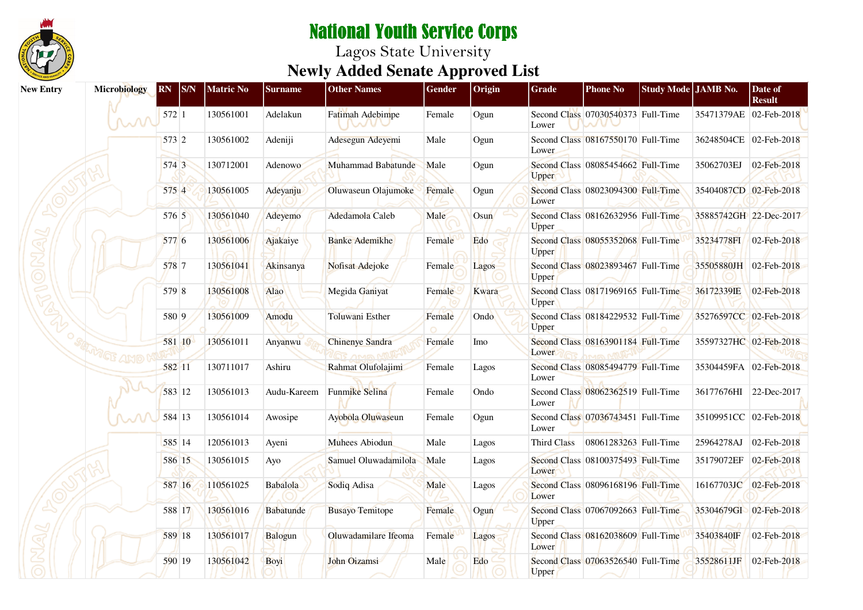

| <b>New Entry</b> | Microbiology                                                     | <b>RN</b> | <sub>S/N</sub> | <b>Matric No</b> | <b>Surname</b>   | <b>Other Names</b>       | Gender | Origin | Grade        | <b>Phone No</b>                    | Study Mode JAMB No. |                        | Date of<br><b>Result</b> |
|------------------|------------------------------------------------------------------|-----------|----------------|------------------|------------------|--------------------------|--------|--------|--------------|------------------------------------|---------------------|------------------------|--------------------------|
|                  | $\mathcal{M}% _{M_{1},M_{2}}^{\alpha,\alpha,\beta}(\varepsilon)$ | 572 1     |                | 130561001        | Adelakun         | Fatimah Adebimpe<br>nove | Female | Ogun   | Lower        | Second Class 07030540373 Full-Time |                     | 35471379AE 02-Feb-2018 |                          |
|                  |                                                                  | 573 2     |                | 130561002        | Adeniji          | Adesegun Adeyemi         | Male   | Ogun   | Lower        | Second Class 08167550170 Full-Time |                     | 36248504CE 02-Feb-2018 |                          |
|                  |                                                                  | 574 3     |                | 130712001        | Adenowo          | Muhammad Babatunde       | Male   | Ogun   | <b>Upper</b> | Second Class 08085454662 Full-Time |                     | 35062703EJ             | 02-Feb-2018              |
|                  |                                                                  | 575 4     |                | 130561005        | Adeyanju         | Oluwaseun Olajumoke      | Female | Ogun   | Lower        | Second Class 08023094300 Full-Time |                     | 35404087CD 02-Feb-2018 |                          |
|                  |                                                                  | 576 5     |                | 130561040        | Adeyemo          | Adedamola Caleb          | Male   | Osun   | Upper        | Second Class 08162632956 Full-Time |                     | 35885742GH 22-Dec-2017 |                          |
|                  |                                                                  | 577 6     |                | 130561006        | Ajakaiye         | <b>Banke Ademikhe</b>    | Female | Edo    | Upper        | Second Class 08055352068 Full-Time |                     | 35234778FI 02-Feb-2018 |                          |
|                  |                                                                  | 578 7     |                | 130561041        | Akinsanya        | Nofisat Adejoke          | Female | Lagos  | Upper        | Second Class 08023893467 Full-Time |                     | 35505880JH 02-Feb-2018 |                          |
|                  |                                                                  | 579 8     |                | 130561008        | Alao             | Megida Ganiyat           | Female | Kwara  | Upper        | Second Class 08171969165 Full-Time |                     | 36172339IE             | 02-Feb-2018              |
|                  |                                                                  | 580 9     |                | 130561009        | Amodu            | Toluwani Esther          | Female | Ondo   | Upper        | Second Class 08184229532 Full-Time |                     | 35276597CC 02-Feb-2018 |                          |
|                  | <sup>1</sup> GF AMO                                              |           | 581 10         | 130561011        | Anyanwu          | <b>Chinenye Sandra</b>   | Female | Imo    | Lower        | Second Class 08163901184 Full-Time |                     | 35597327HC 02-Feb-2018 |                          |
|                  |                                                                  | 582 11    |                | 130711017        | Ashiru           | Rahmat Olufolajimi       | Female | Lagos  | Lower        | Second Class 08085494779 Full-Time |                     | 35304459FA 02-Feb-2018 |                          |
|                  |                                                                  |           | 583 12         | 130561013        | Audu-Kareem      | <b>Funmike Selina</b>    | Female | Ondo   | Lower        | Second Class 08062362519 Full-Time |                     | 36177676HI 22-Dec-2017 |                          |
|                  |                                                                  |           | 584 13         | 130561014        | Awosipe          | Ayobola Oluwaseun        | Female | Ogun   | Lower        | Second Class 07036743451 Full-Time |                     | 35109951CC 02-Feb-2018 |                          |
|                  |                                                                  | 585 14    |                | 120561013        | Ayeni            | Muhees Abiodun           | Male   | Lagos  | Third Class  | 08061283263 Full-Time              |                     | 25964278AJ             | 02-Feb-2018              |
|                  |                                                                  |           | 586 15         | 130561015        | Ayo              | Samuel Oluwadamilola     | Male   | Lagos  | Lower        | Second Class 08100375493 Full-Time |                     | 35179072EF 02-Feb-2018 |                          |
|                  |                                                                  |           | 587 16         | 110561025        | Babalola         | Sodiq Adisa              | Male   | Lagos  | Lower        | Second Class 08096168196 Full-Time |                     | 16167703JC 02-Feb-2018 |                          |
|                  |                                                                  |           | 588 17         | 130561016        | <b>Babatunde</b> | <b>Busayo Temitope</b>   | Female | Ogun   | Upper        | Second Class 07067092663 Full-Time |                     | 35304679GI 02-Feb-2018 |                          |
|                  |                                                                  |           | 589 18         | 130561017        | Balogun          | Oluwadamilare Ifeoma     | Female | Lagos  | Lower        | Second Class 08162038609 Full-Time |                     | 35403840IF             | 02-Feb-2018              |
|                  |                                                                  | 590 19    |                | 130561042        | Boyi             | John Oizamsi             | Male   | Edo    | Upper        | Second Class 07063526540 Full-Time |                     | 35528611JF             | 02-Feb-2018              |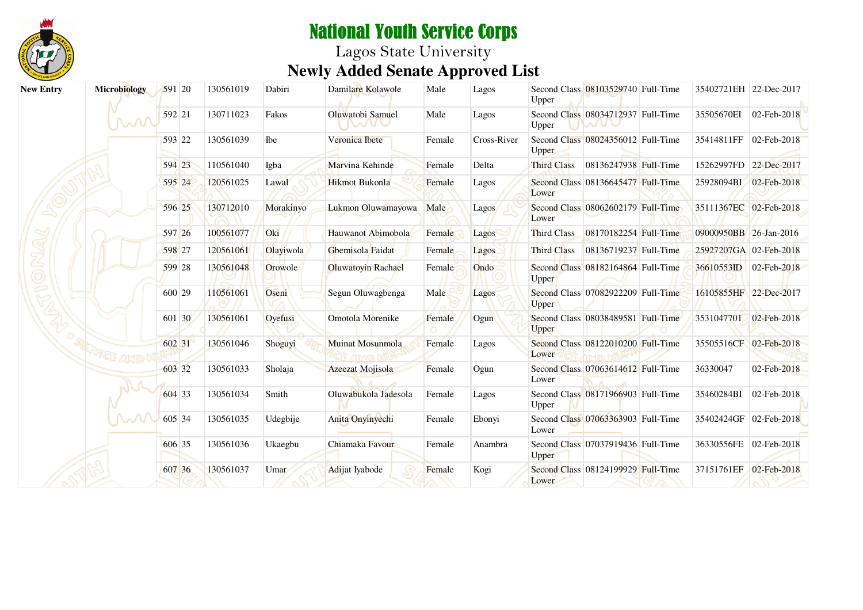

| <b>New Entry</b> | Microbiology                                                     | 591 20 | 130561019 | Dabiri    | Damilare Kolawole                | Male   | Lagos       | Upper              | Second Class 08103529740 Full-Time | 35402721EH 22-Dec-2017 |                        |
|------------------|------------------------------------------------------------------|--------|-----------|-----------|----------------------------------|--------|-------------|--------------------|------------------------------------|------------------------|------------------------|
|                  | $\mathcal{M}% _{M_{1},M_{2}}^{\alpha,\alpha,\beta}(\varepsilon)$ | 592 21 | 130711023 | Fakos     | Oluwatobi Samuel<br><b>IVALU</b> | Male   | Lagos       | Upper              | Second Class 08034712937 Full-Time | 35505670EI             | 02-Feb-2018            |
|                  |                                                                  | 593 22 | 130561039 | Ibe       | Veronica Ibete                   | Female | Cross-River | Upper              | Second Class 08024356012 Full-Time | 35414811FF 02-Feb-2018 |                        |
|                  |                                                                  | 594 23 | 110561040 | Igba      | Marvina Kehinde                  | Female | Delta       | <b>Third Class</b> | 08136247938 Full-Time              | 15262997FD 22-Dec-2017 |                        |
|                  |                                                                  | 595 24 | 120561025 | Lawal     | Hikmot Bukonla                   | Female | Lagos       | Lower              | Second Class 08136645477 Full-Time | 25928094BI 02-Feb-2018 |                        |
|                  |                                                                  | 596 25 | 130712010 | Morakinyo | Lukmon Oluwamayowa               | Male   | Lagos       | Lower              | Second Class 08062602179 Full-Time | 35111367EC 02-Feb-2018 |                        |
|                  |                                                                  | 597 26 | 100561077 | Oki       | Hauwanot Abimobola               | Female | Lagos       | Third Class        | 08170182254 Full-Time              | 09000950BB 26-Jan-2016 |                        |
|                  |                                                                  | 598 27 | 120561061 | Olayiwola | Gbemisola Faidat                 | Female | Lagos       | Third Class        | 08136719237 Full-Time              | 25927207GA 02-Feb-2018 |                        |
|                  |                                                                  | 599 28 | 130561048 | Orowole   | Oluwatoyin Rachael               | Female | Ondo        | Upper              | Second Class 08182164864 Full-Time | 36610553ID 02-Feb-2018 |                        |
|                  |                                                                  | 600 29 | 110561061 | Oseni     | Segun Oluwagbenga                | Male   | Lagos       | Upper              | Second Class 07082922209 Full-Time |                        | 16105855HF 22-Dec-2017 |
|                  |                                                                  | 601 30 | 130561061 | Oyefusi   | Omotola Morenike                 | Female | Ogun        | <b>Upper</b>       | Second Class 08038489581 Full-Time | 3531047701 02-Feb-2018 |                        |
|                  |                                                                  | 602 31 | 130561046 | Shoguyi   | <b>Muinat Mosunmola</b>          | Female | Lagos       | Lower              | Second Class 08122010200 Full-Time |                        | 35505516CF 02-Feb-2018 |
|                  |                                                                  | 603 32 | 130561033 | Sholaja   | Azeezat Mojisola                 | Female | Ogun        | Lower              | Second Class 07063614612 Full-Time | 36330047               | 02-Feb-2018            |
|                  |                                                                  | 604 33 | 130561034 | Smith     | Oluwabukola Jadesola             | Female | Lagos       | Upper              | Second Class 08171966903 Full-Time | 35460284BI             | 02-Feb-2018            |
|                  |                                                                  | 605 34 | 130561035 | Udegbije  | Anita Onyinyechi                 | Female | Ebonyi      | Lower              | Second Class 07063363903 Full-Time |                        | 35402424GF 02-Feb-2018 |
|                  |                                                                  | 606 35 | 130561036 | Ukaegbu   | Chiamaka Favour                  | Female | Anambra     | Upper              | Second Class 07037919436 Full-Time | 36330556FE 02-Feb-2018 |                        |
|                  |                                                                  | 607 36 | 130561037 | Umar      | Adijat Iyabode                   | Female | Kogi        | Lower              | Second Class 08124199929 Full-Time | 37151761EF             | 02-Feb-2018            |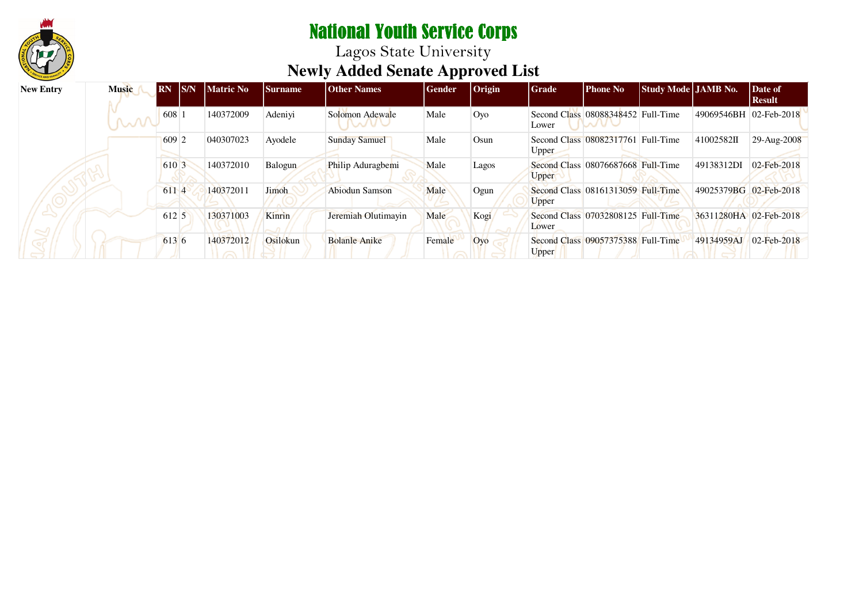

| <b>New Entry</b> | <b>Music</b> | <b>RN</b>     | IS/N | <b>Matric No</b> | <b>Surname</b> | <b>Other Names</b>   | Gender | <i>Origin</i> | <b>Grade</b> | <b>Phone No</b>                    | Study Mode JAMB No. |                        | Date of<br><b>Result</b> |
|------------------|--------------|---------------|------|------------------|----------------|----------------------|--------|---------------|--------------|------------------------------------|---------------------|------------------------|--------------------------|
|                  | M            | $608 \vert 1$ |      | 140372009        | Adeniyi        | Solomon Adewale      | Male   | Oyo           | Lower        | Second Class 08088348452 Full-Time |                     | 49069546BH 02-Feb-2018 |                          |
|                  |              | 609 2         |      | 040307023        | Ayodele        | <b>Sunday Samuel</b> | Male   | Osun          | <b>Upper</b> | Second Class 08082317761           | Full-Time           | 41002582II             | 29-Aug-2008              |
|                  |              | 610 3         |      | 140372010        | Balogun        | Philip Aduragbemi    | Male   | Lagos         | <b>Upper</b> | Second Class 08076687668 Full-Time |                     | 49138312DI             | 02-Feb-2018              |
|                  |              | 6114          |      | 140372011        | Jimoh          | Abiodun Samson       | Male   | Ogun          | Upper        | Second Class 08161313059 Full-Time |                     | 49025379BG 02-Feb-2018 |                          |
|                  |              | 612 5         |      | 130371003        | <b>Kinrin</b>  | Jeremiah Olutimayin  | Male   | Kogi          | Lower        | Second Class 07032808125 Full-Time |                     | 36311280HA 02-Feb-2018 |                          |
|                  |              | 613 6         |      | 140372012        | Osilokun       | <b>Bolanle Anike</b> | Female | Ovo           | Upper        | Second Class 09057375388 Full-Time |                     | 49134959AJ             | 02-Feb-2018              |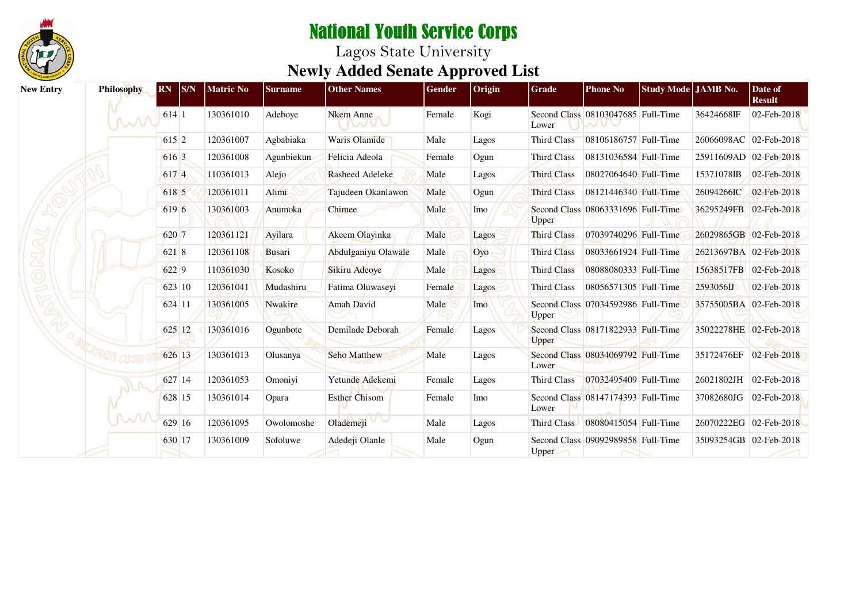

| <b>New Entry</b> | <b>Philosophy</b> | S/N <br><b>RN</b> | Matric No | <b>Surname</b> | <b>Other Names</b>   | Gender | Origin | Grade              | <b>Phone No</b>                    | Study Mode JAMB No. |                        | Date of<br><b>Result</b> |
|------------------|-------------------|-------------------|-----------|----------------|----------------------|--------|--------|--------------------|------------------------------------|---------------------|------------------------|--------------------------|
|                  | M                 | 614 1             | 130361010 | Adeboye        | Nkem Anne            | Female | Kogi   | Lower              | Second Class 08103047685 Full-Time |                     | 36424668IF             | 02-Feb-2018              |
|                  |                   | 615 2             | 120361007 | Agbabiaka      | <b>Waris Olamide</b> | Male   | Lagos  | Third Class        | 08106186757 Full-Time              |                     | 26066098AC 02-Feb-2018 |                          |
|                  |                   | 616 3             | 120361008 | Agunbiekun     | Felicia Adeola       | Female | Ogun   | <b>Third Class</b> | 08131036584 Full-Time              |                     | 25911609AD 02-Feb-2018 |                          |
|                  |                   | 617 4             | 110361013 | Alejo          | Rasheed Adeleke      | Male   | Lagos  | <b>Third Class</b> | 08027064640 Full-Time              |                     | 15371078IB             | 02-Feb-2018              |
|                  |                   | 618 5             | 120361011 | Alimi          | Tajudeen Okanlawon   | Male   | Ogun   | <b>Third Class</b> | 08121446340 Full-Time              |                     | 26094266IC             | 02-Feb-2018              |
|                  |                   | 619 6             | 130361003 | Anumoka        | Chimee               | Male   | Imo    | Upper              | Second Class 08063331696 Full-Time |                     | 36295249FB 02-Feb-2018 |                          |
|                  |                   | 620 7             | 120361121 | Ayilara        | Akeem Olayinka       | Male   | Lagos  | <b>Third Class</b> | 07039740296 Full-Time              |                     | 26029865GB 02-Feb-2018 |                          |
|                  |                   | 621 8             | 120361108 | <b>Busari</b>  | Abdulganiyu Olawale  | Male   | Oyo    | <b>Third Class</b> | 08033661924 Full-Time              |                     | 26213697BA 02-Feb-2018 |                          |
|                  |                   | 6229              | 110361030 | Kosoko         | Sikiru Adeoye        | Male   | Lagos  | <b>Third Class</b> | 08088080333 Full-Time              |                     |                        | 15638517FB 02-Feb-2018   |
|                  |                   | 623 10            | 120361041 | Mudashiru      | Fatima Oluwaseyi     | Female | Lagos  | <b>Third Class</b> | 08056571305 Full-Time              |                     | 2593056LJ              | 02-Feb-2018              |
|                  |                   | 624 11            | 130361005 | <b>Nwakire</b> | <b>Amah David</b>    | Male   | Imo    | <b>Upper</b>       | Second Class 07034592986 Full-Time |                     | 35755005BA 02-Feb-2018 |                          |
|                  |                   | 625 12            | 130361016 | Ogunbote       | Demilade Deborah     | Female | Lagos  | Upper              | Second Class 08171822933 Full-Time |                     | 35022278HE 02-Feb-2018 |                          |
|                  |                   | 626 13            | 130361013 | Olusanya       | <b>Seho Matthew</b>  | Male   | Lagos  | Lower              | Second Class 08034069792 Full-Time |                     | 35172476EF             | 02-Feb-2018              |
|                  |                   | 627 14            | 120361053 | Omoniyi        | Yetunde Adekemi      | Female | Lagos  | Third Class        | 07032495409 Full-Time              |                     | 26021802JH             | $ 02$ -Feb-2018          |
|                  |                   | 628 15            | 130361014 | Opara          | <b>Esther Chisom</b> | Female | Imo    | Lower              | Second Class 08147174393 Full-Time |                     | 37082680JG             | 02-Feb-2018              |
|                  |                   | 629 16            | 120361095 | Owolomoshe     | Olademejí V          | Male   | Lagos  | Third Class        | 08080415054 Full-Time              |                     | 26070222EG 02-Feb-2018 |                          |
|                  |                   | 630 17            | 130361009 | Sofoluwe       | Adedeji Olanle       | Male   | Ogun   | <b>Upper</b>       | Second Class 09092989858 Full-Time |                     | 35093254GB 02-Feb-2018 |                          |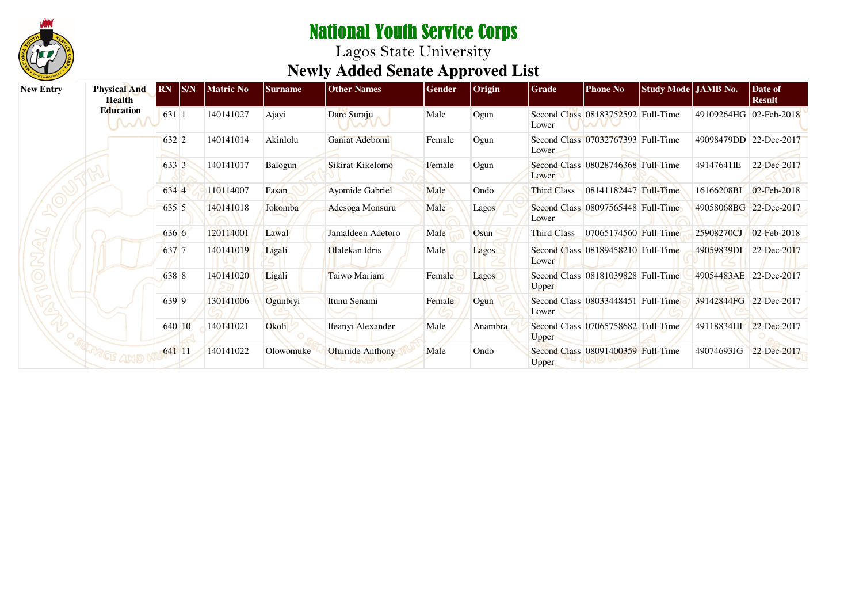

| <b>New Entry</b> | <b>Physical And</b><br><b>Health</b> | $\overline{RN}$ $\overline{SN}$ | <b>Matric No</b> | <b>Surname</b> | <b>Other Names</b>     | Gender | $ O$ rigin   | Grade              | <b>Phone No</b>                    | Study Mode JAMB No. |                        | Date of<br><b>Result</b> |
|------------------|--------------------------------------|---------------------------------|------------------|----------------|------------------------|--------|--------------|--------------------|------------------------------------|---------------------|------------------------|--------------------------|
|                  | Education<br><b>MV</b>               | 631 1                           | 140141027        | Ajayi          | Dare Suraju            | Male   | Ogun         | Lower              | Second Class 08183752592 Full-Time |                     | 49109264HG 02-Feb-2018 |                          |
|                  |                                      | 632 2                           | 140141014        | Akinlolu       | Ganiat Adebomi         | Female | Ogun         | Lower              | Second Class 07032767393 Full-Time |                     | 49098479DD 22-Dec-2017 |                          |
|                  |                                      | 633 3                           | 140141017        | Balogun        | Sikirat Kikelomo       | Female | Ogun         | Lower              | Second Class 08028746368 Full-Time |                     | 49147641IE             | 22-Dec-2017              |
|                  |                                      | 634 4                           | 110114007        | Fasan          | <b>Ayomide Gabriel</b> | Male   | Ondo         | <b>Third Class</b> | 08141182447 Full-Time              |                     | 16166208BI             | 02-Feb-2018              |
|                  |                                      | 635 5                           | 140141018        | Jokomba        | Adesoga Monsuru        | Male   | <b>Lagos</b> | Lower              | Second Class 08097565448 Full-Time |                     | 49058068BG 22-Dec-2017 |                          |
|                  |                                      | 636 6                           | 120114001        | Lawal          | Jamaldeen Adetoro      | Male   | Osun         | Third Class        | 07065174560 Full-Time              |                     | 25908270CJ             | 02-Feb-2018              |
|                  |                                      | 637 7                           | 140141019        | Ligali         | Olalekan Idris         | Male   | Lagos        | Lower              | Second Class 08189458210 Full-Time |                     | 49059839DI             | 22-Dec-2017              |
|                  |                                      | 638 8                           | 140141020        | Ligali         | Taiwo Mariam           | Female | Lagos        | <b>Upper</b>       | Second Class 08181039828 Full-Time |                     | 49054483AE 22-Dec-2017 |                          |
|                  |                                      | 639 9                           | 130141006        | Ogunbiyi       | Itunu Senami           | Female | Ogun         | Lower              | Second Class 08033448451 Full-Time |                     | 39142844FG 22-Dec-2017 |                          |
|                  |                                      | 640 10                          | 140141021        | Okoli          | Ifeanyi Alexander      | Male   | Anambra      | Upper              | Second Class 07065758682 Full-Time |                     | 49118834HI             | 22-Dec-2017              |
|                  |                                      | 641 11                          | 140141022        | Olowomuke      | <b>Olumide Anthony</b> | Male   | Ondo         | Upper              | Second Class 08091400359 Full-Time |                     | 49074693JG             | 22-Dec-2017              |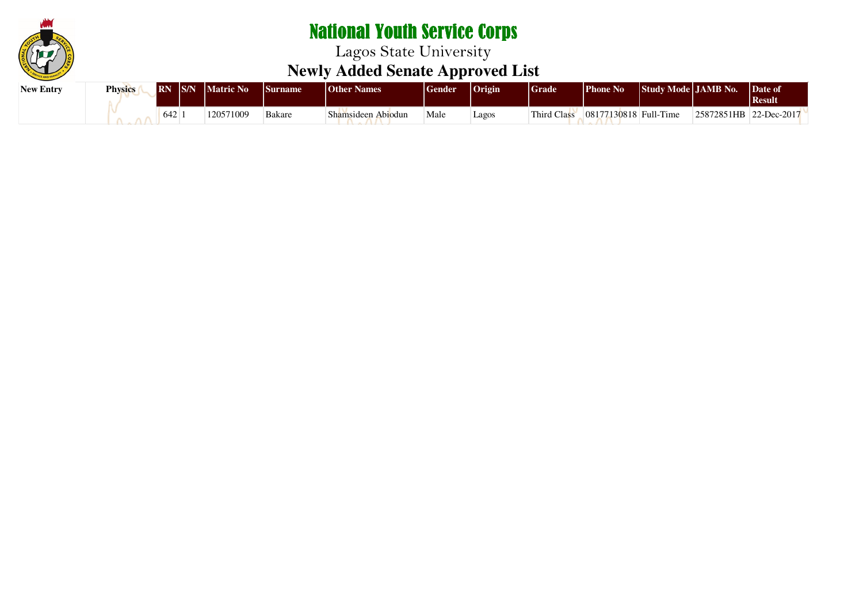

| <b>New Entry</b> | <b>Physics</b> | <b>IRN</b> | S/N | <b>Matric No</b> | <b>Surname</b> | <b>Other Names</b> | <b>Sender</b> | $ $ Origin | <b>Grade</b> | $\blacksquare$ Phone No | Study Mode JAMB No. |                        | Date of<br><b>Result</b> |
|------------------|----------------|------------|-----|------------------|----------------|--------------------|---------------|------------|--------------|-------------------------|---------------------|------------------------|--------------------------|
|                  |                | 642        |     | 120571009        | <b>Bakare</b>  | Shamsideen Abiodun | Male          | Lagos      | Third Class  | 08177130818 Full-Time   |                     | 25872851HB 22-Dec-2017 |                          |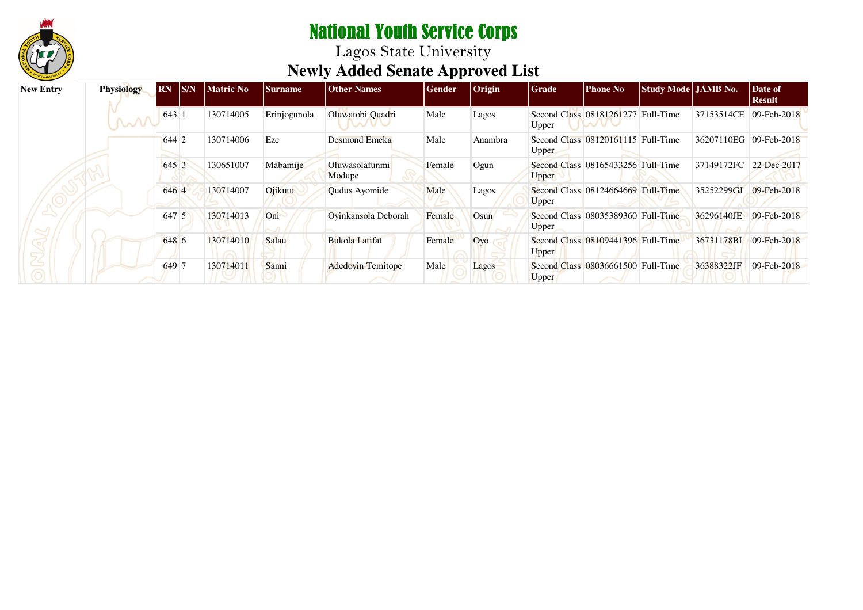

| <b>New Entry</b> | <b>Physiology</b> | <b>RN</b> | S/N | <b>Matric No</b> | <b>Surname</b> | <b>Other Names</b>       | <b>Gender</b> | $ $ Origin | <b>Grade</b> | <b>Phone No</b>                    | Study Mode JAMB No. |                        | Date of<br><b>Result</b>   |
|------------------|-------------------|-----------|-----|------------------|----------------|--------------------------|---------------|------------|--------------|------------------------------------|---------------------|------------------------|----------------------------|
|                  | W                 | 643       |     | 130714005        | Erinjogunola   | Oluwatobi Quadri         | Male          | Lagos      | Upper        | Second Class 08181261277 Full-Time |                     | 37153514CE             | 09-Feb-2018                |
|                  |                   | 644 2     |     | 130714006        | Eze            | <b>Desmond Emeka</b>     | Male          | Anambra    | <b>Upper</b> | Second Class 08120161115 Full-Time |                     | 36207110EG             | $ 09 - \text{Feb} - 2018 $ |
|                  |                   | 645 3     |     | 130651007        | Mabamije       | Oluwasolafunmi<br>Modupe | Female        | Ogun       | <b>Upper</b> | Second Class 08165433256 Full-Time |                     | 37149172FC 22-Dec-2017 |                            |
|                  |                   | 646 4     |     | 130714007        | Ojikutu        | Qudus Ayomide            | Male          | Lagos      | Upper        | Second Class 08124664669 Full-Time |                     | 35252299GJ             | $09 - \text{Feb} - 2018$   |
|                  |                   | 647 5     |     | 130714013        | Oni            | Oyinkansola Deborah      | Female        | Osun       | Upper        | Second Class 08035389360 Full-Time |                     | 36296140JE             | $09 - \text{Feb} - 2018$   |
|                  |                   | 648 6     |     | 130714010        | Salau          | <b>Bukola Latifat</b>    | Female        | Oyo        | <b>Upper</b> | Second Class 08109441396 Full-Time |                     | 36731178BI             | 09-Feb-2018                |
|                  |                   | 649 7     |     | 130714011        | Sanni          | <b>Adedovin Temitope</b> | Male          | Lagos      | Upper        | Second Class 08036661500 Full-Time |                     | 36388322JF             | $09 - \text{Feb} - 2018$   |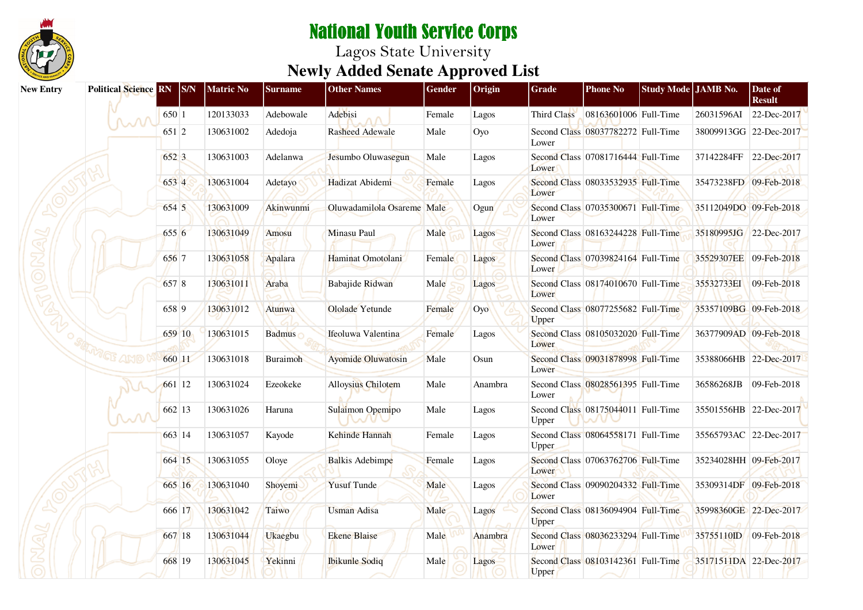

| <b>New Entry</b> | <b>Political Science RN</b> | $ $ S/N | <b>Matric No</b> | <b>Surname</b> | <b>Other Names</b>         | Gender | Origin       | Grade        | <b>Phone No</b>                    | Study Mode JAMB No. |                        | Date of<br><b>Result</b> |
|------------------|-----------------------------|---------|------------------|----------------|----------------------------|--------|--------------|--------------|------------------------------------|---------------------|------------------------|--------------------------|
|                  |                             | 650 1   | 120133033        | Adebowale      | Adebisi                    | Female | Lagos        | Third Class  | 08163601006 Full-Time              |                     | 26031596AI             | 22-Dec-2017              |
|                  |                             | 651 2   | 130631002        | Adedoja        | <b>Rasheed Adewale</b>     | Male   | Oyo          | Lower        | Second Class 08037782272 Full-Time |                     | 38009913GG 22-Dec-2017 |                          |
|                  |                             | 652 3   | 130631003        | Adelanwa       | Jesumbo Oluwasegun         | Male   | Lagos        | Lower        | Second Class 07081716444 Full-Time |                     | 37142284FF             | 22-Dec-2017              |
|                  |                             | 653 4   | 130631004        | Adetayo        | Hadizat Abidemi            | Female | Lagos        | Lower        | Second Class 08033532935 Full-Time |                     | 35473238FD 09-Feb-2018 |                          |
|                  |                             | 654 5   | 130631009        | Akinwunmi      | Oluwadamilola Osareme Male |        | Ogun         | Lower        | Second Class 07035300671 Full-Time |                     | 35112049DO 09-Feb-2018 |                          |
|                  |                             | 655 6   | 130631049        | Amosu          | Minasu Paul                | Male   | Lagos        | Lower        | Second Class 08163244228 Full-Time |                     | 35180995JG 22-Dec-2017 |                          |
|                  |                             | 656 7   | 130631058        | Apalara        | Haminat Omotolani          | Female | Lagos        | Lower        | Second Class 07039824164 Full-Time |                     | 35529307EE 09-Feb-2018 |                          |
|                  |                             | 657 8   | 130631011        | Araba          | Babajide Ridwan            | Male   | Lagos        | Lower        | Second Class 08174010670 Full-Time |                     | 35532733EI             | 09-Feb-2018              |
|                  |                             | 658 9   | 130631012        | Atunwa         | Ololade Yetunde            | Female | Oyo          | Upper        | Second Class 08077255682 Full-Time |                     | 35357109BG 09-Feb-2018 |                          |
|                  |                             | 659 10  | 130631015        | Badmus         | Ifeoluwa Valentina         | Female | Lagos        | Lower        | Second Class 08105032020 Full-Time |                     | 36377909AD 09-Feb-2018 |                          |
|                  |                             | 660 11  | 130631018        | Buraimoh       | <b>Ayomide Oluwatosin</b>  | Male   | Osun         | Lower        | Second Class 09031878998 Full-Time |                     | 35388066HB 22-Dec-2017 |                          |
|                  |                             | 661 12  | 130631024        | Ezeokeke       | <b>Alloysius Chilotem</b>  | Male   | Anambra      | Lower        | Second Class 08028561395 Full-Time |                     | 36586268JB             | 09-Feb-2018              |
|                  |                             | 662 13  | 130631026        | Haruna         | Sulaimon Opemipo           | Male   | Lagos        | Upper        | Second Class 08175044011 Full-Time |                     |                        | 35501556HB 22-Dec-2017   |
|                  |                             | 663 14  | 130631057        | Kayode         | Kehinde Hannah             | Female | Lagos        | Upper        | Second Class 08064558171 Full-Time |                     | 35565793AC 22-Dec-2017 |                          |
|                  |                             | 664 15  | 130631055        | Oloye          | <b>Balkis Adebimpe</b>     | Female | Lagos        | Lower        | Second Class 07063762706 Full-Time |                     | 35234028HH 09-Feb-2017 |                          |
|                  |                             | 665 16  | 130631040        | Shoyemi        | <b>Yusuf Tunde</b>         | Male   | Lagos        | Lower        | Second Class 09090204332 Full-Time |                     | 35309314DF 09-Feb-2018 |                          |
|                  |                             | 666 17  | 130631042        | Taiwo          | <b>Usman Adisa</b>         | Male   | Lagos        | Upper        | Second Class 08136094904 Full-Time |                     |                        | 35998360GE 22-Dec-2017   |
|                  |                             | 667 18  | 130631044        | <b>Ukaegbu</b> | <b>Ekene Blaise</b>        | Male   | Anambra      | Lower        | Second Class 08036233294 Full-Time |                     | 35755110ID             | $09$ -Feb-2018           |
|                  |                             | 668 19  | 130631045        | Yekinni        | <b>Ibikunle Sodiq</b>      | Male   | <b>Lagos</b> | <b>Upper</b> | Second Class 08103142361 Full-Time |                     |                        | 35171511DA 22-Dec-2017   |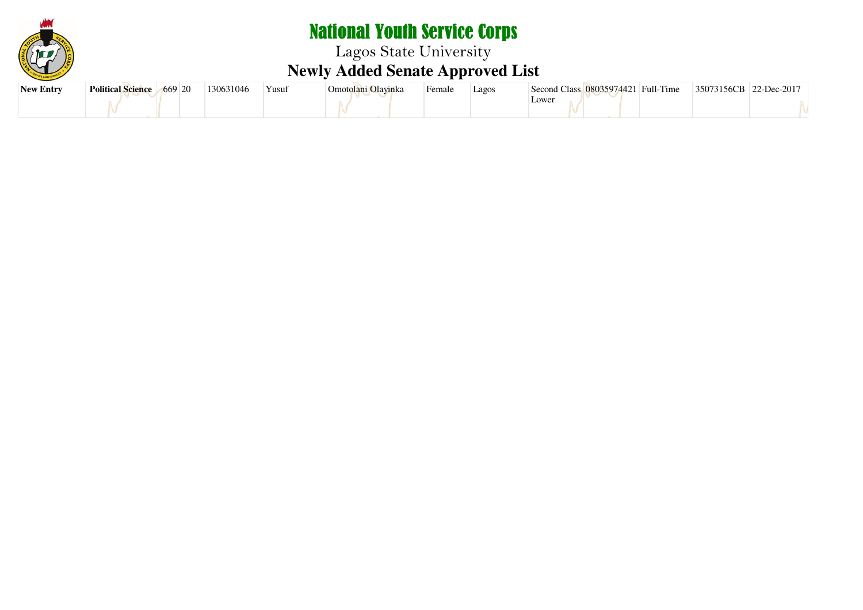

# National Youth Service Corps Lagos State University **Newly Added Senate Approved List**

| <b>New Entry</b> | Political Science 669 20 | 130631046 | `Yusuf | Omotolani Olavinka | Female | Lagos | Second Class 08035974421 Full-Time |  | 35073156CB 22-Dec-2017 |  |
|------------------|--------------------------|-----------|--------|--------------------|--------|-------|------------------------------------|--|------------------------|--|
|                  |                          |           |        |                    |        |       | Lowei                              |  |                        |  |
|                  |                          |           |        |                    |        |       |                                    |  |                        |  |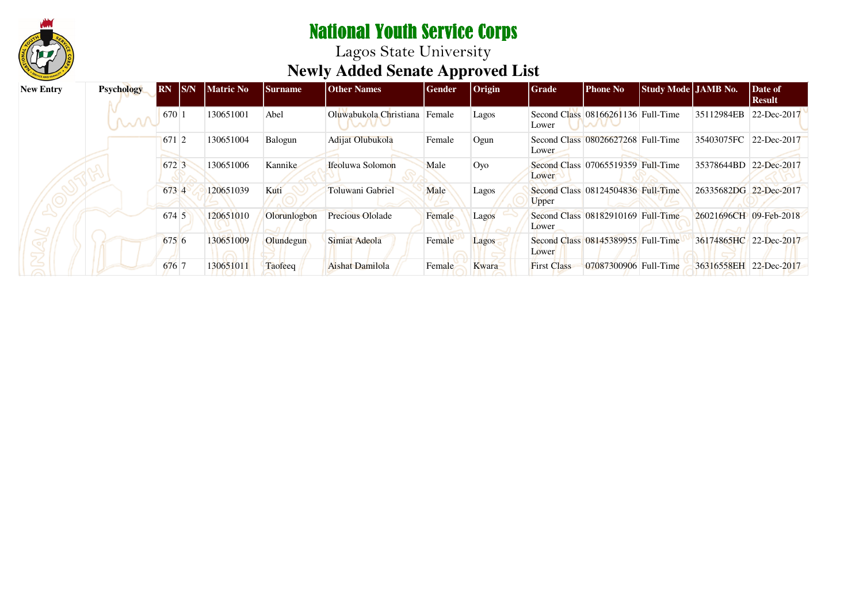

| <b>New Entry</b> | <b>Psychology</b> | SNN <br><b>RN</b> | <b>Matric No</b> | <b>Surname</b> | <b>Other Names</b>      | <b>Gender</b> | $ $ Origin | <b>Grade</b>       | <b>Phone No</b>                    | Study Mode JAMB No. |                        | Date of<br><b>Result</b> |
|------------------|-------------------|-------------------|------------------|----------------|-------------------------|---------------|------------|--------------------|------------------------------------|---------------------|------------------------|--------------------------|
|                  | mn                | 670               | 130651001        | Abel           | Oluwabukola Christiana  | Female        | Lagos      | Lower              | Second Class 08166261136 Full-Time |                     | 35112984EB             | 22-Dec-2017              |
|                  |                   | 671 2             | 130651004        | Balogun        | Adijat Olubukola        | Female        | Ogun       | Lower              | Second Class 08026627268 Full-Time |                     | 35403075FC             | 22-Dec-2017              |
|                  |                   | 672 3             | 130651006        | Kannike        | Ifeoluwa Solomon        | Male          | Oyo        | Lower              | Second Class 07065519359 Full-Time |                     | 35378644BD 22-Dec-2017 |                          |
|                  |                   | 673 4             | 120651039        | Kuti           | Toluwani Gabriel        | Male          | Lagos      | Upper              | Second Class 08124504836 Full-Time |                     | 26335682DG 22-Dec-2017 |                          |
|                  |                   | 674 5             | 120651010        | Olorunlogbon   | <b>Precious Ololade</b> | Female        | Lagos      | Lower              | Second Class 08182910169 Full-Time |                     | 26021696CH 09-Feb-2018 |                          |
|                  |                   | 675 6             | 130651009        | Olundegun      | Simiat Adeola           | Female        | Lagos      | Lower              | Second Class 08145389955 Full-Time |                     | 36174865HC 22-Dec-2017 |                          |
|                  |                   | 676 7             | 130651011        | Taofeeq        | Aishat Damilola         | Female        | Kwara      | <b>First Class</b> | 07087300906 Full-Time              |                     | 36316558EH 22-Dec-2017 |                          |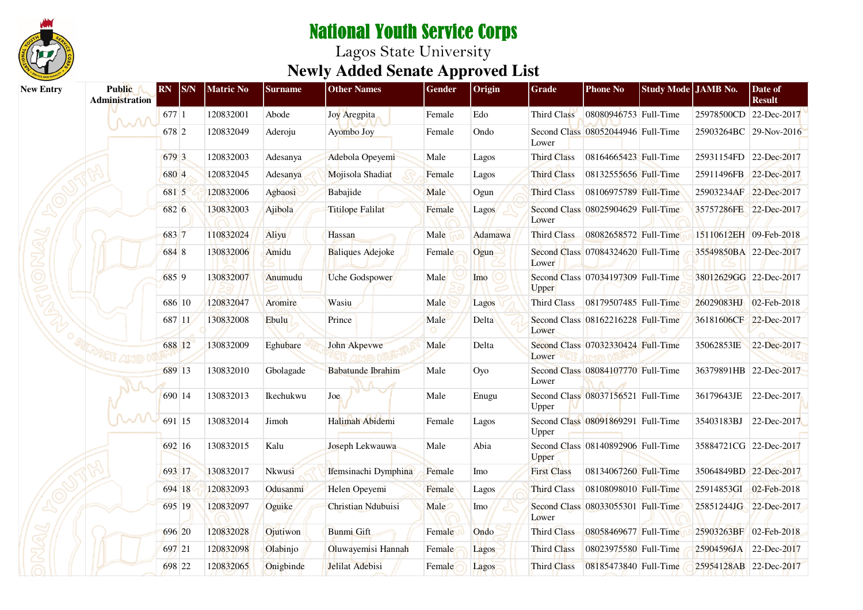

| <b>New Entry</b> | <b>Public</b><br><b>Administration</b> | <b>RN</b> | <sub>S/N</sub> | <b>Matric No</b> | Surname   | <b>Other Names</b>        | Gender | Origin               | Grade              | <b>Phone No</b>                    | Study Mode JAMB No. |                        | Date of<br><b>Result</b> |
|------------------|----------------------------------------|-----------|----------------|------------------|-----------|---------------------------|--------|----------------------|--------------------|------------------------------------|---------------------|------------------------|--------------------------|
|                  | M                                      | 677 1     |                | 120832001        | Abode     | Joy Aregpita              | Female | Edo                  | Third Class        | 08080946753 Full-Time              |                     | 25978500CD 22-Dec-2017 |                          |
|                  |                                        | 678 2     |                | 120832049        | Aderoju   | Ayombo Joy                | Female | Ondo                 | Lower              | Second Class 08052044946 Full-Time |                     | 25903264BC 29-Nov-2016 |                          |
|                  |                                        | 679 3     |                | 120832003        | Adesanya  | Adebola Opeyemi           | Male   | Lagos                | <b>Third Class</b> | 08164665423 Full-Time              |                     | 25931154FD 22-Dec-2017 |                          |
|                  |                                        | 680 4     |                | 120832045        | Adesanya  | Mojisola Shadiat          | Female | Lagos                | <b>Third Class</b> | 08132555656 Full-Time              |                     | 25911496FB 22-Dec-2017 |                          |
|                  |                                        | 681 5     |                | 120832006        | Agbaosi   | Babajide                  | Male   | Ogun                 | <b>Third Class</b> | 08106975789 Full-Time              |                     | 25903234AF 22-Dec-2017 |                          |
|                  |                                        | 682 6     |                | 130832003        | Ajibola   | <b>Titilope Falilat</b>   | Female | Lagos                | Lower              | Second Class 08025904629 Full-Time |                     | 35757286FE 22-Dec-2017 |                          |
|                  |                                        | 683 7     |                | 110832024        | Aliyu     | Hassan                    | Male   | Adamawa              | Third Class        | 08082658572 Full-Time              |                     | 15110612EH 09-Feb-2018 |                          |
|                  |                                        | 684 8     |                | 130832006        | Amidu     | <b>Baliques Adejoke</b>   | Female | Ogun                 | Lower              | Second Class 07084324620 Full-Time |                     | 35549850BA 22-Dec-2017 |                          |
|                  |                                        | 685 9     |                | 130832007        | Anumudu   | Uche Godspower            | Male   | Imo                  | <b>Upper</b>       | Second Class 07034197309 Full-Time |                     | 38012629GG 22-Dec-2017 |                          |
|                  |                                        |           | 686 10         | 120832047        | Aromire   | Wasiu                     | Male   | Lagos                | Third Class        | 08179507485 Full-Time              |                     | 26029083HJ 02-Feb-2018 |                          |
|                  |                                        |           | 687 11         | 130832008        | Ebulu     | Prince                    | Male   | Delta                | Lower              | Second Class 08162216228 Full-Time |                     | 36181606CF 22-Dec-2017 |                          |
|                  | <b>METE AND</b>                        |           | 688 12         | 130832009        | Eghubare  | John Akpevwe              | Male   | Delta                | Lower              | Second Class 07032330424 Full-Time |                     | 35062853IE             | 22-Dec-2017              |
|                  |                                        |           | 689 13         | 130832010        | Gbolagade | <b>Babatunde Ibrahim</b>  | Male   | Oyo                  | Lower              | Second Class 08084107770 Full-Time |                     | 36379891HB 22-Dec-2017 |                          |
|                  |                                        |           | 690 14         | 130832013        | Ikechukwu | Joe                       | Male   | Enugu                | Upper              | Second Class 08037156521 Full-Time |                     | 36179643JE             | 22-Dec-2017              |
|                  |                                        |           | 691 15         | 130832014        | Jimoh     | Halimah Abidemi           | Female | Lagos                | Upper              | Second Class 08091869291 Full-Time |                     | 35403183BJ             | 22-Dec-2017              |
|                  |                                        |           | 692 16         | 130832015        | Kalu      | Joseph Lekwauwa           | Male   | Abia                 | Upper              | Second Class 08140892906 Full-Time |                     | 35884721CG 22-Dec-2017 |                          |
|                  |                                        |           | 693 17         | 130832017        | Nkwusi    | Ifemsinachi Dymphina      | Female | Imo                  | <b>First Class</b> | 08134067260 Full-Time              |                     | 35064849BD 22-Dec-2017 |                          |
|                  |                                        |           | 694 18         | 120832093        | Odusanmi  | Helen Opeyemi             | Female | Lagos                | <b>Third Class</b> | 08108098010 Full-Time              |                     | 25914853GI 02-Feb-2018 |                          |
|                  |                                        |           | 695 19         | 120832097        | Oguike    | <b>Christian Ndubuisi</b> | Male   | $\operatorname{Imo}$ | Lower              | Second Class 08033055301 Full-Time |                     | 25851244JG 22-Dec-2017 |                          |
|                  |                                        |           | 696 20         | 120832028        | Ojutiwon  | <b>Bunmi</b> Gift         | Female | <b>Ondo</b>          | Third Class        | 08058469677 Full-Time              |                     | 25903263BF 02-Feb-2018 |                          |
|                  |                                        |           | 697 21         | 120832098        | Olabinjo  | Oluwayemisi Hannah        | Female | Lagos                | Third Class        | 08023975580 Full-Time              |                     | 25904596JA 22-Dec-2017 |                          |
|                  |                                        |           | 698 22         | 120832065        | Onigbinde | Jelilat Adebisi           | Female | Lagos                | <b>Third Class</b> | 08185473840 Full-Time              |                     | 25954128AB 22-Dec-2017 |                          |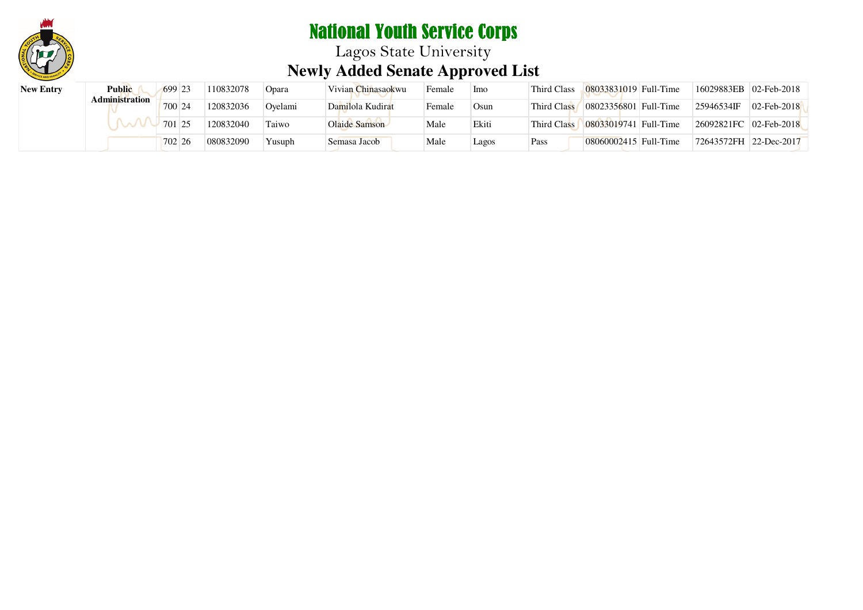

| <b>New Entry</b> | <b>Public</b><br><b>Administration</b> | 699 23 | 110832078 | <b>Opara</b> | Vivian Chinasaokwu | Female | <sup>1</sup> Imo | Third Class | 08033831019 Full-Time                  | 16029883EB 02-Feb-2018 |                |
|------------------|----------------------------------------|--------|-----------|--------------|--------------------|--------|------------------|-------------|----------------------------------------|------------------------|----------------|
|                  |                                        | 700 24 | 120832036 | Ovelami      | Damilola Kudirat   | Female | Osun             | Third Class | $\left  08023356801 \right $ Full-Time | 25946534IF             | $02$ -Feb-2018 |
|                  |                                        | 701 25 | 120832040 | Taiwo        | Olaide Samson      | Male   | Ekiti            | Third Class | 08033019741 Full-Time                  | 26092821FC 02-Feb-2018 |                |
|                  |                                        | 702 26 | 080832090 | Yusuph       | Semasa Jacob       | Male   | Lagos            | Pass        | 08060002415 Full-Time                  | 72643572FH 22-Dec-2017 |                |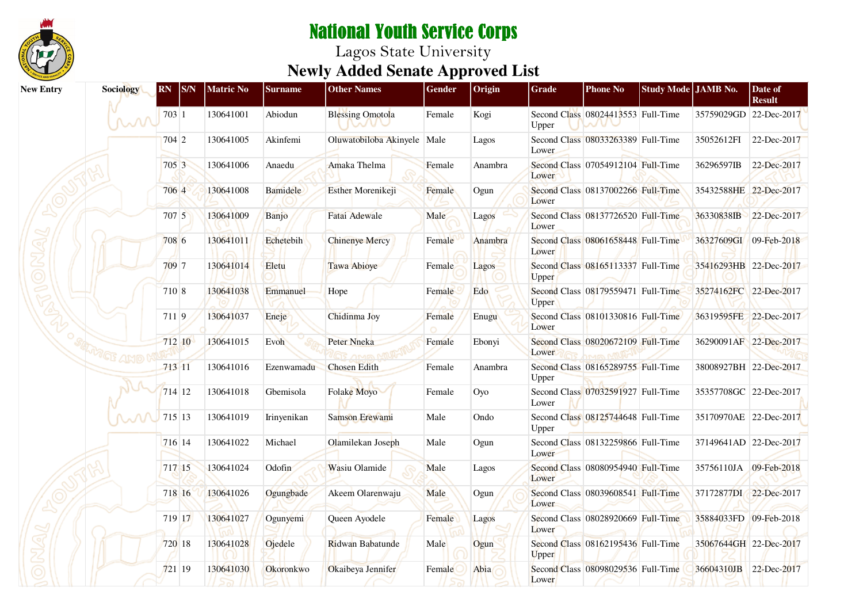

| <b>New Entry</b> | Sociology     | <b>RN</b> | S/N    | <b>Matric No</b> | <b>Surname</b> | <b>Other Names</b>          | Gender | Origin  | Grade | <b>Phone No</b>                    | Study Mode JAMB No. |                        | Date of<br><b>Result</b> |
|------------------|---------------|-----------|--------|------------------|----------------|-----------------------------|--------|---------|-------|------------------------------------|---------------------|------------------------|--------------------------|
|                  | W             | 703 1     |        | 130641001        | Abiodun        | <b>Blessing Omotola</b>     | Female | Kogi    | Upper | Second Class 08024413553 Full-Time |                     | 35759029GD 22-Dec-2017 |                          |
|                  |               | 704 2     |        | 130641005        | Akinfemi       | Oluwatobiloba Akinyele Male |        | Lagos   | Lower | Second Class 08033263389 Full-Time |                     | 35052612FI             | 22-Dec-2017              |
|                  |               | 705 3     |        | 130641006        | Anaedu         | Amaka Thelma                | Female | Anambra | Lower | Second Class 07054912104 Full-Time |                     | 36296597IB             | 22-Dec-2017              |
|                  |               | 706 4     |        | 130641008        | Bamidele       | Esther Morenikeji           | Female | Ogun    | Lower | Second Class 08137002266 Full-Time |                     | 35432588HE 22-Dec-2017 |                          |
|                  |               | 707 5     |        | 130641009        | Banjo          | Fatai Adewale               | Male   | Lagos   | Lower | Second Class 08137726520 Full-Time |                     | 36330838IB             | 22-Dec-2017              |
|                  |               | 708 6     |        | 130641011        | Echetebih      | <b>Chinenye Mercy</b>       | Female | Anambra | Lower | Second Class 08061658448 Full-Time |                     | 36327609GI 09-Feb-2018 |                          |
|                  |               | 709 7     |        | 130641014        | Eletu          | Tawa Abioye                 | Female | Lagos   | Upper | Second Class 08165113337 Full-Time |                     | 35416293HB 22-Dec-2017 |                          |
|                  |               | 710 8     |        | 130641038        | Emmanuel       | Hope                        | Female | Edo     | Upper | Second Class 08179559471 Full-Time |                     | 35274162FC 22-Dec-2017 |                          |
|                  |               | 7119      |        | 130641037        | Eneje          | Chidinma Joy                | Female | Enugu   | Lower | Second Class 08101330816 Full-Time |                     | 36319595FE 22-Dec-2017 |                          |
|                  | "GF AMD       | 712 10    |        | 130641015        | Evoh           | Peter Nneka                 | Female | Ebonyi  | Lower | Second Class 08020672109 Full-Time |                     | 36290091AF 22-Dec-2017 |                          |
|                  |               | 713 11    |        | 130641016        | Ezenwamadu     | <b>Chosen Edith</b>         | Female | Anambra | Upper | Second Class 08165289755 Full-Time |                     |                        | 38008927BH 22-Dec-2017   |
|                  |               |           | 714 12 | 130641018        | Gbemisola      | Folake Moyo                 | Female | Oyo     | Lower | Second Class 07032591927 Full-Time |                     | 35357708GC 22-Dec-2017 |                          |
|                  | $\mathcal{M}$ | 715 13    |        | 130641019        | Irinyenikan    | Samson Erewami              | Male   | Ondo    | Upper | Second Class 08125744648 Full-Time |                     | 35170970AE 22-Dec-2017 |                          |
|                  |               | 716 14    |        | 130641022        | Michael        | Olamilekan Joseph           | Male   | Ogun    | Lower | Second Class 08132259866 Full-Time |                     | 37149641AD 22-Dec-2017 |                          |
|                  |               |           | 717 15 | 130641024        | Odofin         | Wasiu Olamide               | Male   | Lagos   | Lower | Second Class 08080954940 Full-Time |                     | 35756110JA 09-Feb-2018 |                          |
|                  |               |           | 718 16 | 130641026        | Ogungbade      | Akeem Olarenwaju            | Male   | Ogun    | Lower | Second Class 08039608541 Full-Time |                     | 37172877DI 22-Dec-2017 |                          |
|                  |               | 719 17    |        | 130641027        | Ogunyemi       | Queen Ayodele               | Female | Lagos   | Lower | Second Class 08028920669 Full-Time |                     | 35884033FD 09-Feb-2018 |                          |
|                  |               |           | 720 18 | 130641028        | Ojedele        | Ridwan Babatunde            | Male   | Ogun    | Upper | Second Class 08162195436 Full-Time |                     | 35067644GH 22-Dec-2017 |                          |
|                  |               | $721$ 19  |        | 130641030        | Okoronkwo      | Okaibeya Jennifer           | Female | Abia    | Lower | Second Class 08098029536 Full-Time |                     | 36604310JB 22-Dec-2017 |                          |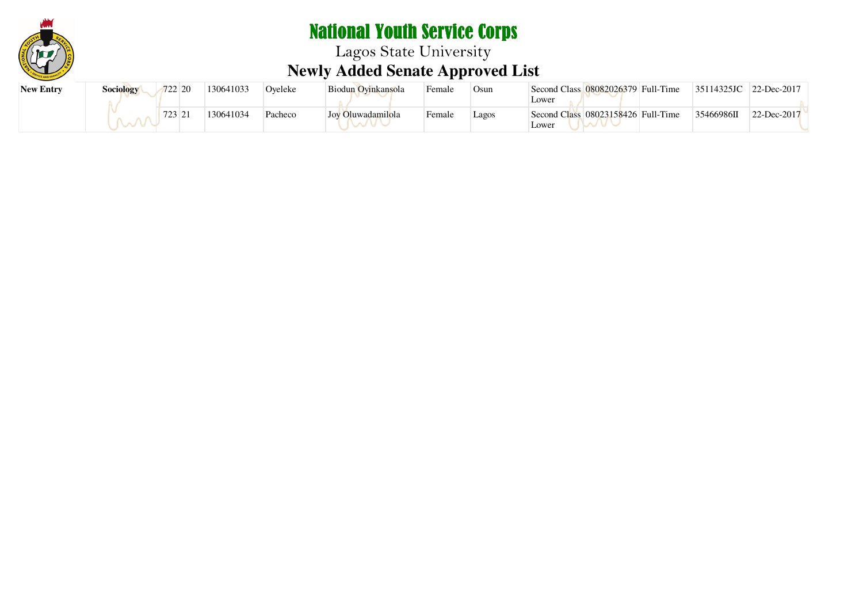

# National Youth Service Corps Lagos State University **Newly Added Senate Approved List**

| <b>New Entry</b> | <b>Sociology</b> | 722 20 | 130641033 | Oyeleke | Biodun Ovinkansola | Female | Osun  | Second Class 08082026379 Full-Time<br>Lower | 35114325JC | $ 22 - \text{Dec-}2017 $ |
|------------------|------------------|--------|-----------|---------|--------------------|--------|-------|---------------------------------------------|------------|--------------------------|
|                  |                  | 723 21 | 130641034 | Pacheco | Joy Oluwadamilola  | Female | Lagos | Second Class 08023158426 Full-Time<br>Lower | 35466986II | 22-Dec-2017              |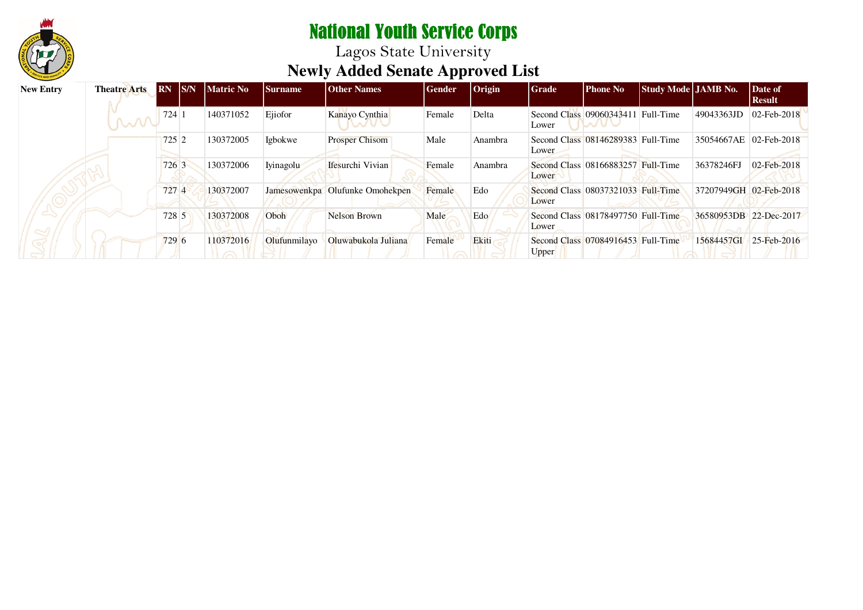

Lagos State University **Newly Added Senate Approved List**

| <b>New Entry</b> | <b>Theatre Arts</b> | <b>RN</b> | S/N | <b>Matric No</b> | <b>Surname</b> | <b>Other Names</b>              | Gender | $ O$ rigin | <b>Grade</b> | <b>Phone No</b>                    | Study Mode JAMB No. |                        | Date of<br><b>Result</b> |
|------------------|---------------------|-----------|-----|------------------|----------------|---------------------------------|--------|------------|--------------|------------------------------------|---------------------|------------------------|--------------------------|
|                  | M                   | 724       |     | 140371052        | Ejiofor        | Kanayo Cynthia                  | Female | Delta      | Lower        | Second Class 09060343411 Full-Time |                     | 49043363JD             | 02-Feb-2018              |
|                  |                     | 725 2     |     | 130372005        | Igbokwe        | <b>Prosper Chisom</b>           | Male   | Anambra    | Lower        | Second Class 08146289383 Full-Time |                     | 35054667AE             | 02-Feb-2018              |
|                  |                     | 726 3     |     | 130372006        | Iyinagolu      | Ifesurchi Vivian                | Female | Anambra    | Lower        | Second Class 08166883257 Full-Time |                     | 36378246FJ             | 02-Feb-2018              |
|                  |                     | 727 4     |     | 130372007        |                | Jamesowenkpa Olufunke Omohekpen | Female | Edo        | Lower        | Second Class 08037321033 Full-Time |                     | 37207949GH 02-Feb-2018 |                          |
|                  |                     | 728 5     |     | 130372008        | Oboh           | <b>Nelson Brown</b>             | Male   | Edo        | Lower        | Second Class 08178497750 Full-Time |                     | 36580953DB 22-Dec-2017 |                          |
|                  |                     | 729 6     |     | 110372016        | Olufunmilavo   | Oluwabukola Juliana             | Female | Ekiti      | Upper        | Second Class 07084916453 Full-Time |                     | 15684457GI             | 25-Feb-2016              |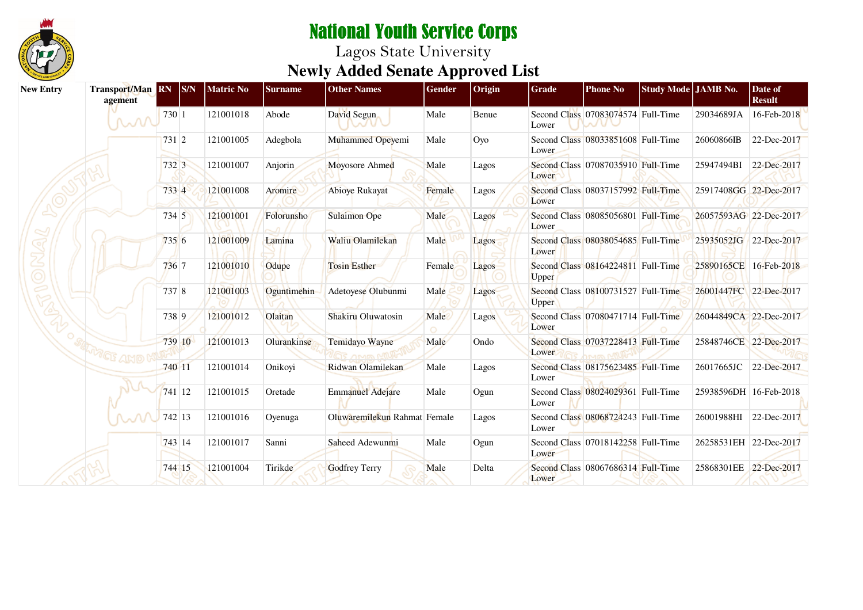

| <b>New Entry</b> | Transport/Man RN S/N<br>agement |        |        | <b>Matric No</b> | <b>Surname</b> | <b>Other Names</b>           | Gender | Origin | Grade | <b>Phone No</b>                    | Study Mode JAMB No. |                        | Date of<br><b>Result</b> |
|------------------|---------------------------------|--------|--------|------------------|----------------|------------------------------|--------|--------|-------|------------------------------------|---------------------|------------------------|--------------------------|
|                  | MM                              | 730 1  |        | 121001018        | Abode          | David Segun                  | Male   | Benue  | Lower | Second Class 07083074574 Full-Time |                     | 29034689JA             | 16-Feb-2018              |
|                  |                                 | 731 2  |        | 121001005        | Adegbola       | <b>Muhammed Opeyemi</b>      | Male   | Oyo    | Lower | Second Class 08033851608 Full-Time |                     | 26060866IB             | 22-Dec-2017              |
|                  |                                 | 732 3  |        | 121001007        | Anjorin        | Moyosore Ahmed               | Male   | Lagos  | Lower | Second Class 07087035910 Full-Time |                     | 25947494BI             | 22-Dec-2017              |
|                  |                                 | 733 4  |        | 121001008        | Aromire        | Abioye Rukayat               | Female | Lagos  | Lower | Second Class 08037157992 Full-Time |                     | 25917408GG 22-Dec-2017 |                          |
|                  |                                 | 734 5  |        | 121001001        | Folorunsho     | <b>Sulaimon Ope</b>          | Male   | Lagos  | Lower | Second Class 08085056801 Full-Time |                     | 26057593AG 22-Dec-2017 |                          |
|                  |                                 | 7356   |        | 121001009        | Lamina         | Waliu Olamilekan             | Male   | Lagos  | Lower | Second Class 08038054685 Full-Time |                     | 25935052JG 22-Dec-2017 |                          |
|                  |                                 | 736 7  |        | 121001010        | Odupe          | <b>Tosin Esther</b>          | Female | Lagos  | Upper | Second Class 08164224811 Full-Time |                     | 25890165CE 16-Feb-2018 |                          |
|                  |                                 | 737 8  |        | 121001003        | Oguntimehin    | Adetoyese Olubunmi           | Male   | Lagos  | Upper | Second Class 08100731527 Full-Time |                     | 26001447FC 22-Dec-2017 |                          |
|                  |                                 | 738 9  |        | 121001012        | Olaitan        | Shakiru Oluwatosin           | Male   | Lagos  | Lower | Second Class 07080471714 Full-Time |                     | 26044849CA 22-Dec-2017 |                          |
|                  |                                 |        | 739 10 | 121001013        | Olurankinse    | Temidayo Wayne               | Male   | Ondo   | Lower | Second Class 07037228413 Full-Time |                     | 25848746CE 22-Dec-2017 |                          |
|                  |                                 | 740 11 |        | 121001014        | Onikoyi        | Ridwan Olamilekan            | Male   | Lagos  | Lower | Second Class 08175623485 Full-Time |                     | 26017665JC             | 22-Dec-2017              |
|                  |                                 |        | 741 12 | 121001015        | Oretade        | <b>Emmanuel Adejare</b>      | Male   | Ogun   | Lower | Second Class 08024029361 Full-Time |                     | 25938596DH 16-Feb-2018 |                          |
|                  |                                 |        | 742 13 | 121001016        | Oyenuga        | Oluwaremilekun Rahmat Female |        | Lagos  | Lower | Second Class 08068724243 Full-Time |                     | 26001988HI             | 22-Dec-2017              |
|                  |                                 |        | 743 14 | 121001017        | Sanni          | Saheed Adewunmi              | Male   | Ogun   | Lower | Second Class 07018142258 Full-Time |                     | 26258531EH 22-Dec-2017 |                          |
|                  |                                 |        | 744 15 | 121001004        | Tirikde        | <b>Godfrey Terry</b>         | Male   | Delta  | Lower | Second Class 08067686314 Full-Time |                     | 25868301EE 22-Dec-2017 |                          |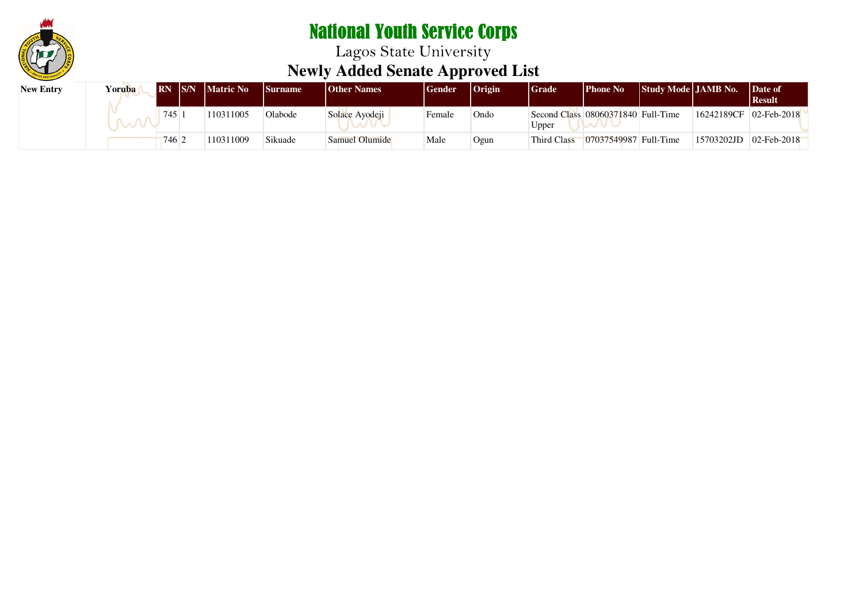

Lagos State University **Newly Added Senate Approved List**

| <b>New Entry</b> | <b>Yoruba</b> | IRN IS/N | <b>Matric No</b> | <b>Surname</b> | <b>Other Names</b> | Gender | <b>Origin</b> | <b>Grade</b> | <b>Phone No</b>                    | Study Mode JAMB No. |                          | Date of<br>  Result |
|------------------|---------------|----------|------------------|----------------|--------------------|--------|---------------|--------------|------------------------------------|---------------------|--------------------------|---------------------|
|                  |               | 745      | 110311005        | Olabode        | Solace Avodeji     | Female | Ondo          | Upper        | Second Class 08060371840 Full-Time |                     | 16242189CF               | $02$ -Feb-2018      |
|                  |               | 746      | 110311009        | Sikuade        | Samuel Olumide     | Male   | Ogun          | Third Class  | 07037549987 Full-Time              |                     | $15703202JD$ 02-Feb-2018 |                     |